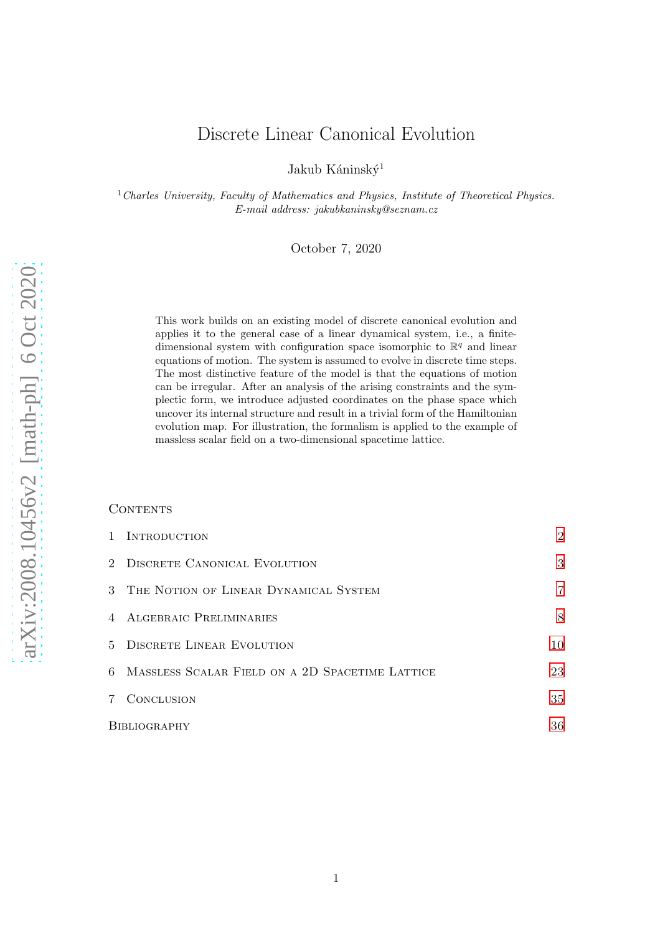# Discrete Linear Canonical Evolution

Jakub Káninský<sup>1</sup>

 $1$  Charles University, Faculty of Mathematics and Physics, Institute of Theoretical Physics. E-mail address: jakubkaninsky@seznam.cz

October 7, 2020

This work builds on an existing model of discrete canonical evolution and applies it to the general case of a linear dynamical system, i.e., a finitedimensional system with configuration space isomorphic to  $\mathbb{R}^q$  and linear equations of motion. The system is assumed to evolve in discrete time steps. The most distinctive feature of the model is that the equations of motion can be irregular. After an analysis of the arising constraints and the symplectic form, we introduce adjusted coordinates on the phase space which uncover its internal structure and result in a trivial form of the Hamiltonian evolution map. For illustration, the formalism is applied to the example of massless scalar field on a two-dimensional spacetime lattice.

# CONTENTS

|                | 1 INTRODUCTION                                    | $\overline{2}$ |
|----------------|---------------------------------------------------|----------------|
|                | 2 DISCRETE CANONICAL EVOLUTION                    | 3              |
|                | 3 THE NOTION OF LINEAR DYNAMICAL SYSTEM           | $\overline{7}$ |
|                | 4 ALGEBRAIC PRELIMINARIES                         | 8              |
|                | 5 DISCRETE LINEAR EVOLUTION                       | 10             |
|                | 6 MASSLESS SCALAR FIELD ON A 2D SPACETIME LATTICE | 23             |
| $7\phantom{.}$ | CONCLUSION                                        | 35             |
| BIBLIOGRAPHY   |                                                   | 36             |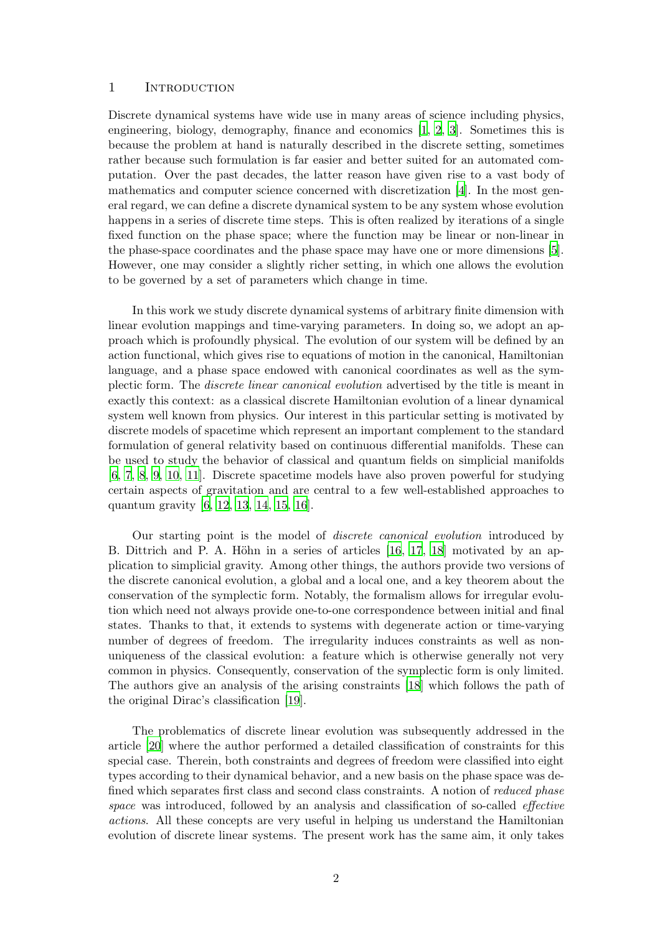# <span id="page-1-0"></span>1 INTRODUCTION

Discrete dynamical systems have wide use in many areas of science including physics, engineering, biology, demography, finance and economics [\[1](#page-35-0), [2](#page-35-1), [3\]](#page-35-2). Sometimes this is because the problem at hand is naturally described in the discrete setting, sometimes rather because such formulation is far easier and better suited for an automated computation. Over the past decades, the latter reason have given rise to a vast body of mathematics and computer science concerned with discretization [\[4\]](#page-36-0). In the most general regard, we can define a discrete dynamical system to be any system whose evolution happens in a series of discrete time steps. This is often realized by iterations of a single fixed function on the phase space; where the function may be linear or non-linear in the phase-space coordinates and the phase space may have one or more dimensions [\[5](#page-36-1)]. However, one may consider a slightly richer setting, in which one allows the evolution to be governed by a set of parameters which change in time.

In this work we study discrete dynamical systems of arbitrary finite dimension with linear evolution mappings and time-varying parameters. In doing so, we adopt an approach which is profoundly physical. The evolution of our system will be defined by an action functional, which gives rise to equations of motion in the canonical, Hamiltonian language, and a phase space endowed with canonical coordinates as well as the symplectic form. The discrete linear canonical evolution advertised by the title is meant in exactly this context: as a classical discrete Hamiltonian evolution of a linear dynamical system well known from physics. Our interest in this particular setting is motivated by discrete models of spacetime which represent an important complement to the standard formulation of general relativity based on continuous differential manifolds. These can be used to study the behavior of classical and quantum fields on simplicial manifolds [\[6,](#page-36-2) [7](#page-36-3), [8](#page-36-4), [9,](#page-36-5) [10](#page-36-6), [11](#page-36-7)]. Discrete spacetime models have also proven powerful for studying certain aspects of gravitation and are central to a few well-established approaches to quantum gravity [\[6](#page-36-2), [12,](#page-36-8) [13](#page-36-9), [14,](#page-36-10) [15](#page-36-11), [16\]](#page-36-12).

Our starting point is the model of discrete canonical evolution introduced by B. Dittrich and P. A. Höhn in a series of articles  $[16, 17, 18]$  $[16, 17, 18]$  $[16, 17, 18]$  motivated by an application to simplicial gravity. Among other things, the authors provide two versions of the discrete canonical evolution, a global and a local one, and a key theorem about the conservation of the symplectic form. Notably, the formalism allows for irregular evolution which need not always provide one-to-one correspondence between initial and final states. Thanks to that, it extends to systems with degenerate action or time-varying number of degrees of freedom. The irregularity induces constraints as well as nonuniqueness of the classical evolution: a feature which is otherwise generally not very common in physics. Consequently, conservation of the symplectic form is only limited. The authors give an analysis of the arising constraints [\[18](#page-36-14)] which follows the path of the original Dirac's classification [\[19](#page-36-15)].

The problematics of discrete linear evolution was subsequently addressed in the article [\[20](#page-36-16)] where the author performed a detailed classification of constraints for this special case. Therein, both constraints and degrees of freedom were classified into eight types according to their dynamical behavior, and a new basis on the phase space was defined which separates first class and second class constraints. A notion of reduced phase space was introduced, followed by an analysis and classification of so-called *effective* actions. All these concepts are very useful in helping us understand the Hamiltonian evolution of discrete linear systems. The present work has the same aim, it only takes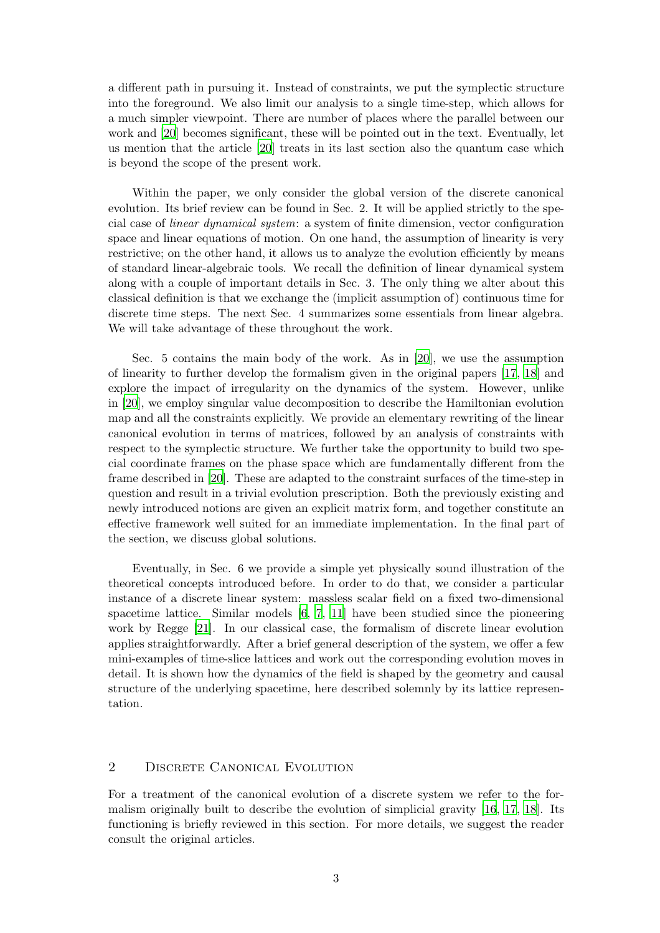a different path in pursuing it. Instead of constraints, we put the symplectic structure into the foreground. We also limit our analysis to a single time-step, which allows for a much simpler viewpoint. There are number of places where the parallel between our work and [\[20](#page-36-16)] becomes significant, these will be pointed out in the text. Eventually, let us mention that the article [\[20](#page-36-16)] treats in its last section also the quantum case which is beyond the scope of the present work.

Within the paper, we only consider the global version of the discrete canonical evolution. Its brief review can be found in Sec. 2. It will be applied strictly to the special case of linear dynamical system: a system of finite dimension, vector configuration space and linear equations of motion. On one hand, the assumption of linearity is very restrictive; on the other hand, it allows us to analyze the evolution efficiently by means of standard linear-algebraic tools. We recall the definition of linear dynamical system along with a couple of important details in Sec. 3. The only thing we alter about this classical definition is that we exchange the (implicit assumption of) continuous time for discrete time steps. The next Sec. 4 summarizes some essentials from linear algebra. We will take advantage of these throughout the work.

Sec. 5 contains the main body of the work. As in [\[20](#page-36-16)], we use the assumption of linearity to further develop the formalism given in the original papers [\[17,](#page-36-13) [18\]](#page-36-14) and explore the impact of irregularity on the dynamics of the system. However, unlike in [\[20](#page-36-16)], we employ singular value decomposition to describe the Hamiltonian evolution map and all the constraints explicitly. We provide an elementary rewriting of the linear canonical evolution in terms of matrices, followed by an analysis of constraints with respect to the symplectic structure. We further take the opportunity to build two special coordinate frames on the phase space which are fundamentally different from the frame described in [\[20\]](#page-36-16). These are adapted to the constraint surfaces of the time-step in question and result in a trivial evolution prescription. Both the previously existing and newly introduced notions are given an explicit matrix form, and together constitute an effective framework well suited for an immediate implementation. In the final part of the section, we discuss global solutions.

Eventually, in Sec. 6 we provide a simple yet physically sound illustration of the theoretical concepts introduced before. In order to do that, we consider a particular instance of a discrete linear system: massless scalar field on a fixed two-dimensional spacetime lattice. Similar models [\[6,](#page-36-2) [7](#page-36-3), [11](#page-36-7)] have been studied since the pioneering work by Regge [\[21](#page-36-17)]. In our classical case, the formalism of discrete linear evolution applies straightforwardly. After a brief general description of the system, we offer a few mini-examples of time-slice lattices and work out the corresponding evolution moves in detail. It is shown how the dynamics of the field is shaped by the geometry and causal structure of the underlying spacetime, here described solemnly by its lattice representation.

# <span id="page-2-0"></span>2 DISCRETE CANONICAL EVOLUTION

For a treatment of the canonical evolution of a discrete system we refer to the formalism originally built to describe the evolution of simplicial gravity [\[16](#page-36-12), [17,](#page-36-13) [18\]](#page-36-14). Its functioning is briefly reviewed in this section. For more details, we suggest the reader consult the original articles.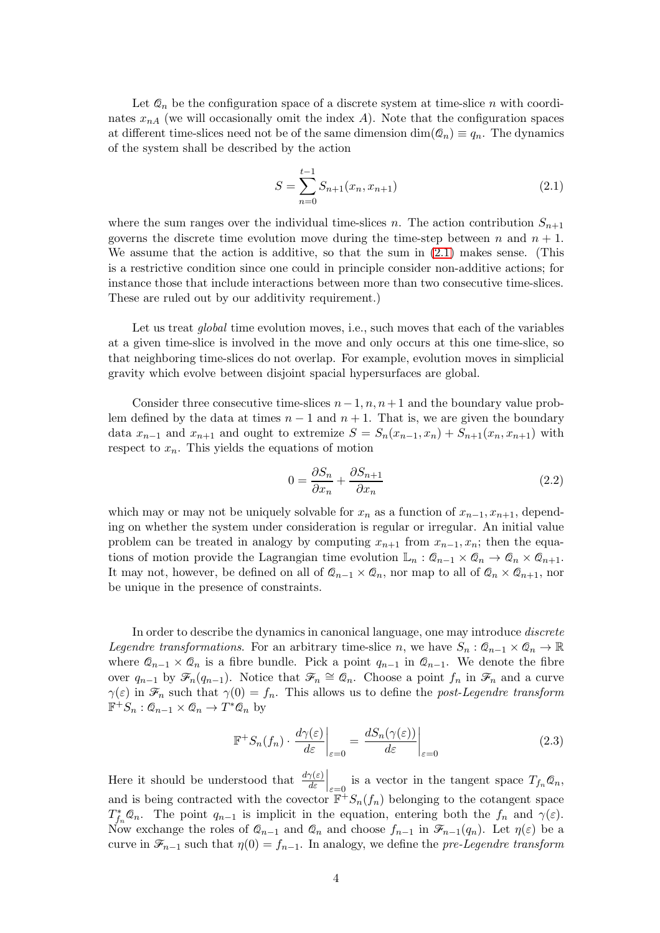Let  $\mathcal{Q}_n$  be the configuration space of a discrete system at time-slice n with coordinates  $x_{nA}$  (we will occasionally omit the index A). Note that the configuration spaces at different time-slices need not be of the same dimension  $\dim(\mathcal{Q}_n) \equiv q_n$ . The dynamics of the system shall be described by the action

<span id="page-3-0"></span>
$$
S = \sum_{n=0}^{t-1} S_{n+1}(x_n, x_{n+1})
$$
\n(2.1)

where the sum ranges over the individual time-slices n. The action contribution  $S_{n+1}$ governs the discrete time evolution move during the time-step between n and  $n + 1$ . We assume that the action is additive, so that the sum in [\(2.1\)](#page-3-0) makes sense. (This is a restrictive condition since one could in principle consider non-additive actions; for instance those that include interactions between more than two consecutive time-slices. These are ruled out by our additivity requirement.)

Let us treat *global* time evolution moves, i.e., such moves that each of the variables at a given time-slice is involved in the move and only occurs at this one time-slice, so that neighboring time-slices do not overlap. For example, evolution moves in simplicial gravity which evolve between disjoint spacial hypersurfaces are global.

Consider three consecutive time-slices  $n-1, n, n+1$  and the boundary value problem defined by the data at times  $n-1$  and  $n+1$ . That is, we are given the boundary data  $x_{n-1}$  and  $x_{n+1}$  and ought to extremize  $S = S_n(x_{n-1}, x_n) + S_{n+1}(x_n, x_{n+1})$  with respect to  $x_n$ . This yields the equations of motion

$$
0 = \frac{\partial S_n}{\partial x_n} + \frac{\partial S_{n+1}}{\partial x_n} \tag{2.2}
$$

which may or may not be uniquely solvable for  $x_n$  as a function of  $x_{n-1}, x_{n+1}$ , depending on whether the system under consideration is regular or irregular. An initial value problem can be treated in analogy by computing  $x_{n+1}$  from  $x_{n-1}, x_n$ ; then the equations of motion provide the Lagrangian time evolution  $\mathbb{L}_n$ :  $\mathcal{Q}_{n-1} \times \mathcal{Q}_n \to \mathcal{Q}_n \times \mathcal{Q}_{n+1}$ . It may not, however, be defined on all of  $\mathcal{Q}_{n-1} \times \mathcal{Q}_n$ , nor map to all of  $\mathcal{Q}_n \times \mathcal{Q}_{n+1}$ , nor be unique in the presence of constraints.

In order to describe the dynamics in canonical language, one may introduce *discrete* Legendre transformations. For an arbitrary time-slice n, we have  $S_n$ :  $\mathcal{Q}_{n-1} \times \mathcal{Q}_n \to \mathbb{R}$ where  $\mathcal{Q}_{n-1} \times \mathcal{Q}_n$  is a fibre bundle. Pick a point  $q_{n-1}$  in  $\mathcal{Q}_{n-1}$ . We denote the fibre over  $q_{n-1}$  by  $\mathscr{F}_n(q_{n-1})$ . Notice that  $\mathscr{F}_n \cong \mathscr{Q}_n$ . Choose a point  $f_n$  in  $\mathscr{F}_n$  and a curve  $\gamma(\varepsilon)$  in  $\mathscr{F}_n$  such that  $\gamma(0) = f_n$ . This allows us to define the post-Legendre transform  $\mathbb{F}^+S_n: \mathcal{Q}_{n-1} \times \mathcal{Q}_n \to T^*\mathcal{Q}_n$  by

$$
\mathbb{F}^+ S_n(f_n) \cdot \left. \frac{d\gamma(\varepsilon)}{d\varepsilon} \right|_{\varepsilon=0} = \left. \frac{dS_n(\gamma(\varepsilon))}{d\varepsilon} \right|_{\varepsilon=0} \tag{2.3}
$$

Here it should be understood that  $\frac{d\gamma(\varepsilon)}{d\varepsilon}\Big|_{\varepsilon=0}$  is a vector in the tangent space  $T_{f_n}\mathcal{Q}_n$ , and is being contracted with the covector  $\mathbb{F}^{\mathbb{H}} S_n(f_n)$  belonging to the cotangent space  $T_{f_n}^* \mathcal{Q}_n$ . The point  $q_{n-1}$  is implicit in the equation, entering both the  $f_n$  and  $\gamma(\varepsilon)$ . Now exchange the roles of  $\mathcal{Q}_{n-1}$  and  $\mathcal{Q}_n$  and choose  $f_{n-1}$  in  $\mathcal{F}_{n-1}(q_n)$ . Let  $\eta(\varepsilon)$  be a curve in  $\mathcal{F}_{n-1}$  such that  $\eta(0) = f_{n-1}$ . In analogy, we define the pre-Legendre transform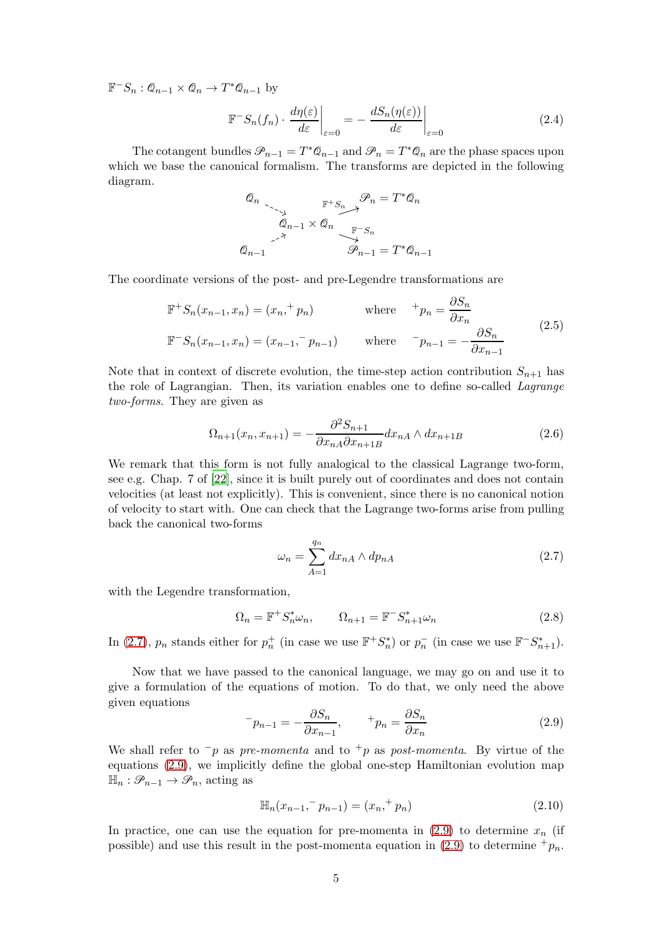$\mathbb{F}^{-}S_n: \mathcal{Q}_{n-1} \times \mathcal{Q}_n \to T^*\mathcal{Q}_{n-1}$  by

$$
\mathbb{F}^{-}S_n(f_n) \cdot \frac{d\eta(\varepsilon)}{d\varepsilon}\bigg|_{\varepsilon=0} = -\frac{dS_n(\eta(\varepsilon))}{d\varepsilon}\bigg|_{\varepsilon=0} \tag{2.4}
$$

The cotangent bundles  $\mathcal{P}_{n-1} = T^*\mathcal{Q}_{n-1}$  and  $\mathcal{P}_n = T^*\mathcal{Q}_n$  are the phase spaces upon which we base the canonical formalism. The transforms are depicted in the following diagram.

$$
\begin{array}{ccc}\n\mathcal{Q}_n & \xrightarrow{\mathbb{F}^+S_n} \mathcal{P}_n = T^*\mathcal{Q}_n \\
\downarrow{\mathcal{Q}_{n-1}} & \times \mathcal{Q}_n & \xrightarrow{\mathbb{F}^-S_n} \\
\mathcal{Q}_{n-1} & & \mathcal{P}_{n-1} = T^*\mathcal{Q}_{n-1}\n\end{array}
$$

The coordinate versions of the post- and pre-Legendre transformations are

$$
\mathbb{F}^{+}S_{n}(x_{n-1}, x_{n}) = (x_{n}, ^{+} p_{n}) \qquad \text{where} \qquad ^{+} p_{n} = \frac{\partial S_{n}}{\partial x_{n}} \n\mathbb{F}^{-}S_{n}(x_{n-1}, x_{n}) = (x_{n-1}, ^{-} p_{n-1}) \qquad \text{where} \qquad ^{-} p_{n-1} = -\frac{\partial S_{n}}{\partial x_{n-1}} \qquad (2.5)
$$

Note that in context of discrete evolution, the time-step action contribution  $S_{n+1}$  has the role of Lagrangian. Then, its variation enables one to define so-called Lagrange two-forms. They are given as

$$
\Omega_{n+1}(x_n, x_{n+1}) = -\frac{\partial^2 S_{n+1}}{\partial x_{nA} \partial x_{n+1B}} dx_{nA} \wedge dx_{n+1B}
$$
\n(2.6)

We remark that this form is not fully analogical to the classical Lagrange two-form, see e.g. Chap. 7 of [\[22](#page-37-0)], since it is built purely out of coordinates and does not contain velocities (at least not explicitly). This is convenient, since there is no canonical notion of velocity to start with. One can check that the Lagrange two-forms arise from pulling back the canonical two-forms

<span id="page-4-0"></span>
$$
\omega_n = \sum_{A=1}^{q_n} dx_{nA} \wedge dp_{nA} \tag{2.7}
$$

with the Legendre transformation,

$$
\Omega_n = \mathbb{F}^+ S_n^* \omega_n, \qquad \Omega_{n+1} = \mathbb{F}^- S_{n+1}^* \omega_n \tag{2.8}
$$

In [\(2.7\)](#page-4-0),  $p_n$  stands either for  $p_n^+$  (in case we use  $\mathbb{F}^+S_n^*$ ) or  $p_n^-$  (in case we use  $\mathbb{F}^-S_{n+1}^*$ ).

Now that we have passed to the canonical language, we may go on and use it to give a formulation of the equations of motion. To do that, we only need the above given equations

<span id="page-4-1"></span>
$$
^{-}p_{n-1} = -\frac{\partial S_n}{\partial x_{n-1}}, \qquad {}^{+}p_n = \frac{\partial S_n}{\partial x_n}
$$
\n(2.9)

We shall refer to  $\neg p$  as pre-momenta and to  $\neg p$  as post-momenta. By virtue of the equations [\(2.9\)](#page-4-1), we implicitly define the global one-step Hamiltonian evolution map  $\mathbb{H}_n : \mathscr{P}_{n-1} \to \mathscr{P}_n$ , acting as

<span id="page-4-2"></span>
$$
\mathbb{H}_n(x_{n-1}, \bar{p}_{n-1}) = (x_n, \bar{p}_n) \tag{2.10}
$$

In practice, one can use the equation for pre-momenta in  $(2.9)$  to determine  $x_n$  (if possible) and use this result in the post-momenta equation in [\(2.9\)](#page-4-1) to determine  $^+p_n$ .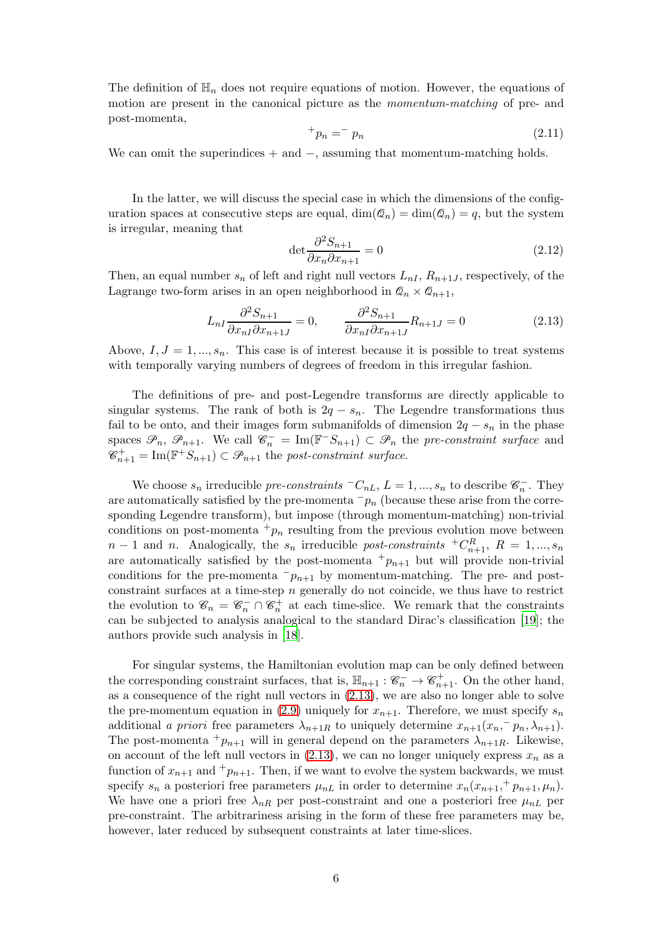The definition of  $\mathbb{H}_n$  does not require equations of motion. However, the equations of motion are present in the canonical picture as the momentum-matching of pre- and post-momenta,

<span id="page-5-1"></span>
$$
+p_n = -p_n \tag{2.11}
$$

We can omit the superindices  $+$  and  $-$ , assuming that momentum-matching holds.

In the latter, we will discuss the special case in which the dimensions of the configuration spaces at consecutive steps are equal,  $\dim(\mathcal{Q}_n) = \dim(\mathcal{Q}_n) = q$ , but the system is irregular, meaning that

$$
\det \frac{\partial^2 S_{n+1}}{\partial x_n \partial x_{n+1}} = 0 \tag{2.12}
$$

Then, an equal number  $s_n$  of left and right null vectors  $L_{nI}$ ,  $R_{n+1,I}$ , respectively, of the Lagrange two-form arises in an open neighborhood in  $\mathcal{Q}_n \times \mathcal{Q}_{n+1}$ ,

<span id="page-5-0"></span>
$$
L_{nI} \frac{\partial^2 S_{n+1}}{\partial x_{nI} \partial x_{n+1J}} = 0, \qquad \frac{\partial^2 S_{n+1}}{\partial x_{nI} \partial x_{n+1J}} R_{n+1J} = 0 \tag{2.13}
$$

Above,  $I, J = 1, ..., s_n$ . This case is of interest because it is possible to treat systems with temporally varying numbers of degrees of freedom in this irregular fashion.

The definitions of pre- and post-Legendre transforms are directly applicable to singular systems. The rank of both is  $2q - s_n$ . The Legendre transformations thus fail to be onto, and their images form submanifolds of dimension  $2q - s_n$  in the phase spaces  $\mathcal{P}_n$ ,  $\mathcal{P}_{n+1}$ . We call  $\mathcal{C}_n^- = \text{Im}(\mathbb{F}^{-}S_{n+1}) \subset \mathcal{P}_n$  the pre-constraint surface and  $\mathscr{C}_{n+1}^+ = \text{Im}(\mathbb{F}^+S_{n+1}) \subset \mathscr{P}_{n+1}$  the post-constraint surface.

We choose  $s_n$  irreducible pre-constraints  ${}^{\top}C_{nL}$ ,  $L = 1, ..., s_n$  to describe  $\mathscr{C}_n^-$ . They are automatically satisfied by the pre-momenta  $-p_n$  (because these arise from the corresponding Legendre transform), but impose (through momentum-matching) non-trivial conditions on post-momenta  $+p_n$  resulting from the previous evolution move between  $n-1$  and n. Analogically, the  $s_n$  irreducible post-constraints  ${}^+C_{n+1}^R$ ,  $R = 1, ..., s_n$ are automatically satisfied by the post-momenta  $+p_{n+1}$  but will provide non-trivial conditions for the pre-momenta  $-p_{n+1}$  by momentum-matching. The pre- and postconstraint surfaces at a time-step  $n$  generally do not coincide, we thus have to restrict the evolution to  $\mathcal{C}_n = \mathcal{C}_n^- \cap \mathcal{C}_n^+$  at each time-slice. We remark that the constraints can be subjected to analysis analogical to the standard Dirac's classification [\[19](#page-36-15)]; the authors provide such analysis in [\[18](#page-36-14)].

For singular systems, the Hamiltonian evolution map can be only defined between the corresponding constraint surfaces, that is,  $\mathbb{H}_{n+1} : \mathscr{C}_n^- \to \mathscr{C}_{n+1}^+$ . On the other hand, as a consequence of the right null vectors in [\(2.13\)](#page-5-0), we are also no longer able to solve the pre-momentum equation in [\(2.9\)](#page-4-1) uniquely for  $x_{n+1}$ . Therefore, we must specify  $s_n$ additional a priori free parameters  $\lambda_{n+1R}$  to uniquely determine  $x_{n+1}(x_n, \bar{p}_n, \lambda_{n+1})$ . The post-momenta  $+p_{n+1}$  will in general depend on the parameters  $\lambda_{n+1R}$ . Likewise, on account of the left null vectors in  $(2.13)$ , we can no longer uniquely express  $x_n$  as a function of  $x_{n+1}$  and  $\pm p_{n+1}$ . Then, if we want to evolve the system backwards, we must specify  $s_n$  a posteriori free parameters  $\mu_{nL}$  in order to determine  $x_n(x_{n+1},^+ p_{n+1}, \mu_n)$ . We have one a priori free  $\lambda_{nR}$  per post-constraint and one a posteriori free  $\mu_{nL}$  per pre-constraint. The arbitrariness arising in the form of these free parameters may be, however, later reduced by subsequent constraints at later time-slices.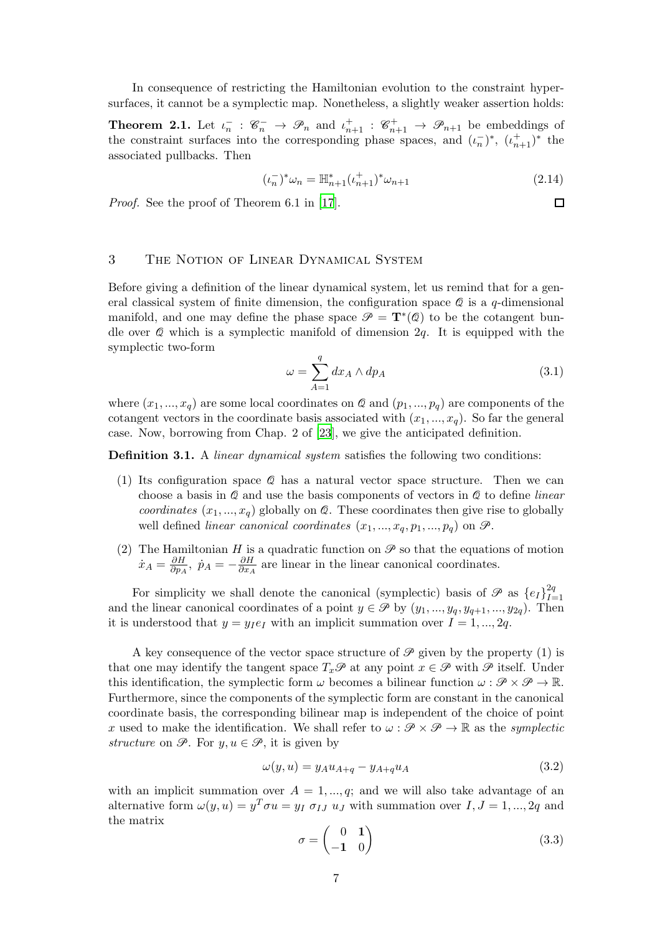In consequence of restricting the Hamiltonian evolution to the constraint hypersurfaces, it cannot be a symplectic map. Nonetheless, a slightly weaker assertion holds:

<span id="page-6-1"></span>**Theorem 2.1.** Let  $\iota_n^- : \mathscr{C}_n^- \to \mathscr{P}_n$  and  $\iota_{n+1}^+ : \mathscr{C}_{n+1}^+ \to \mathscr{P}_{n+1}$  be embeddings of the constraint surfaces into the corresponding phase spaces, and  $(\iota_n^-)^*$ ,  $(\iota_{n+1}^+)^*$  the associated pullbacks. Then

$$
(\iota_n^-)^* \omega_n = \mathbb{H}_{n+1}^*(\iota_{n+1}^+)^* \omega_{n+1}
$$
\n(2.14)

 $\Box$ 

Proof. See the proof of Theorem 6.1 in [\[17](#page-36-13)].

# <span id="page-6-0"></span>3 The Notion of Linear Dynamical System

Before giving a definition of the linear dynamical system, let us remind that for a general classical system of finite dimension, the configuration space  $\mathcal Q$  is a q-dimensional manifold, and one may define the phase space  $\mathcal{P} = \mathbf{T}^*(\mathcal{Q})$  to be the cotangent bundle over  $\&$  which is a symplectic manifold of dimension  $2q$ . It is equipped with the symplectic two-form

$$
\omega = \sum_{A=1}^{q} dx_A \wedge dp_A \tag{3.1}
$$

where  $(x_1, ..., x_q)$  are some local coordinates on  $\mathcal Q$  and  $(p_1, ..., p_q)$  are components of the cotangent vectors in the coordinate basis associated with  $(x_1, ..., x_q)$ . So far the general case. Now, borrowing from Chap. 2 of [\[23\]](#page-37-1), we give the anticipated definition.

**Definition 3.1.** A *linear dynamical system* satisfies the following two conditions:

- (1) Its configuration space Q has a natural vector space structure. Then we can choose a basis in  $Q$  and use the basis components of vectors in  $Q$  to define *linear* coordinates  $(x_1, ..., x_q)$  globally on  $\mathcal Q$ . These coordinates then give rise to globally well defined linear canonical coordinates  $(x_1, ..., x_q, p_1, ..., p_q)$  on  $\mathscr{P}$ .
- (2) The Hamiltonian H is a quadratic function on  $\mathscr P$  so that the equations of motion  $\dot{x}_A = \frac{\partial H}{\partial n_A}$  $\frac{\partial H}{\partial p_A},\,\, \dot{p}_A = -\frac{\partial H}{\partial x_A}$  $\frac{\partial H}{\partial x_A}$  are linear in the linear canonical coordinates.

For simplicity we shall denote the canonical (symplectic) basis of  $\mathscr P$  as  $\{e_I\}_{I=1}^{2q}$  $I=1$ and the linear canonical coordinates of a point  $y \in \mathcal{P}$  by  $(y_1, ..., y_q, y_{q+1}, ..., y_{2q})$ . Then it is understood that  $y = y_I e_I$  with an implicit summation over  $I = 1, ..., 2q$ .

A key consequence of the vector space structure of  $\mathscr P$  given by the property (1) is that one may identify the tangent space  $T_x\mathscr{P}$  at any point  $x \in \mathscr{P}$  with  $\mathscr{P}$  itself. Under this identification, the symplectic form  $\omega$  becomes a bilinear function  $\omega : \mathcal{P} \times \mathcal{P} \to \mathbb{R}$ . Furthermore, since the components of the symplectic form are constant in the canonical coordinate basis, the corresponding bilinear map is independent of the choice of point x used to make the identification. We shall refer to  $\omega : \mathcal{P} \times \mathcal{P} \to \mathbb{R}$  as the symplectic structure on  $\mathscr{P}$ . For  $y, u \in \mathscr{P}$ , it is given by

$$
\omega(y, u) = y_A u_{A+q} - y_{A+q} u_A \tag{3.2}
$$

with an implicit summation over  $A = 1, ..., q$ ; and we will also take advantage of an alternative form  $\omega(y, u) = y^T \sigma u = y_I \sigma_{IJ} u_J$  with summation over  $I, J = 1, ..., 2q$  and the matrix

$$
\sigma = \begin{pmatrix} 0 & 1 \\ -1 & 0 \end{pmatrix} \tag{3.3}
$$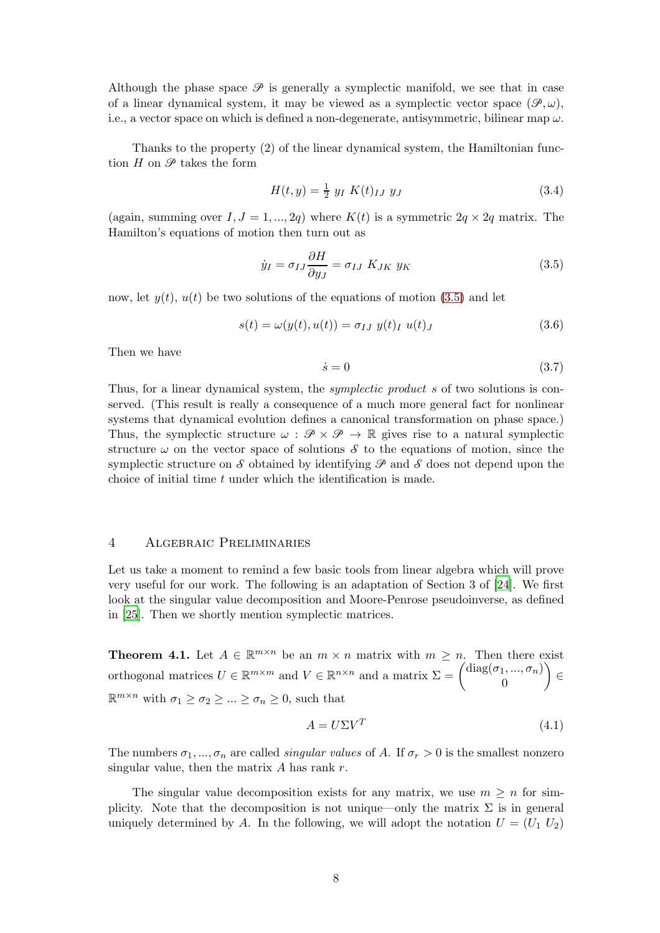Although the phase space  $\mathscr P$  is generally a symplectic manifold, we see that in case of a linear dynamical system, it may be viewed as a symplectic vector space  $(\mathscr{P}, \omega)$ , i.e., a vector space on which is defined a non-degenerate, antisymmetric, bilinear map  $\omega$ .

Thanks to the property (2) of the linear dynamical system, the Hamiltonian function  $H$  on  $\mathscr{P}$  takes the form

$$
H(t, y) = \frac{1}{2} y_I K(t)_{IJ} y_J
$$
\n(3.4)

(again, summing over  $I, J = 1, ..., 2q$ ) where  $K(t)$  is a symmetric  $2q \times 2q$  matrix. The Hamilton's equations of motion then turn out as

<span id="page-7-1"></span>
$$
\dot{y}_I = \sigma_{IJ} \frac{\partial H}{\partial y_J} = \sigma_{IJ} K_{JK} y_K \tag{3.5}
$$

now, let  $y(t)$ ,  $u(t)$  be two solutions of the equations of motion [\(3.5\)](#page-7-1) and let

$$
s(t) = \omega(y(t), u(t)) = \sigma_{IJ} y(t)_I u(t)_J
$$
\n(3.6)

Then we have

<span id="page-7-2"></span>
$$
\dot{s} = 0 \tag{3.7}
$$

Thus, for a linear dynamical system, the *symplectic product s* of two solutions is conserved. (This result is really a consequence of a much more general fact for nonlinear systems that dynamical evolution defines a canonical transformation on phase space.) Thus, the symplectic structure  $\omega : \mathscr{P} \times \mathscr{P} \to \mathbb{R}$  gives rise to a natural symplectic structure  $\omega$  on the vector space of solutions  $\mathcal S$  to the equations of motion, since the symplectic structure on S obtained by identifying  $\mathscr P$  and S does not depend upon the choice of initial time t under which the identification is made.

# <span id="page-7-0"></span>4 Algebraic Preliminaries

Let us take a moment to remind a few basic tools from linear algebra which will prove very useful for our work. The following is an adaptation of Section 3 of [\[24](#page-37-2)]. We first look at the singular value decomposition and Moore-Penrose pseudoinverse, as defined in [\[25](#page-37-3)]. Then we shortly mention symplectic matrices.

**Theorem 4.1.** Let  $A \in \mathbb{R}^{m \times n}$  be an  $m \times n$  matrix with  $m \geq n$ . Then there exist orthogonal matrices  $U \in \mathbb{R}^{m \times m}$  and  $V \in \mathbb{R}^{n \times n}$  and a matrix  $\Sigma = \begin{pmatrix} \text{diag}(\sigma_1, ..., \sigma_n) \\ 0 \end{pmatrix}$ 0  $\setminus$ ∈  $\mathbb{R}^{m \times n}$  with  $\sigma_1 \ge \sigma_2 \ge \dots \ge \sigma_n \ge 0$ , such that

$$
A = U\Sigma V^T \tag{4.1}
$$

The numbers  $\sigma_1, ..., \sigma_n$  are called *singular values* of A. If  $\sigma_r > 0$  is the smallest nonzero singular value, then the matrix  $A$  has rank  $r$ .

The singular value decomposition exists for any matrix, we use  $m \geq n$  for simplicity. Note that the decomposition is not unique—only the matrix  $\Sigma$  is in general uniquely determined by A. In the following, we will adopt the notation  $U = (U_1 U_2)$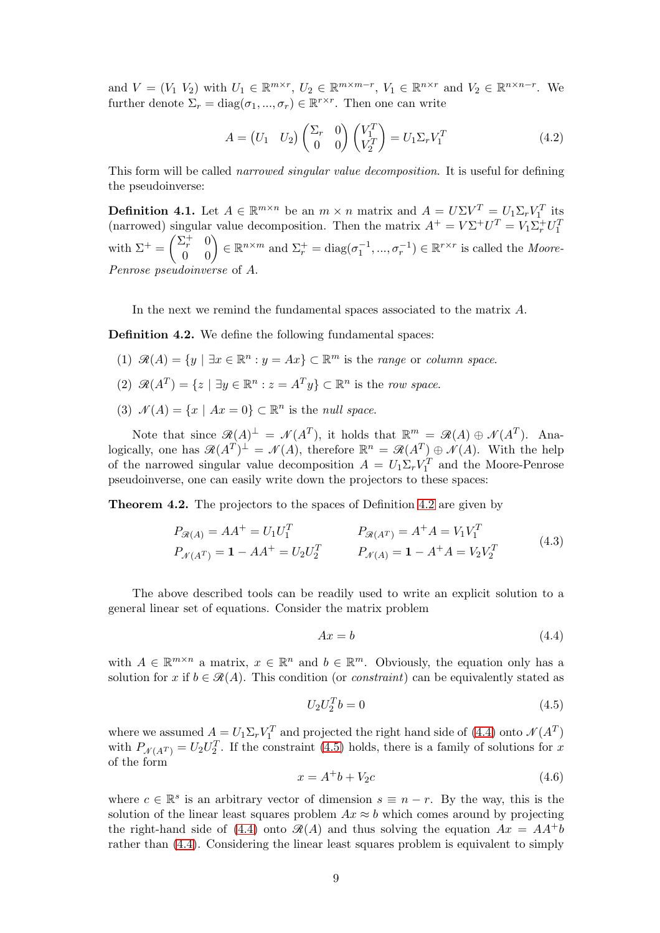and  $V = (V_1 \ V_2)$  with  $U_1 \in \mathbb{R}^{m \times r}$ ,  $U_2 \in \mathbb{R}^{m \times m-r}$ ,  $V_1 \in \mathbb{R}^{n \times r}$  and  $V_2 \in \mathbb{R}^{n \times n-r}$ . We further denote  $\Sigma_r = \text{diag}(\sigma_1, ..., \sigma_r) \in \mathbb{R}^{r \times r}$ . Then one can write

$$
A = \begin{pmatrix} U_1 & U_2 \end{pmatrix} \begin{pmatrix} \Sigma_r & 0 \\ 0 & 0 \end{pmatrix} \begin{pmatrix} V_1^T \\ V_2^T \end{pmatrix} = U_1 \Sigma_r V_1^T \tag{4.2}
$$

This form will be called narrowed singular value decomposition. It is useful for defining the pseudoinverse:

**Definition 4.1.** Let  $A \in \mathbb{R}^{m \times n}$  be an  $m \times n$  matrix and  $A = U \Sigma V^T = U_1 \Sigma_r V_1^T$  its (narrowed) singular value decomposition. Then the matrix  $A^+ = V\Sigma^+ U^T = V_1 \Sigma^+_r U_1^T$ with  $\Sigma^+ = \begin{pmatrix} \Sigma_r^+ & 0 \\ 0 & 0 \end{pmatrix} \in \mathbb{R}^{n \times m}$  and  $\Sigma_r^+ = \text{diag}(\sigma_1^{-1}, ..., \sigma_r^{-1}) \in \mathbb{R}^{r \times r}$  is called the *Moore-*Penrose pseudoinverse of A.

In the next we remind the fundamental spaces associated to the matrix A.

<span id="page-8-0"></span>Definition 4.2. We define the following fundamental spaces:

- (1)  $\mathcal{R}(A) = \{y \mid \exists x \in \mathbb{R}^n : y = Ax\} \subset \mathbb{R}^m$  is the *range* or *column space*.
- (2)  $\mathcal{R}(A^T) = \{z \mid \exists y \in \mathbb{R}^n : z = A^T y\} \subset \mathbb{R}^n$  is the row space.
- (3)  $\mathcal{N}(A) = \{x \mid Ax = 0\} \subset \mathbb{R}^n$  is the *null space*.

Note that since  $\mathcal{R}(A)^{\perp} = \mathcal{N}(A^T)$ , it holds that  $\mathbb{R}^m = \mathcal{R}(A) \oplus \mathcal{N}(A^T)$ . Analogically, one has  $\mathcal{R}(A^T)^{\perp} = \mathcal{N}(A)$ , therefore  $\mathbb{R}^n = \mathcal{R}(A^T) \oplus \mathcal{N}(A)$ . With the help of the narrowed singular value decomposition  $A = U_1 \Sigma_r V_1^T$  and the Moore-Penrose pseudoinverse, one can easily write down the projectors to these spaces:

Theorem 4.2. The projectors to the spaces of Definition [4.2](#page-8-0) are given by

$$
P_{\mathcal{R}(A)} = AA^{+} = U_1 U_1^T
$$
  
\n
$$
P_{\mathcal{R}(A^T)} = A^{+}A = V_1 V_1^T
$$
  
\n
$$
P_{\mathcal{N}(A^T)} = 1 - AA^{+} = U_2 U_2^T
$$
  
\n
$$
P_{\mathcal{N}(A)} = 1 - A^{+}A = V_2 V_2^T
$$
\n(4.3)

The above described tools can be readily used to write an explicit solution to a general linear set of equations. Consider the matrix problem

<span id="page-8-1"></span>
$$
Ax = b \tag{4.4}
$$

with  $A \in \mathbb{R}^{m \times n}$  a matrix,  $x \in \mathbb{R}^n$  and  $b \in \mathbb{R}^m$ . Obviously, the equation only has a solution for x if  $b \in \mathcal{R}(A)$ . This condition (or *constraint*) can be equivalently stated as

<span id="page-8-2"></span>
$$
U_2 U_2^T b = 0 \t\t(4.5)
$$

where we assumed  $A = U_1 \Sigma_r V_1^T$  and projected the right hand side of [\(4.4\)](#page-8-1) onto  $\mathcal{N}(A^T)$ with  $P_{\mathcal{N}(A^T)} = U_2 U_2^T$ . If the constraint [\(4.5\)](#page-8-2) holds, there is a family of solutions for x of the form

$$
x = A^+b + V_2c \tag{4.6}
$$

where  $c \in \mathbb{R}^s$  is an arbitrary vector of dimension  $s \equiv n - r$ . By the way, this is the solution of the linear least squares problem  $Ax \approx b$  which comes around by projecting the right-hand side of [\(4.4\)](#page-8-1) onto  $\mathcal{R}(A)$  and thus solving the equation  $Ax = AA^{+}b$ rather than [\(4.4\)](#page-8-1). Considering the linear least squares problem is equivalent to simply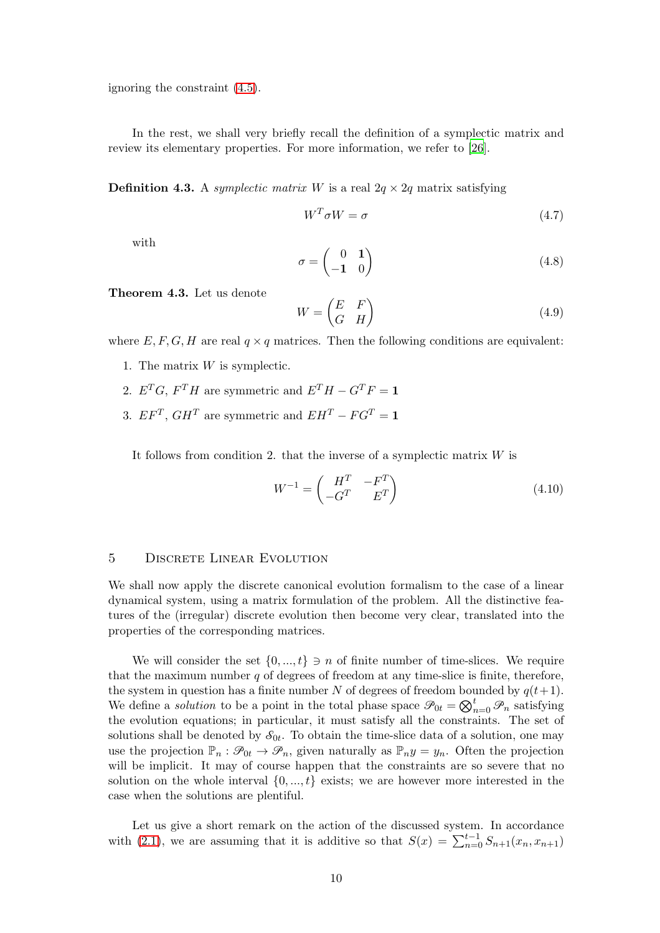ignoring the constraint [\(4.5\)](#page-8-2).

In the rest, we shall very briefly recall the definition of a symplectic matrix and review its elementary properties. For more information, we refer to [\[26\]](#page-37-4).

**Definition 4.3.** A symplectic matrix W is a real  $2q \times 2q$  matrix satisfying

$$
W^T \sigma W = \sigma \tag{4.7}
$$

with

$$
\sigma = \begin{pmatrix} 0 & 1 \\ -1 & 0 \end{pmatrix} \tag{4.8}
$$

<span id="page-9-1"></span>Theorem 4.3. Let us denote

$$
W = \begin{pmatrix} E & F \\ G & H \end{pmatrix} \tag{4.9}
$$

where  $E, F, G, H$  are real  $q \times q$  matrices. Then the following conditions are equivalent:

- 1. The matrix  $W$  is symplectic.
- 2.  $E^T G$ ,  $F^T H$  are symmetric and  $E^T H G^T F = \mathbf{1}$
- 3.  $EF^T$ ,  $GH^T$  are symmetric and  $EH^T FG^T = 1$

It follows from condition 2. that the inverse of a symplectic matrix  $W$  is

<span id="page-9-2"></span>
$$
W^{-1} = \begin{pmatrix} H^T & -F^T \\ -G^T & E^T \end{pmatrix} \tag{4.10}
$$

# <span id="page-9-0"></span>5 DISCRETE LINEAR EVOLUTION

We shall now apply the discrete canonical evolution formalism to the case of a linear dynamical system, using a matrix formulation of the problem. All the distinctive features of the (irregular) discrete evolution then become very clear, translated into the properties of the corresponding matrices.

We will consider the set  $\{0, ..., t\}$   $\ni$  *n* of finite number of time-slices. We require that the maximum number  $q$  of degrees of freedom at any time-slice is finite, therefore, the system in question has a finite number N of degrees of freedom bounded by  $q(t+1)$ . We define a *solution* to be a point in the total phase space  $\mathscr{P}_{0t} = \bigotimes_{n=0}^{t} \mathscr{P}_{n}$  satisfying the evolution equations; in particular, it must satisfy all the constraints. The set of solutions shall be denoted by  $\mathcal{S}_{0t}$ . To obtain the time-slice data of a solution, one may use the projection  $\mathbb{P}_n : \mathscr{P}_{0t} \to \mathscr{P}_n$ , given naturally as  $\mathbb{P}_n y = y_n$ . Often the projection will be implicit. It may of course happen that the constraints are so severe that no solution on the whole interval  $\{0, ..., t\}$  exists; we are however more interested in the case when the solutions are plentiful.

Let us give a short remark on the action of the discussed system. In accordance with [\(2.1\)](#page-3-0), we are assuming that it is additive so that  $S(x) = \sum_{n=0}^{t-1} S_{n+1}(x_n, x_{n+1})$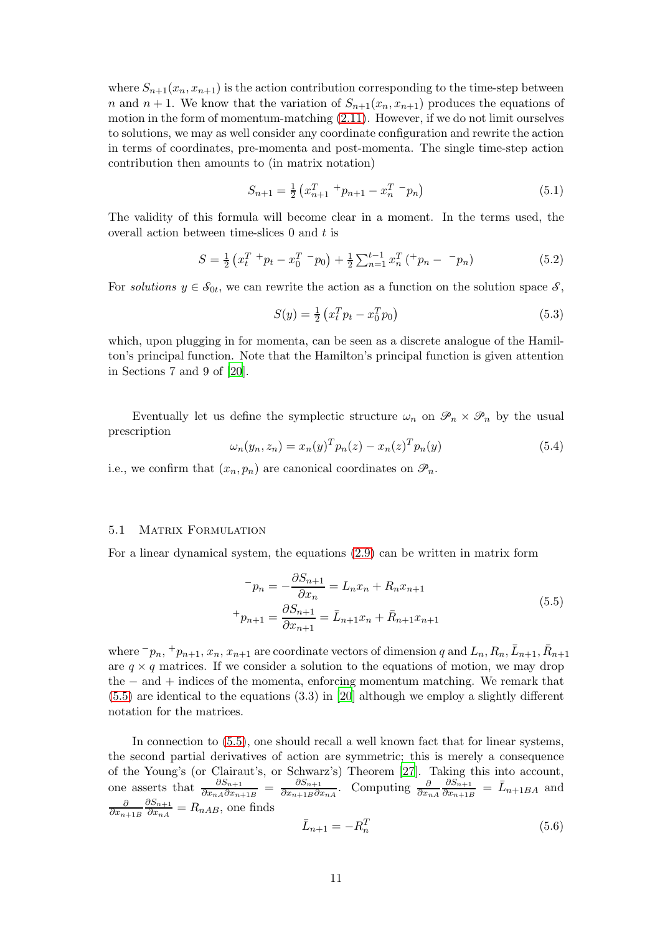where  $S_{n+1}(x_n, x_{n+1})$  is the action contribution corresponding to the time-step between n and  $n + 1$ . We know that the variation of  $S_{n+1}(x_n, x_{n+1})$  produces the equations of motion in the form of momentum-matching [\(2.11\)](#page-5-1). However, if we do not limit ourselves to solutions, we may as well consider any coordinate configuration and rewrite the action in terms of coordinates, pre-momenta and post-momenta. The single time-step action contribution then amounts to (in matrix notation)

<span id="page-10-2"></span>
$$
S_{n+1} = \frac{1}{2} \left( x_{n+1}^T + p_{n+1} - x_n^T - p_n \right) \tag{5.1}
$$

The validity of this formula will become clear in a moment. In the terms used, the overall action between time-slices  $0$  and  $t$  is

$$
S = \frac{1}{2} \left( x_t^T + p_t - x_0^T - p_0 \right) + \frac{1}{2} \sum_{n=1}^{t-1} x_n^T \left( x_p - p_n \right) \tag{5.2}
$$

For solutions  $y \in \mathcal{S}_{0t}$ , we can rewrite the action as a function on the solution space  $\mathcal{S}$ ,

$$
S(y) = \frac{1}{2} \left( x_t^T p_t - x_0^T p_0 \right) \tag{5.3}
$$

which, upon plugging in for momenta, can be seen as a discrete analogue of the Hamilton's principal function. Note that the Hamilton's principal function is given attention in Sections 7 and 9 of [\[20](#page-36-16)].

Eventually let us define the symplectic structure  $\omega_n$  on  $\mathscr{P}_n \times \mathscr{P}_n$  by the usual prescription

<span id="page-10-3"></span>
$$
\omega_n(y_n, z_n) = x_n(y)^T p_n(z) - x_n(z)^T p_n(y) \tag{5.4}
$$

i.e., we confirm that  $(x_n, p_n)$  are canonical coordinates on  $\mathscr{P}_n$ .

# 5.1 MATRIX FORMULATION

For a linear dynamical system, the equations [\(2.9\)](#page-4-1) can be written in matrix form

<span id="page-10-0"></span>
$$
{}^{-}p_{n} = -\frac{\partial S_{n+1}}{\partial x_{n}} = L_{n}x_{n} + R_{n}x_{n+1}
$$
  
+
$$
p_{n+1} = \frac{\partial S_{n+1}}{\partial x_{n+1}} = \bar{L}_{n+1}x_{n} + \bar{R}_{n+1}x_{n+1}
$$
\n(5.5)

where  $^-p_n$ ,  $^+p_{n+1}$ ,  $x_n$ ,  $x_{n+1}$  are coordinate vectors of dimension q and  $L_n$ ,  $R_n$ ,  $\bar{L}_{n+1}$ ,  $\bar{R}_{n+1}$ are  $q \times q$  matrices. If we consider a solution to the equations of motion, we may drop the − and + indices of the momenta, enforcing momentum matching. We remark that [\(5.5\)](#page-10-0) are identical to the equations (3.3) in [\[20](#page-36-16)] although we employ a slightly different notation for the matrices.

In connection to [\(5.5\)](#page-10-0), one should recall a well known fact that for linear systems, the second partial derivatives of action are symmetric; this is merely a consequence of the Young's (or Clairaut's, or Schwarz's) Theorem [\[27\]](#page-37-5). Taking this into account, one asserts that  $\frac{\partial S_{n+1}}{\partial x_{nA}\partial x_{n+1B}} = \frac{\partial S_{n+1}}{\partial x_{n+1B}\partial x_{n}}$  $\frac{\partial S_{n+1}}{\partial x_{n+1}B}\partial x_{nA}$ . Computing  $\frac{\partial S_{n+1}}{\partial x_{nA}}$  $\partial S_{n+1}$  $\frac{\partial S_{n+1}}{\partial x_{n+1B}} = \bar{L}_{n+1BA}$  and ∂  $\partial x_{n+1B}$  $\partial S_{n+1}$  $\frac{\partial \mathcal{S}_{n+1}}{\partial x_{nA}} = R_{nAB}$ , one finds

<span id="page-10-1"></span>
$$
\bar{L}_{n+1} = -R_n^T \tag{5.6}
$$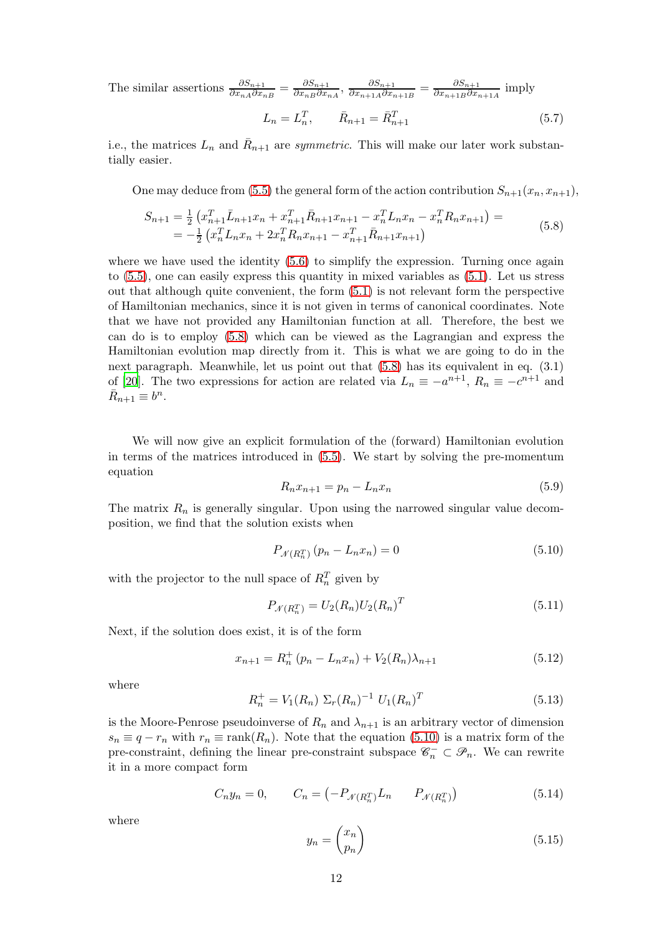The similar assertions  $\frac{\partial S_{n+1}}{\partial x_{nA}\partial x_{nB}} = \frac{\partial S_{n+1}}{\partial x_{nB}\partial x_{nB}}$  $\frac{\partial S_{n+1}}{\partial x_{nB} \partial x_{nA}}, \, \frac{\partial S_{n+1}}{\partial x_{n+1A} \partial x_n}$  $\frac{\partial S_{n+1}}{\partial x_{n+1A}\partial x_{n+1B}} = \frac{\partial S_{n+1}}{\partial x_{n+1B}\partial x_n}$  $\frac{\partial s_{n+1}}{\partial x_{n+1}B}\overline{\partial x_{n+1}A}$  imply

<span id="page-11-4"></span>
$$
L_n = L_n^T, \qquad \bar{R}_{n+1} = \bar{R}_{n+1}^T \tag{5.7}
$$

i.e., the matrices  $L_n$  and  $\bar{R}_{n+1}$  are *symmetric*. This will make our later work substantially easier.

One may deduce from [\(5.5\)](#page-10-0) the general form of the action contribution  $S_{n+1}(x_n, x_{n+1}),$ 

<span id="page-11-0"></span>
$$
S_{n+1} = \frac{1}{2} \left( x_{n+1}^T \bar{L}_{n+1} x_n + x_{n+1}^T \bar{R}_{n+1} x_{n+1} - x_n^T L_n x_n - x_n^T R_n x_{n+1} \right) =
$$
  
= 
$$
-\frac{1}{2} \left( x_n^T L_n x_n + 2x_n^T R_n x_{n+1} - x_{n+1}^T \bar{R}_{n+1} x_{n+1} \right)
$$
(5.8)

where we have used the identity  $(5.6)$  to simplify the expression. Turning once again to [\(5.5\)](#page-10-0), one can easily express this quantity in mixed variables as [\(5.1\)](#page-10-2). Let us stress out that although quite convenient, the form [\(5.1\)](#page-10-2) is not relevant form the perspective of Hamiltonian mechanics, since it is not given in terms of canonical coordinates. Note that we have not provided any Hamiltonian function at all. Therefore, the best we can do is to employ [\(5.8\)](#page-11-0) which can be viewed as the Lagrangian and express the Hamiltonian evolution map directly from it. This is what we are going to do in the next paragraph. Meanwhile, let us point out that [\(5.8\)](#page-11-0) has its equivalent in eq. (3.1) of [\[20](#page-36-16)]. The two expressions for action are related via  $L_n \equiv -a^{n+1}$ ,  $R_n \equiv -c^{n+1}$  and  $\overline{R}_{n+1} \equiv b^n$ .

We will now give an explicit formulation of the (forward) Hamiltonian evolution in terms of the matrices introduced in [\(5.5\)](#page-10-0). We start by solving the pre-momentum equation

$$
R_n x_{n+1} = p_n - L_n x_n \tag{5.9}
$$

The matrix  $R_n$  is generally singular. Upon using the narrowed singular value decomposition, we find that the solution exists when

<span id="page-11-1"></span>
$$
P_{\mathcal{N}(R_n^T)}(p_n - L_n x_n) = 0 \tag{5.10}
$$

with the projector to the null space of  $R_n^T$  given by

$$
P_{\mathcal{N}(R_n^T)} = U_2(R_n)U_2(R_n)^T
$$
\n(5.11)

Next, if the solution does exist, it is of the form

<span id="page-11-2"></span>
$$
x_{n+1} = R_n^+ (p_n - L_n x_n) + V_2(R_n) \lambda_{n+1}
$$
\n(5.12)

where

$$
R_n^+ = V_1(R_n) \Sigma_r(R_n)^{-1} U_1(R_n)^T
$$
\n(5.13)

is the Moore-Penrose pseudoinverse of  $R_n$  and  $\lambda_{n+1}$  is an arbitrary vector of dimension  $s_n \equiv q - r_n$  with  $r_n \equiv \text{rank}(R_n)$ . Note that the equation [\(5.10\)](#page-11-1) is a matrix form of the pre-constraint, defining the linear pre-constraint subspace  $\mathscr{C}_n^- \subset \mathscr{P}_n$ . We can rewrite it in a more compact form

<span id="page-11-3"></span>
$$
C_n y_n = 0, \qquad C_n = \left( -P_{\mathcal{N}(R_n^T)} L_n \qquad P_{\mathcal{N}(R_n^T)} \right) \tag{5.14}
$$

where

$$
y_n = \begin{pmatrix} x_n \\ p_n \end{pmatrix} \tag{5.15}
$$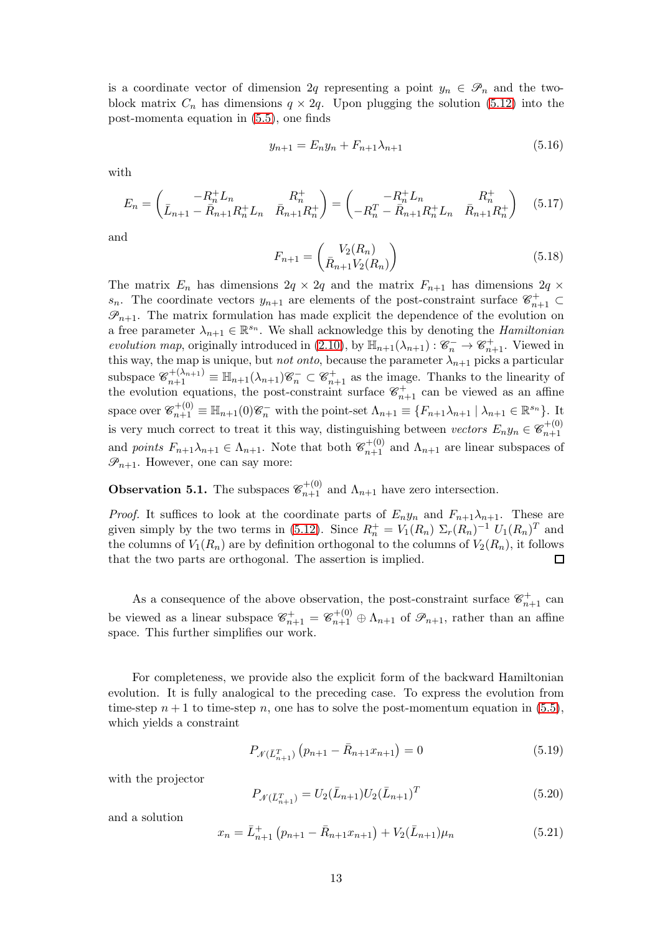is a coordinate vector of dimension 2q representing a point  $y_n \in \mathcal{P}_n$  and the twoblock matrix  $C_n$  has dimensions  $q \times 2q$ . Upon plugging the solution [\(5.12\)](#page-11-2) into the post-momenta equation in [\(5.5\)](#page-10-0), one finds

<span id="page-12-1"></span>
$$
y_{n+1} = E_n y_n + F_{n+1} \lambda_{n+1} \tag{5.16}
$$

with

<span id="page-12-2"></span>
$$
E_n = \begin{pmatrix} -R_n^+ L_n & R_n^+ \\ \bar{L}_{n+1} - \bar{R}_{n+1} R_n^+ L_n & \bar{R}_{n+1} R_n^+ \end{pmatrix} = \begin{pmatrix} -R_n^+ L_n & R_n^+ \\ -R_n^- - \bar{R}_{n+1} R_n^+ L_n & \bar{R}_{n+1} R_n^+ \end{pmatrix} \quad (5.17)
$$

and

<span id="page-12-3"></span>
$$
F_{n+1} = \begin{pmatrix} V_2(R_n) \\ \bar{R}_{n+1} V_2(R_n) \end{pmatrix}
$$
 (5.18)

The matrix  $E_n$  has dimensions  $2q \times 2q$  and the matrix  $F_{n+1}$  has dimensions  $2q \times$ s<sub>n</sub>. The coordinate vectors  $y_{n+1}$  are elements of the post-constraint surface  $\mathscr{C}^+_{n+1} \subset$  $\mathscr{P}_{n+1}$ . The matrix formulation has made explicit the dependence of the evolution on a free parameter  $\lambda_{n+1} \in \mathbb{R}^{s_n}$ . We shall acknowledge this by denoting the *Hamiltonian* evolution map, originally introduced in [\(2.10\)](#page-4-2), by  $\mathbb{H}_{n+1}(\lambda_{n+1}): \mathscr{C}_n^- \to \mathscr{C}_{n+1}^+$ . Viewed in this way, the map is unique, but *not onto*, because the parameter  $\lambda_{n+1}$  picks a particular subspace  $\mathscr{C}_{n+1}^{+(\lambda_{n+1})} \equiv \mathbb{H}_{n+1}(\lambda_{n+1})\mathscr{C}_n^- \subset \mathscr{C}_{n+1}^+$  as the image. Thanks to the linearity of the evolution equations, the post-constraint surface  $\mathscr{C}^+_{n+1}$  can be viewed as an affine space over  $\mathscr{C}_{n+1}^{+(0)} \equiv \mathbb{H}_{n+1}(0)\mathscr{C}_n^-$  with the point-set  $\Lambda_{n+1} \equiv \{F_{n+1}\lambda_{n+1} \mid \lambda_{n+1} \in \mathbb{R}^{s_n}\}.$  It is very much correct to treat it this way, distinguishing between vectors  $E_n y_n \in \mathscr{C}_{n+1}^{+(0)}$  $n+1$ and points  $F_{n+1}\lambda_{n+1} \in \Lambda_{n+1}$ . Note that both  $\mathcal{C}_{n+1}^{+(0)}$  and  $\Lambda_{n+1}$  are linear subspaces of  $\mathscr{P}_{n+1}$ . However, one can say more:

**Observation 5.1.** The subspaces  $\mathcal{C}_{n+1}^{+(0)}$  and  $\Lambda_{n+1}$  have zero intersection.

*Proof.* It suffices to look at the coordinate parts of  $E_n y_n$  and  $F_{n+1}\lambda_{n+1}$ . These are given simply by the two terms in [\(5.12\)](#page-11-2). Since  $R_n^+ = V_1(R_n) \Sigma_r(R_n)^{-1} U_1(R_n)^T$  and the columns of  $V_1(R_n)$  are by definition orthogonal to the columns of  $V_2(R_n)$ , it follows that the two parts are orthogonal. The assertion is implied.

As a consequence of the above observation, the post-constraint surface  $\mathscr{C}^+_{n+1}$  can be viewed as a linear subspace  $\mathcal{C}_{n+1}^+ = \mathcal{C}_{n+1}^{+(0)} \oplus \Lambda_{n+1}$  of  $\mathcal{P}_{n+1}$ , rather than an affine space. This further simplifies our work.

For completeness, we provide also the explicit form of the backward Hamiltonian evolution. It is fully analogical to the preceding case. To express the evolution from time-step  $n + 1$  to time-step n, one has to solve the post-momentum equation in [\(5.5\)](#page-10-0), which yields a constraint

<span id="page-12-0"></span>
$$
P_{\mathcal{N}(\bar{L}_{n+1}^T)}\left(p_{n+1} - \bar{R}_{n+1}x_{n+1}\right) = 0\tag{5.19}
$$

with the projector

$$
P_{\mathcal{N}(\bar{L}_{n+1}^T)} = U_2(\bar{L}_{n+1})U_2(\bar{L}_{n+1})^T
$$
\n(5.20)

and a solution

$$
x_n = \bar{L}_{n+1}^+ (p_{n+1} - \bar{R}_{n+1} x_{n+1}) + V_2(\bar{L}_{n+1}) \mu_n \tag{5.21}
$$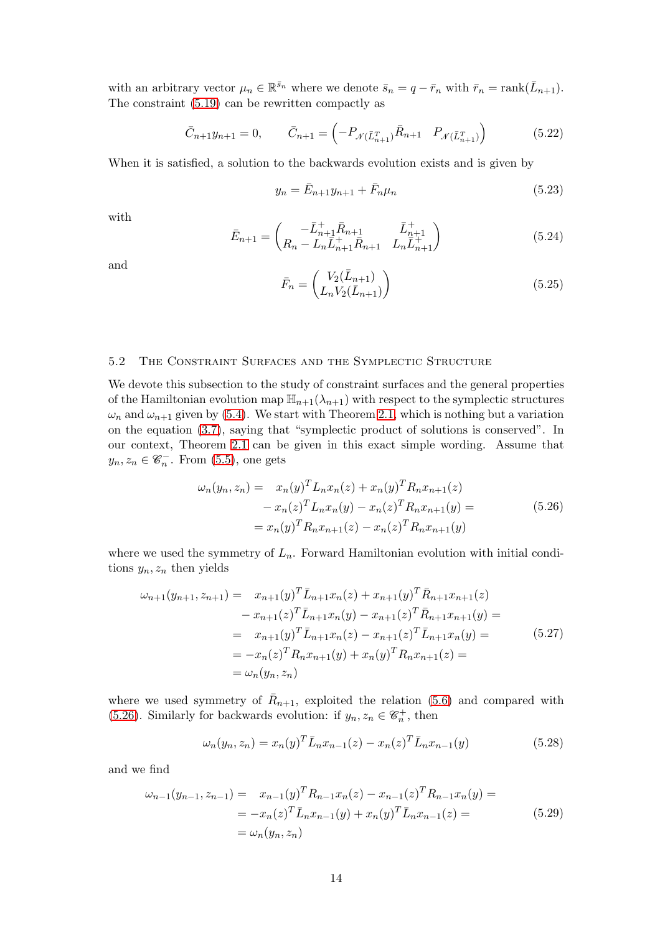with an arbitrary vector  $\mu_n \in \mathbb{R}^{\bar{s}_n}$  where we denote  $\bar{s}_n = q - \bar{r}_n$  with  $\bar{r}_n = \text{rank}(\bar{L}_{n+1})$ . The constraint [\(5.19\)](#page-12-0) can be rewritten compactly as

$$
\bar{C}_{n+1}y_{n+1} = 0, \qquad \bar{C}_{n+1} = \left(-P_{\mathcal{N}(\bar{L}_{n+1}^T)}\bar{R}_{n+1} \quad P_{\mathcal{N}(\bar{L}_{n+1}^T)}\right) \tag{5.22}
$$

When it is satisfied, a solution to the backwards evolution exists and is given by

$$
y_n = \bar{E}_{n+1} y_{n+1} + \bar{F}_n \mu_n \tag{5.23}
$$

with

$$
\bar{E}_{n+1} = \begin{pmatrix} -\bar{L}_{n+1}^{+} \bar{R}_{n+1} & \bar{L}_{n+1}^{+} \\ R_{n} - L_{n} \bar{L}_{n+1}^{+} \bar{R}_{n+1} & L_{n} \bar{L}_{n+1}^{+} \end{pmatrix}
$$
(5.24)

and

$$
\bar{F}_n = \begin{pmatrix} V_2(\bar{L}_{n+1}) \\ L_n V_2(\bar{L}_{n+1}) \end{pmatrix}
$$
\n(5.25)

# <span id="page-13-1"></span>5.2 The Constraint Surfaces and the Symplectic Structure

We devote this subsection to the study of constraint surfaces and the general properties of the Hamiltonian evolution map  $\mathbb{H}_{n+1}(\lambda_{n+1})$  with respect to the symplectic structures  $\omega_n$  and  $\omega_{n+1}$  given by [\(5.4\)](#page-10-3). We start with Theorem [2.1,](#page-6-1) which is nothing but a variation on the equation [\(3.7\)](#page-7-2), saying that "symplectic product of solutions is conserved". In our context, Theorem [2.1](#page-6-1) can be given in this exact simple wording. Assume that  $y_n, z_n \in \mathscr{C}_n^-$ . From [\(5.5\)](#page-10-0), one gets

<span id="page-13-0"></span>
$$
\omega_n(y_n, z_n) = x_n(y)^T L_n x_n(z) + x_n(y)^T R_n x_{n+1}(z)
$$
  

$$
- x_n(z)^T L_n x_n(y) - x_n(z)^T R_n x_{n+1}(y) =
$$
  

$$
= x_n(y)^T R_n x_{n+1}(z) - x_n(z)^T R_n x_{n+1}(y)
$$
 (5.26)

where we used the symmetry of  $L_n$ . Forward Hamiltonian evolution with initial conditions  $y_n, z_n$  then yields

$$
\omega_{n+1}(y_{n+1}, z_{n+1}) = x_{n+1}(y)^T \bar{L}_{n+1} x_n(z) + x_{n+1}(y)^T \bar{R}_{n+1} x_{n+1}(z)
$$
  
\n
$$
- x_{n+1}(z)^T \bar{L}_{n+1} x_n(y) - x_{n+1}(z)^T \bar{R}_{n+1} x_{n+1}(y) =
$$
  
\n
$$
= x_{n+1}(y)^T \bar{L}_{n+1} x_n(z) - x_{n+1}(z)^T \bar{L}_{n+1} x_n(y) =
$$
  
\n
$$
= -x_n(z)^T R_n x_{n+1}(y) + x_n(y)^T R_n x_{n+1}(z) =
$$
  
\n
$$
= \omega_n(y_n, z_n)
$$
 (5.27)

where we used symmetry of  $\bar{R}_{n+1}$ , exploited the relation [\(5.6\)](#page-10-1) and compared with [\(5.26\)](#page-13-0). Similarly for backwards evolution: if  $y_n, z_n \in \mathcal{C}_n^+$ , then

$$
\omega_n(y_n, z_n) = x_n(y)^T \bar{L}_n x_{n-1}(z) - x_n(z)^T \bar{L}_n x_{n-1}(y)
$$
\n(5.28)

and we find

$$
\omega_{n-1}(y_{n-1}, z_{n-1}) = x_{n-1}(y)^T R_{n-1} x_n(z) - x_{n-1}(z)^T R_{n-1} x_n(y) =
$$
  
=  $-x_n(z)^T \bar{L}_n x_{n-1}(y) + x_n(y)^T \bar{L}_n x_{n-1}(z) =$   
=  $\omega_n(y_n, z_n)$  (5.29)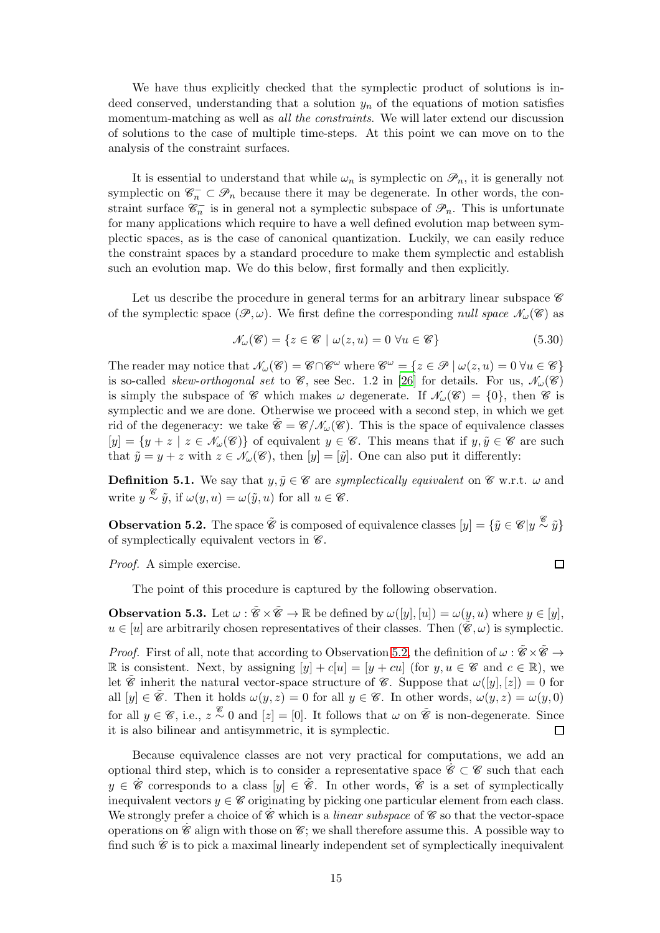We have thus explicitly checked that the symplectic product of solutions is indeed conserved, understanding that a solution  $y_n$  of the equations of motion satisfies momentum-matching as well as *all the constraints*. We will later extend our discussion of solutions to the case of multiple time-steps. At this point we can move on to the analysis of the constraint surfaces.

It is essential to understand that while  $\omega_n$  is symplectic on  $\mathcal{P}_n$ , it is generally not symplectic on  $\mathscr{C}_n^- \subset \mathscr{P}_n$  because there it may be degenerate. In other words, the constraint surface  $\mathscr{C}_n^-$  is in general not a symplectic subspace of  $\mathscr{P}_n$ . This is unfortunate for many applications which require to have a well defined evolution map between symplectic spaces, as is the case of canonical quantization. Luckily, we can easily reduce the constraint spaces by a standard procedure to make them symplectic and establish such an evolution map. We do this below, first formally and then explicitly.

Let us describe the procedure in general terms for an arbitrary linear subspace  $\mathscr C$ of the symplectic space  $(\mathscr{P}, \omega)$ . We first define the corresponding *null space*  $\mathscr{N}_{\omega}(\mathscr{C})$  as

$$
\mathcal{N}_{\omega}(\mathcal{C}) = \{ z \in \mathcal{C} \mid \omega(z, u) = 0 \,\forall u \in \mathcal{C} \}
$$
\n
$$
(5.30)
$$

 $\Box$ 

The reader may notice that  $\mathcal{N}_{\omega}(\mathscr{C}) = \mathscr{C} \cap \mathscr{C}^{\omega}$  where  $\mathscr{C}^{\omega} = \{z \in \mathscr{P} \mid \omega(z, u) = 0 \,\forall u \in \mathscr{C}\}\$ is so-called *skew-orthogonal set* to  $\mathscr{C}$ , see Sec. 1.2 in [\[26](#page-37-4)] for details. For us,  $\mathscr{N}_{\omega}(\mathscr{C})$ is simply the subspace of C which makes  $\omega$  degenerate. If  $\mathcal{N}_{\omega}(\mathscr{C}) = \{0\}$ , then C is symplectic and we are done. Otherwise we proceed with a second step, in which we get rid of the degeneracy: we take  $\mathscr{C} = \mathscr{C}/\mathscr{N}_{\omega}(\mathscr{C})$ . This is the space of equivalence classes  $[y] = \{y + z \mid z \in \mathcal{N}_{\omega}(\mathscr{C})\}\$  of equivalent  $y \in \mathscr{C}$ . This means that if  $y, \tilde{y} \in \mathscr{C}$  are such that  $\tilde{y} = y + z$  with  $z \in \mathcal{N}_{\omega}(\mathscr{C})$ , then  $[y] = [\tilde{y}]$ . One can also put it differently:

**Definition 5.1.** We say that  $y, \tilde{y} \in \mathscr{C}$  are symplectically equivalent on  $\mathscr{C}$  w.r.t.  $\omega$  and write  $y \stackrel{\mathscr{C}}{\sim} \tilde{y}$ , if  $\omega(y, u) = \omega(\tilde{y}, u)$  for all  $u \in \mathscr{C}$ .

<span id="page-14-0"></span>**Observation 5.2.** The space  $\tilde{\mathscr{C}}$  is composed of equivalence classes  $[y] = {\tilde{y} \in \mathscr{C} | y \stackrel{\mathscr{C}}{\sim} \tilde{y}}\}$ of symplectically equivalent vectors in  $\mathscr{C}$ .

Proof. A simple exercise.

The point of this procedure is captured by the following observation.

<span id="page-14-1"></span>**Observation 5.3.** Let  $\omega : \tilde{\mathscr{C}} \times \tilde{\mathscr{C}} \to \mathbb{R}$  be defined by  $\omega([y], [u]) = \omega(y, u)$  where  $y \in [y]$ ,  $u \in [u]$  are arbitrarily chosen representatives of their classes. Then  $(\mathscr{C}, \omega)$  is symplectic.

*Proof.* First of all, note that according to Observation [5.2,](#page-14-0) the definition of  $\omega : \tilde{\mathscr{C}} \times \tilde{\mathscr{C}} \to$ R is consistent. Next, by assigning  $[y] + c[u] = [y + cu]$  (for  $y, u \in \mathscr{C}$  and  $c \in \mathbb{R}$ ), we let  $\tilde{\mathscr{C}}$  inherit the natural vector-space structure of  $\mathscr{C}$ . Suppose that  $\omega([y],[z]) = 0$  for all  $[y] \in \tilde{\mathscr{C}}$ . Then it holds  $\omega(y, z) = 0$  for all  $y \in \mathscr{C}$ . In other words,  $\omega(y, z) = \omega(y, 0)$ for all  $y \in \mathscr{C}$ , i.e.,  $z \stackrel{\mathscr{C}}{\sim} 0$  and  $[z] = [0]$ . It follows that  $\omega$  on  $\tilde{\mathscr{C}}$  is non-degenerate. Since it is also bilinear and antisymmetric, it is symplectic.

Because equivalence classes are not very practical for computations, we add an optional third step, which is to consider a representative space  $\mathscr{C} \subset \mathscr{C}$  such that each  $y \in \dot{\mathscr{C}}$  corresponds to a class  $[y] \in \tilde{\mathscr{C}}$ . In other words,  $\dot{\mathscr{C}}$  is a set of symplectically inequivalent vectors  $y \in \mathscr{C}$  originating by picking one particular element from each class. We strongly prefer a choice of  $\mathscr C$  which is a *linear subspace* of  $\mathscr C$  so that the vector-space operations on  $\mathscr{C}$  align with those on  $\mathscr{C}$ ; we shall therefore assume this. A possible way to find such  $\dot{\mathscr{C}}$  is to pick a maximal linearly independent set of symplectically inequivalent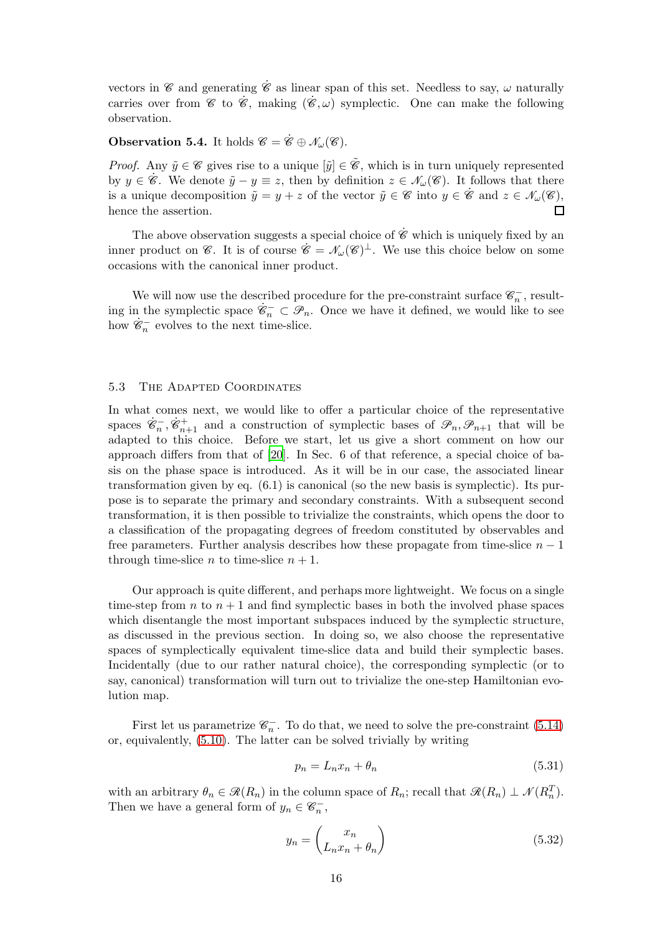vectors in  $\mathscr C$  and generating  $\dot{\mathscr C}$  as linear span of this set. Needless to say,  $\omega$  naturally carries over from  $\mathscr{C}$  to  $\dot{\mathscr{C}}$ , making  $(\dot{\mathscr{C}}, \omega)$  symplectic. One can make the following observation.

# <span id="page-15-0"></span>**Observation 5.4.** It holds  $\mathscr{C} = \dot{\mathscr{C}} \oplus \mathscr{N}_{\omega}(\mathscr{C})$ .

*Proof.* Any  $\tilde{y} \in \mathscr{C}$  gives rise to a unique  $[\tilde{y}] \in \tilde{\mathscr{C}}$ , which is in turn uniquely represented by  $y \in \mathscr{C}$ . We denote  $\tilde{y} - y \equiv z$ , then by definition  $z \in \mathcal{N}_{\omega}(\mathscr{C})$ . It follows that there is a unique decomposition  $\tilde{y} = y + z$  of the vector  $\tilde{y} \in \mathscr{C}$  into  $y \in \tilde{\mathscr{C}}$  and  $z \in \mathscr{N}_{\omega}(\mathscr{C}),$ <br>hence the assertion. hence the assertion.

The above observation suggests a special choice of  $\hat{\mathscr{C}}$  which is uniquely fixed by an inner product on  $\mathscr{C}$ . It is of course  $\dot{\mathscr{C}} = \mathscr{N}_{\omega}(\mathscr{C})^{\perp}$ . We use this choice below on some occasions with the canonical inner product.

We will now use the described procedure for the pre-constraint surface  $\mathscr{C}_n^-$ , resulting in the symplectic space  $\dot{\mathscr{C}}_n^- \subset \mathscr{P}_n$ . Once we have it defined, we would like to see how  $\dot{\mathscr{C}}_n^-$  evolves to the next time-slice.

### 5.3 The Adapted Coordinates

In what comes next, we would like to offer a particular choice of the representative spaces  $\dot{\mathscr{C}}_n^-$ ,  $\dot{\mathscr{C}}_{n+1}^+$  and a construction of symplectic bases of  $\mathscr{P}_n$ ,  $\mathscr{P}_{n+1}$  that will be adapted to this choice. Before we start, let us give a short comment on how our approach differs from that of [\[20\]](#page-36-16). In Sec. 6 of that reference, a special choice of basis on the phase space is introduced. As it will be in our case, the associated linear transformation given by eq. (6.1) is canonical (so the new basis is symplectic). Its purpose is to separate the primary and secondary constraints. With a subsequent second transformation, it is then possible to trivialize the constraints, which opens the door to a classification of the propagating degrees of freedom constituted by observables and free parameters. Further analysis describes how these propagate from time-slice  $n - 1$ through time-slice *n* to time-slice  $n + 1$ .

Our approach is quite different, and perhaps more lightweight. We focus on a single time-step from n to  $n + 1$  and find symplectic bases in both the involved phase spaces which disentangle the most important subspaces induced by the symplectic structure, as discussed in the previous section. In doing so, we also choose the representative spaces of symplectically equivalent time-slice data and build their symplectic bases. Incidentally (due to our rather natural choice), the corresponding symplectic (or to say, canonical) transformation will turn out to trivialize the one-step Hamiltonian evolution map.

First let us parametrize  $\mathscr{C}_n^-$ . To do that, we need to solve the pre-constraint [\(5.14\)](#page-11-3) or, equivalently, [\(5.10\)](#page-11-1). The latter can be solved trivially by writing

$$
p_n = L_n x_n + \theta_n \tag{5.31}
$$

with an arbitrary  $\theta_n \in \mathcal{R}(R_n)$  in the column space of  $R_n$ ; recall that  $\mathcal{R}(R_n) \perp \mathcal{N}(R_n^T)$ . Then we have a general form of  $y_n \in \mathscr{C}_n^-$ ,

$$
y_n = \begin{pmatrix} x_n \\ L_n x_n + \theta_n \end{pmatrix} \tag{5.32}
$$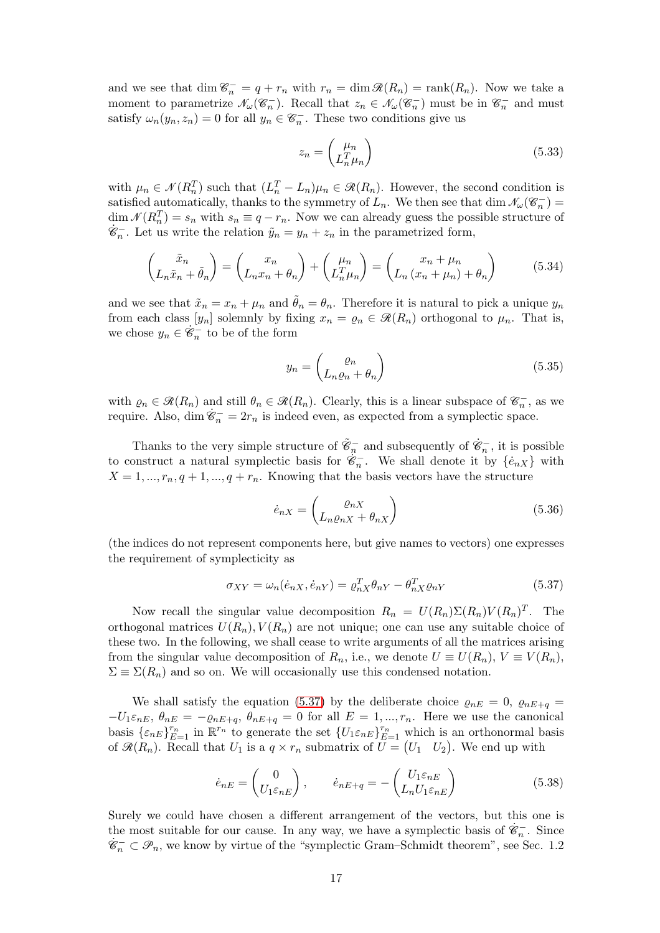and we see that  $\dim \mathcal{C}_n^- = q + r_n$  with  $r_n = \dim \mathcal{R}(R_n) = \text{rank}(R_n)$ . Now we take a moment to parametrize  $\mathcal{N}_{\omega}(\mathscr{C}_n^-)$ . Recall that  $z_n \in \mathcal{N}_{\omega}(\mathscr{C}_n^-)$  must be in  $\mathscr{C}_n^-$  and must satisfy  $\omega_n(y_n, z_n) = 0$  for all  $y_n \in \mathcal{C}_n^-$ . These two conditions give us

$$
z_n = \begin{pmatrix} \mu_n \\ L_n^T \mu_n \end{pmatrix} \tag{5.33}
$$

with  $\mu_n \in \mathcal{N}(R_n^T)$  such that  $(L_n^T - L_n)\mu_n \in \mathcal{R}(R_n)$ . However, the second condition is satisfied automatically, thanks to the symmetry of  $L_n$ . We then see that  $\dim \mathcal{N}_{\omega}(\mathcal{C}_n^-) =$  $\dim \mathcal{N}(R_n^T) = s_n$  with  $s_n \equiv q - r_n$ . Now we can already guess the possible structure of  $\dot{\mathcal{E}}_n^-$ . Let us write the relation  $\tilde{y}_n = y_n + z_n$  in the parametrized form,

$$
\begin{pmatrix} \tilde{x}_n \\ L_n \tilde{x}_n + \tilde{\theta}_n \end{pmatrix} = \begin{pmatrix} x_n \\ L_n x_n + \theta_n \end{pmatrix} + \begin{pmatrix} \mu_n \\ L_n^T \mu_n \end{pmatrix} = \begin{pmatrix} x_n + \mu_n \\ L_n (x_n + \mu_n) + \theta_n \end{pmatrix}
$$
(5.34)

and we see that  $\tilde{x}_n = x_n + \mu_n$  and  $\tilde{\theta}_n = \theta_n$ . Therefore it is natural to pick a unique  $y_n$ from each class  $[y_n]$  solemnly by fixing  $x_n = \varrho_n \in \mathcal{R}(R_n)$  orthogonal to  $\mu_n$ . That is, we chose  $y_n \in \dot{\mathscr{C}}_n^-$  to be of the form

$$
y_n = \begin{pmatrix} \varrho_n \\ L_n \varrho_n + \theta_n \end{pmatrix} \tag{5.35}
$$

with  $\varrho_n \in \mathcal{R}(R_n)$  and still  $\theta_n \in \mathcal{R}(R_n)$ . Clearly, this is a linear subspace of  $\mathcal{C}_n^-$ , as we require. Also, dim  $\mathscr{C}_n^- = 2r_n$  is indeed even, as expected from a symplectic space.

Thanks to the very simple structure of  $\tilde{\mathscr{C}}_n^-$  and subsequently of  $\dot{\mathscr{C}}_n^-$ , it is possible to construct a natural symplectic basis for  $\hat{\mathscr{C}}_n^-$ . We shall denote it by  $\{\hat{e}_{nX}\}\$  with  $X = 1, ..., r_n, q+1, ..., q+r_n$ . Knowing that the basis vectors have the structure

$$
\dot{e}_{nX} = \begin{pmatrix} \varrho_{nX} \\ L_n \varrho_{nX} + \theta_{nX} \end{pmatrix} \tag{5.36}
$$

(the indices do not represent components here, but give names to vectors) one expresses the requirement of symplecticity as

<span id="page-16-0"></span>
$$
\sigma_{XY} = \omega_n(\dot{e}_{nX}, \dot{e}_{nY}) = \varrho_{nX}^T \theta_{nY} - \theta_{nX}^T \varrho_{nY}
$$
\n(5.37)

Now recall the singular value decomposition  $R_n = U(R_n) \Sigma(R_n) V(R_n)^T$ . The orthogonal matrices  $U(R_n)$ ,  $V(R_n)$  are not unique; one can use any suitable choice of these two. In the following, we shall cease to write arguments of all the matrices arising from the singular value decomposition of  $R_n$ , i.e., we denote  $U \equiv U(R_n)$ ,  $V \equiv V(R_n)$ ,  $\Sigma \equiv \Sigma(R_n)$  and so on. We will occasionally use this condensed notation.

We shall satisfy the equation [\(5.37\)](#page-16-0) by the deliberate choice  $\varrho_{nE} = 0$ ,  $\varrho_{nE+q} =$  $-U_1\varepsilon_{nE}, \theta_{nE} = -\varrho_{nE+q}, \theta_{nE+q} = 0$  for all  $E = 1, ..., r_n$ . Here we use the canonical basis  $\{\varepsilon_{nE}\}_{E=1}^{r_n}$  in  $\mathbb{R}^{r_n}$  to generate the set  $\{U_1\varepsilon_{nE}\}_{E=1}^{r_n}$  which is an orthonormal basis of  $\mathcal{R}(R_n)$ . Recall that  $U_1$  is a  $q \times r_n$  submatrix of  $\overline{U} = (U_1 \ U_2)$ . We end up with

<span id="page-16-1"></span>
$$
\dot{e}_{nE} = \begin{pmatrix} 0 \\ U_1 \varepsilon_{nE} \end{pmatrix}, \qquad \dot{e}_{nE+q} = -\begin{pmatrix} U_1 \varepsilon_{nE} \\ L_n U_1 \varepsilon_{nE} \end{pmatrix}
$$
(5.38)

Surely we could have chosen a different arrangement of the vectors, but this one is the most suitable for our cause. In any way, we have a symplectic basis of  $\dot{\mathscr{C}}_n^-$ . Since  $\dot{\mathcal{C}}_n^- \subset \mathcal{P}_n$ , we know by virtue of the "symplectic Gram–Schmidt theorem", see Sec. 1.2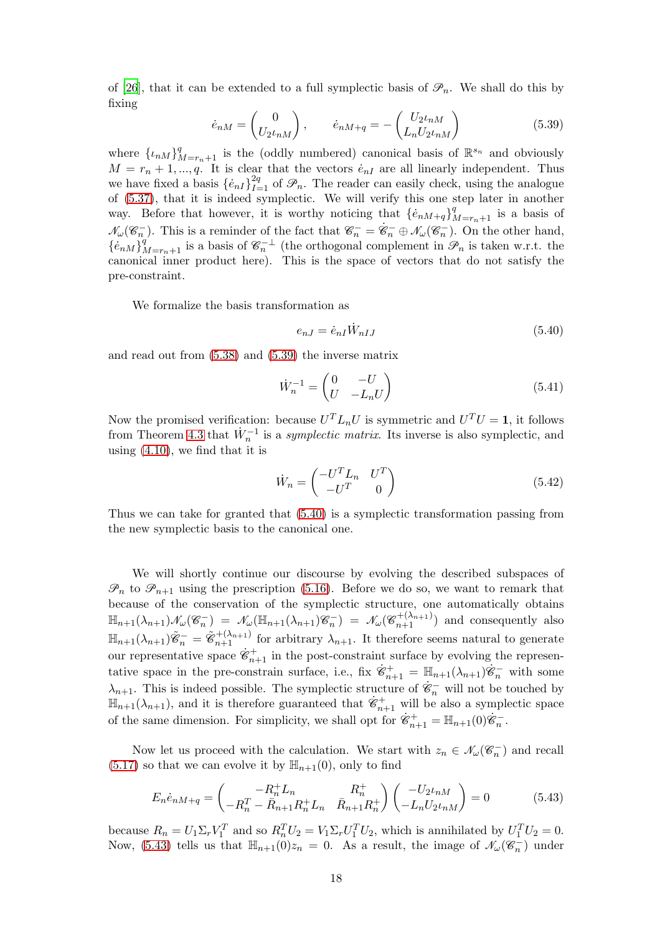of [\[26](#page-37-4)], that it can be extended to a full symplectic basis of  $\mathscr{P}_n$ . We shall do this by fixing

<span id="page-17-0"></span>
$$
\dot{e}_{nM} = \begin{pmatrix} 0 \\ U_2 t_{nM} \end{pmatrix}, \qquad \dot{e}_{nM+q} = -\begin{pmatrix} U_2 t_{nM} \\ L_n U_2 t_{nM} \end{pmatrix}
$$
(5.39)

where  $\{\iota_n M\}_{M=r_n+1}^q$  is the (oddly numbered) canonical basis of  $\mathbb{R}^{s_n}$  and obviously  $M = r_n + 1, ..., q$ . It is clear that the vectors  $\dot{e}_{nI}$  are all linearly independent. Thus we have fixed a basis  $\{\dot{e}_{nI}\}_{I=1}^{2q}$  of  $\mathcal{P}_n$ . The reader can easily check, using the analogue of [\(5.37\)](#page-16-0), that it is indeed symplectic. We will verify this one step later in another way. Before that however, it is worthy noticing that  $\{e_{nM+q}\}_{M=r_n+1}^q$  is a basis of  $\mathcal{N}_{\omega}(\mathscr{C}_{n}^{-})$ . This is a reminder of the fact that  $\mathscr{C}_{n}^{-} = \dot{\mathscr{C}}_{n}^{-} \oplus \mathcal{N}_{\omega}(\mathscr{C}_{n}^{-})$ . On the other hand,  $\{e_{nM}\}_{M=r_n+1}^q$  is a basis of  $\mathscr{C}_n^{-\perp}$  (the orthogonal complement in  $\mathscr{P}_n$  is taken w.r.t. the canonical inner product here). This is the space of vectors that do not satisfy the pre-constraint.

We formalize the basis transformation as

<span id="page-17-1"></span>
$$
e_{nJ} = \dot{e}_{nI} \dot{W}_{nIJ} \tag{5.40}
$$

and read out from [\(5.38\)](#page-16-1) and [\(5.39\)](#page-17-0) the inverse matrix

$$
\dot{W}_n^{-1} = \begin{pmatrix} 0 & -U \\ U & -L_n U \end{pmatrix} \tag{5.41}
$$

Now the promised verification: because  $U^T L_n U$  is symmetric and  $U^T U = 1$ , it follows from Theorem [4.3](#page-9-1) that  $\dot{W}_n^{-1}$  is a *symplectic matrix*. Its inverse is also symplectic, and using  $(4.10)$ , we find that it is

<span id="page-17-3"></span>
$$
\dot{W}_n = \begin{pmatrix} -U^T L_n & U^T \\ -U^T & 0 \end{pmatrix} \tag{5.42}
$$

Thus we can take for granted that [\(5.40\)](#page-17-1) is a symplectic transformation passing from the new symplectic basis to the canonical one.

We will shortly continue our discourse by evolving the described subspaces of  $\mathscr{P}_n$  to  $\mathscr{P}_{n+1}$  using the prescription [\(5.16\)](#page-12-1). Before we do so, we want to remark that because of the conservation of the symplectic structure, one automatically obtains  $\mathbb{H}_{n+1}(\lambda_{n+1})\mathcal{N}_{\omega}(\mathscr{C}_n^-) = \mathcal{N}_{\omega}(\mathbb{H}_{n+1}(\lambda_{n+1})\mathscr{C}_n^-) = \mathcal{N}_{\omega}(\mathscr{C}_{n+1}^{+(\lambda_{n+1})})$  and consequently also  $\mathbb{H}_{n+1}(\lambda_{n+1})\tilde{\mathscr{C}}_n^- = \tilde{\mathscr{C}}_{n+1}^{+(\lambda_{n+1})}$  for arbitrary  $\lambda_{n+1}$ . It therefore seems natural to generate our representative space  $\dot{\mathscr{C}}_{n+1}^+$  in the post-constraint surface by evolving the representative space in the pre-constrain surface, i.e., fix  $\dot{\mathscr{C}}_{n+1}^+ = \mathbb{H}_{n+1}(\lambda_{n+1})\dot{\mathscr{C}}_n^-$  with some  $\lambda_{n+1}$ . This is indeed possible. The symplectic structure of  $\hat{\mathscr{C}}_n^-$  will not be touched by  $\mathbb{H}_{n+1}(\lambda_{n+1}),$  and it is therefore guaranteed that  $\dot{\mathscr{C}}_{n+1}^+$  will be also a symplectic space of the same dimension. For simplicity, we shall opt for  $\dot{\mathscr{C}}_{n+1}^+ = \mathbb{H}_{n+1}(0)\dot{\mathscr{C}}_n^-$ .

Now let us proceed with the calculation. We start with  $z_n \in \mathcal{N}_{\omega}(\mathcal{C}_n)$  and recall  $(5.17)$  so that we can evolve it by  $\mathbb{H}_{n+1}(0)$ , only to find

<span id="page-17-2"></span>
$$
E_n \dot{e}_{nM+q} = \begin{pmatrix} -R_n^+ L_n & R_n^+ \\ -R_n^T - \bar{R}_{n+1} R_n^+ L_n & \bar{R}_{n+1} R_n^+ \end{pmatrix} \begin{pmatrix} -U_2 \iota_{nM} \\ -L_n U_2 \iota_{nM} \end{pmatrix} = 0 \tag{5.43}
$$

because  $R_n = U_1 \Sigma_r V_1^T$  and so  $R_n^T U_2 = V_1 \Sigma_r U_1^T U_2$ , which is annihilated by  $U_1^T U_2 = 0$ . Now, [\(5.43\)](#page-17-2) tells us that  $\mathbb{H}_{n+1}(0)z_n = 0$ . As a result, the image of  $\mathcal{N}_{\omega}(\mathscr{C}_n)$  under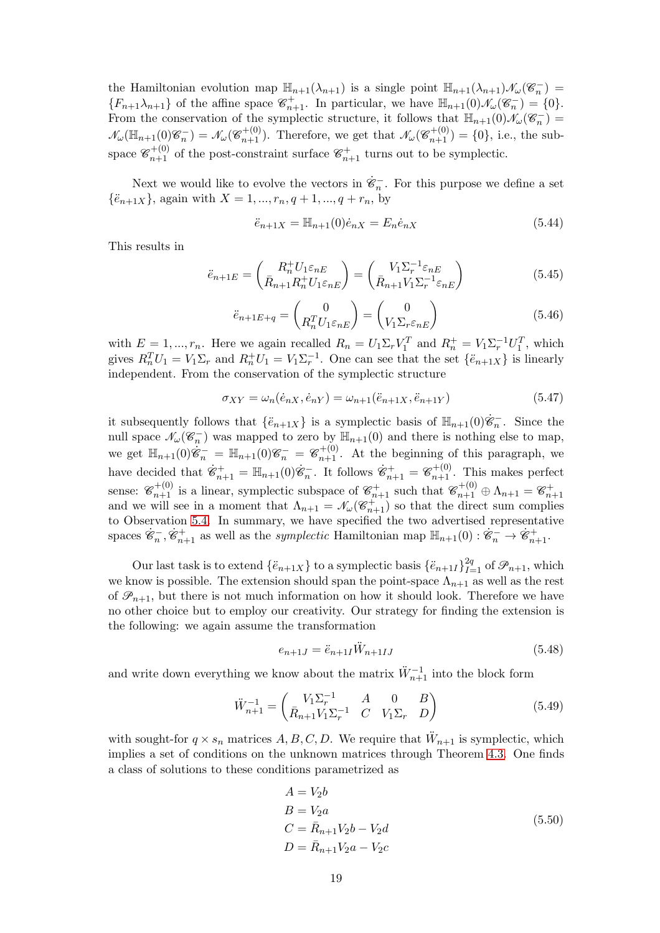the Hamiltonian evolution map  $\mathbb{H}_{n+1}(\lambda_{n+1})$  is a single point  $\mathbb{H}_{n+1}(\lambda_{n+1})\mathcal{N}_{\omega}(\mathscr{C}_n^-)$  ${F_{n+1}\lambda_{n+1}}$  of the affine space  $\mathcal{C}_{n+1}^+$ . In particular, we have  $\mathbb{H}_{n+1}(0)\mathcal{N}_{\omega}(\mathcal{C}_n^-) = \{0\}.$ From the conservation of the symplectic structure, it follows that  $\mathbb{H}_{n+1}(0)\mathcal{N}_{\omega}(\mathscr{C}_n^{-})=$  $\mathcal{N}_{\omega}(\mathbb{H}_{n+1}(0)\mathscr{C}_n^{-}) = \mathcal{N}_{\omega}(\mathscr{C}_{n+1}^{+(0)})$ . Therefore, we get that  $\mathcal{N}_{\omega}(\mathscr{C}_{n+1}^{+(0)}) = \{0\}$ , i.e., the subspace  $\mathcal{C}_{n+1}^{+(0)}$  of the post-constraint surface  $\mathcal{C}_{n+1}^+$  turns out to be symplectic.

Next we would like to evolve the vectors in  $\dot{\mathscr{C}}_n^-$ . For this purpose we define a set  $\{\ddot{e}_{n+1X}\}\$ , again with  $X = 1, ..., r_n, q+1, ..., q+r_n$ , by

<span id="page-18-4"></span>
$$
\ddot{e}_{n+1X} = \mathbb{H}_{n+1}(0)\dot{e}_{nX} = E_n \dot{e}_{nX}
$$
\n(5.44)

This results in

<span id="page-18-1"></span>
$$
\ddot{e}_{n+1E} = \begin{pmatrix} R_n^+ U_{1\epsilon_{nE}} \\ \bar{R}_{n+1} R_n^+ U_{1\epsilon_{nE}} \end{pmatrix} = \begin{pmatrix} V_1 \Sigma_r^{-1} \varepsilon_{nE} \\ \bar{R}_{n+1} V_1 \Sigma_r^{-1} \varepsilon_{nE} \end{pmatrix}
$$
(5.45)

<span id="page-18-2"></span>
$$
\ddot{e}_{n+1E+q} = \begin{pmatrix} 0 \\ R_n^T U_{1\epsilon_{nE}} \end{pmatrix} = \begin{pmatrix} 0 \\ V_{1}\Sigma_r \epsilon_{nE} \end{pmatrix}
$$
(5.46)

with  $E = 1, ..., r_n$ . Here we again recalled  $R_n = U_1 \Sigma_r V_1^T$  and  $R_n^+ = V_1 \Sigma_r^{-1} U_1^T$ , which gives  $R_n^T U_1 = V_1 \Sigma_r$  and  $R_n^+ U_1 = V_1 \Sigma_r^{-1}$ . One can see that the set  $\{\ddot{e}_{n+1}X\}$  is linearly independent. From the conservation of the symplectic structure

$$
\sigma_{XY} = \omega_n(\dot{e}_{nX}, \dot{e}_{nY}) = \omega_{n+1}(\ddot{e}_{n+1X}, \ddot{e}_{n+1Y})
$$
\n(5.47)

it subsequently follows that  $\{\ddot{e}_{n+1X}\}\)$  is a symplectic basis of  $\mathbb{H}_{n+1}(0)\dot{\mathcal{E}}_n^-$ . Since the null space  $\mathcal{N}_{\omega}(\mathscr{C}_{n}^{-})$  was mapped to zero by  $\mathbb{H}_{n+1}(0)$  and there is nothing else to map, we get  $\mathbb{H}_{n+1}(0)\dot{\mathscr{C}}_n^- = \mathbb{H}_{n+1}(0)\mathscr{C}_n^- = \mathscr{C}_{n+1}^{+(0)}$ . At the beginning of this paragraph, we have decided that  $\dot{\mathscr{C}}_{n+1}^+ = \mathbb{H}_{n+1}(0)\dot{\mathscr{C}}_n^-$ . It follows  $\dot{\mathscr{C}}_{n+1}^+ = \mathscr{C}_{n+1}^{+(0)}$ . This makes perfect sense:  $\mathcal{C}_{n+1}^{+(0)}$  is a linear, symplectic subspace of  $\mathcal{C}_{n+1}^{+}$  such that  $\mathcal{C}_{n+1}^{+(0)} \oplus \Lambda_{n+1} = \mathcal{C}_{n+1}^{+}$ <br>and we will see in a moment that  $\Lambda_{n+1} = \mathcal{N}_{\omega}(\mathcal{C}_{n+1}^{+})$  so that the direct sum compl to Observation [5.4.](#page-15-0) In summary, we have specified the two advertised representative spaces  $\dot{\mathscr{C}}_n^-$ ,  $\dot{\mathscr{C}}_{n+1}^+$  as well as the *symplectic* Hamiltonian map  $\mathbb{H}_{n+1}(0) : \dot{\mathscr{C}}_n^- \to \dot{\mathscr{C}}_{n+1}^+$ .

Our last task is to extend  $\{\ddot{e}_{n+1X}\}\)$  to a symplectic basis  $\{\ddot{e}_{n+1I}\}_{I=1}^{2q}$  of  $\mathscr{P}_{n+1}$ , which we know is possible. The extension should span the point-space  $\Lambda_{n+1}$  as well as the rest of  $\mathcal{P}_{n+1}$ , but there is not much information on how it should look. Therefore we have no other choice but to employ our creativity. Our strategy for finding the extension is the following: we again assume the transformation

$$
e_{n+1J} = \ddot{e}_{n+1I} \ddot{W}_{n+1IJ} \tag{5.48}
$$

and write down everything we know about the matrix  $\ddot{W}_{n+1}^{-1}$  into the block form

<span id="page-18-0"></span>
$$
\ddot{W}_{n+1}^{-1} = \begin{pmatrix} V_1 \Sigma_r^{-1} & A & 0 & B \\ \bar{R}_{n+1} V_1 \Sigma_r^{-1} & C & V_1 \Sigma_r & D \end{pmatrix}
$$
(5.49)

with sought-for  $q \times s_n$  matrices  $A, B, C, D$ . We require that  $\ddot{W}_{n+1}$  is symplectic, which implies a set of conditions on the unknown matrices through Theorem [4.3.](#page-9-1) One finds a class of solutions to these conditions parametrized as

<span id="page-18-3"></span>
$$
A = V_2b
$$
  
\n
$$
B = V_2a
$$
  
\n
$$
C = \bar{R}_{n+1}V_2b - V_2d
$$
  
\n
$$
D = \bar{R}_{n+1}V_2a - V_2c
$$
\n(5.50)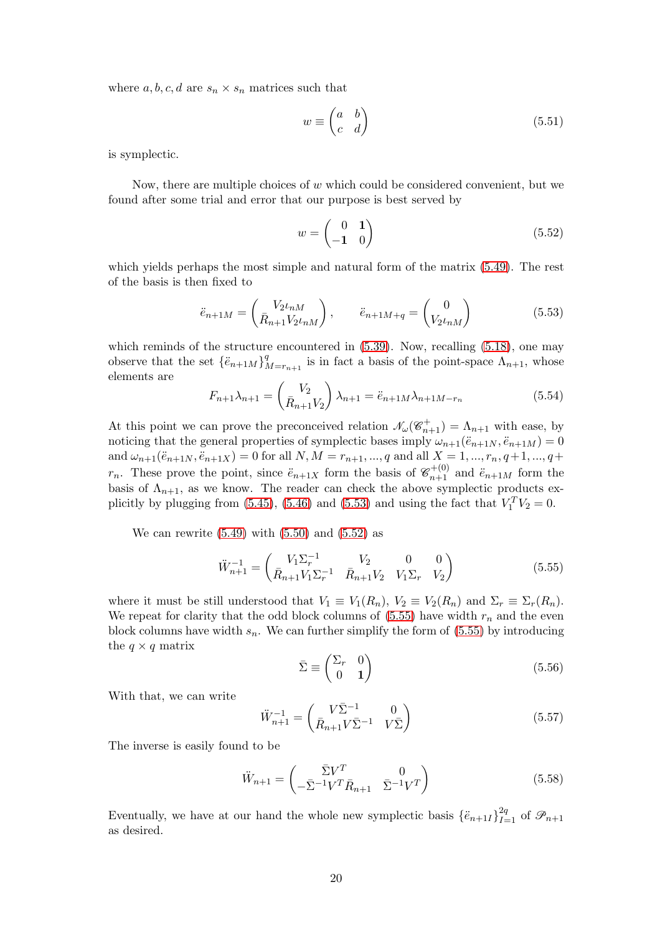where  $a, b, c, d$  are  $s_n \times s_n$  matrices such that

$$
w \equiv \begin{pmatrix} a & b \\ c & d \end{pmatrix} \tag{5.51}
$$

is symplectic.

Now, there are multiple choices of  $w$  which could be considered convenient, but we found after some trial and error that our purpose is best served by

<span id="page-19-1"></span>
$$
w = \begin{pmatrix} 0 & 1 \\ -1 & 0 \end{pmatrix} \tag{5.52}
$$

which yields perhaps the most simple and natural form of the matrix [\(5.49\)](#page-18-0). The rest of the basis is then fixed to

<span id="page-19-0"></span>
$$
\ddot{e}_{n+1M} = \begin{pmatrix} V_{2} \iota_{nM} \\ \bar{R}_{n+1} V_{2} \iota_{nM} \end{pmatrix}, \qquad \ddot{e}_{n+1M+q} = \begin{pmatrix} 0 \\ V_{2} \iota_{nM} \end{pmatrix}
$$
(5.53)

which reminds of the structure encountered in  $(5.39)$ . Now, recalling  $(5.18)$ , one may observe that the set  $\{\ddot{e}_{n+1}M\}^q$  $\Lambda_{m=r_{n+1}}^{q}$  is in fact a basis of the point-space  $\Lambda_{n+1}$ , whose elements are

<span id="page-19-3"></span>
$$
F_{n+1}\lambda_{n+1} = \begin{pmatrix} V_2 \\ \bar{R}_{n+1}V_2 \end{pmatrix} \lambda_{n+1} = \ddot{e}_{n+1}M\lambda_{n+1}M - r_n \tag{5.54}
$$

At this point we can prove the preconceived relation  $\mathcal{N}_{\omega}(\mathcal{C}_{n+1}^+) = \Lambda_{n+1}$  with ease, by noticing that the general properties of symplectic bases imply  $\omega_{n+1}(\ddot{e}_{n+1N}, \ddot{e}_{n+1M}) = 0$ and  $\omega_{n+1}(\ddot{e}_{n+1N}, \ddot{e}_{n+1X}) = 0$  for all  $N, M = r_{n+1}, ..., q$  and all  $X = 1, ..., r_n, q+1, ..., q+1$  $r_n$ . These prove the point, since  $\ddot{e}_{n+1X}$  form the basis of  $\mathscr{C}_{n+1}^{+(0)}$  and  $\ddot{e}_{n+1M}$  form the basis of  $\Lambda_{n+1}$ , as we know. The reader can check the above symplectic products ex-plicitly by plugging from [\(5.45\)](#page-18-1), [\(5.46\)](#page-18-2) and [\(5.53\)](#page-19-0) and using the fact that  $V_1^T V_2 = 0$ .

We can rewrite  $(5.49)$  with  $(5.50)$  and  $(5.52)$  as

<span id="page-19-2"></span>
$$
\ddot{W}_{n+1}^{-1} = \begin{pmatrix} V_1 \Sigma_r^{-1} & V_2 & 0 & 0\\ \bar{R}_{n+1} V_1 \Sigma_r^{-1} & \bar{R}_{n+1} V_2 & V_1 \Sigma_r & V_2 \end{pmatrix}
$$
(5.55)

where it must be still understood that  $V_1 \equiv V_1(R_n)$ ,  $V_2 \equiv V_2(R_n)$  and  $\Sigma_r \equiv \Sigma_r(R_n)$ . We repeat for clarity that the odd block columns of  $(5.55)$  have width  $r_n$  and the even block columns have width  $s_n$ . We can further simplify the form of  $(5.55)$  by introducing the  $q \times q$  matrix

$$
\bar{\Sigma} \equiv \begin{pmatrix} \Sigma_r & 0\\ 0 & 1 \end{pmatrix} \tag{5.56}
$$

With that, we can write

$$
\ddot{W}_{n+1}^{-1} = \begin{pmatrix} V\bar{\Sigma}^{-1} & 0\\ \bar{R}_{n+1}V\bar{\Sigma}^{-1} & V\bar{\Sigma} \end{pmatrix}
$$
\n(5.57)

The inverse is easily found to be

<span id="page-19-4"></span>
$$
\ddot{W}_{n+1} = \begin{pmatrix} \bar{\Sigma} V^T & 0\\ -\bar{\Sigma}^{-1} V^T \bar{R}_{n+1} & \bar{\Sigma}^{-1} V^T \end{pmatrix}
$$
\n(5.58)

Eventually, we have at our hand the whole new symplectic basis  $\{\ddot{e}_{n+1I}\}_{I=1}^{2q}$  of  $\mathscr{P}_{n+1}$ as desired.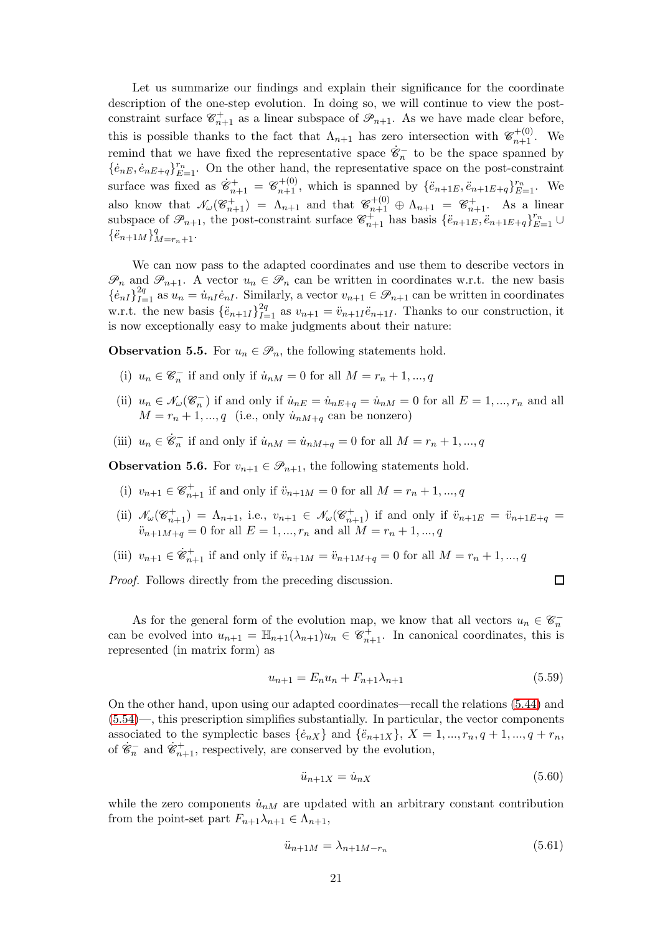Let us summarize our findings and explain their significance for the coordinate description of the one-step evolution. In doing so, we will continue to view the postconstraint surface  $\mathscr{C}_{n+1}^+$  as a linear subspace of  $\mathscr{P}_{n+1}$ . As we have made clear before, this is possible thanks to the fact that  $\Lambda_{n+1}$  has zero intersection with  $\mathscr{C}_{n+1}^{+(0)}$ . We remind that we have fixed the representative space  $\dot{\mathscr{C}}_n^-$  to be the space spanned by  $\{\dot{e}_{nE}, \dot{e}_{nE+q}\}_{E=1}^{r_n}$ . On the other hand, the representative space on the post-constraint surface was fixed as  $\dot{\mathscr{C}}_{n+1}^+ = \mathscr{C}_{n+1}^{+(0)}$ , which is spanned by  $\{\ddot{e}_{n+1E}, \ddot{e}_{n+1E+q}\}_{E=1}^{r_n}$ . We also know that  $\mathcal{N}_{\omega}(\mathscr{C}_{n+1}^+) = \Lambda_{n+1}$  and that  $\mathscr{C}_{n+1}^{+(0)} \oplus \Lambda_{n+1} = \mathscr{C}_{n+1}^+$ . As a linear subspace of  $\mathscr{P}_{n+1}$ , the post-constraint surface  $\mathscr{C}_{n+1}^+$  has basis  $\{\ddot{e}_{n+1}E, \ddot{e}_{n+1}E+q\}_{E=1}^{r_n}$  $\{\ddot{e}_{n+1M}\}_{M=r_n+1}^q$ .

We can now pass to the adapted coordinates and use them to describe vectors in  $\mathscr{P}_n$  and  $\mathscr{P}_{n+1}$ . A vector  $u_n \in \mathscr{P}_n$  can be written in coordinates w.r.t. the new basis  $\{\dot{e}_{nI}\}_{I=1}^{2q}$  as  $u_n = \dot{u}_{nI}\dot{e}_{nI}$ . Similarly, a vector  $v_{n+1} \in \mathcal{P}_{n+1}$  can be written in coordinates w.r.t. the new basis  $\{\ddot{e}_{n+1I}\}_{I=1}^{2q}$  as  $v_{n+1} = \ddot{v}_{n+1I}\ddot{e}_{n+1I}$ . Thanks to our construction, it is now exceptionally easy to make judgments about their nature:

<span id="page-20-0"></span>**Observation 5.5.** For  $u_n \in \mathcal{P}_n$ , the following statements hold.

- (i)  $u_n \in \mathcal{C}_n^-$  if and only if  $\dot{u}_{nM} = 0$  for all  $M = r_n + 1, ..., q$
- (ii)  $u_n \in \mathcal{N}_{\omega}(\mathcal{C}_n^-)$  if and only if  $\dot{u}_{nE} = \dot{u}_{nE+q} = \dot{u}_{nM} = 0$  for all  $E = 1, ..., r_n$  and all  $M = r_n + 1, ..., q$  (i.e., only  $\dot{u}_{nM+q}$  can be nonzero)
- (iii)  $u_n \in \dot{\mathcal{C}}_n^-$  if and only if  $\dot{u}_{nM} = \dot{u}_{nM+q} = 0$  for all  $M = r_n + 1, ..., q$

<span id="page-20-1"></span>**Observation 5.6.** For  $v_{n+1} \in \mathcal{P}_{n+1}$ , the following statements hold.

- (i)  $v_{n+1} \in \mathcal{C}_{n+1}^+$  if and only if  $\ddot{v}_{n+1M} = 0$  for all  $M = r_n + 1, ..., q$
- (ii)  $\mathcal{N}_{\omega}(\mathscr{C}_{n+1}^+) = \Lambda_{n+1}$ , i.e.,  $v_{n+1} \in \mathcal{N}_{\omega}(\mathscr{C}_{n+1}^+)$  if and only if  $\ddot{v}_{n+1E} = \ddot{v}_{n+1E+q}$  $\ddot{v}_{n+1M+q} = 0$  for all  $E = 1, ..., r_n$  and all  $M = r_n + 1, ..., q$
- (iii)  $v_{n+1} \in \dot{\mathcal{E}}_{n+1}^+$  if and only if  $\ddot{v}_{n+1M} = \ddot{v}_{n+1M+q} = 0$  for all  $M = r_n + 1, ..., q$

Proof. Follows directly from the preceding discussion.

 $\Box$ 

As for the general form of the evolution map, we know that all vectors  $u_n \in \mathscr{C}_n^$ can be evolved into  $u_{n+1} = \mathbb{H}_{n+1}(\lambda_{n+1})u_n \in \mathcal{C}_{n+1}^+$ . In canonical coordinates, this is represented (in matrix form) as

$$
u_{n+1} = E_n u_n + F_{n+1} \lambda_{n+1}
$$
\n(5.59)

On the other hand, upon using our adapted coordinates—recall the relations [\(5.44\)](#page-18-4) and [\(5.54\)](#page-19-3)—, this prescription simplifies substantially. In particular, the vector components associated to the symplectic bases  $\{\dot{e}_{nX}\}\$  and  $\{\ddot{e}_{n+1X}\}\$ ,  $X = 1, ..., r_n, q+1, ..., q+r_n$ , of  $\dot{\mathscr{C}}_n^-$  and  $\dot{\mathscr{C}}_{n+1}^+$ , respectively, are conserved by the evolution,

<span id="page-20-2"></span>
$$
\ddot{u}_{n+1X} = \dot{u}_{nX} \tag{5.60}
$$

while the zero components  $\dot{u}_{nM}$  are updated with an arbitrary constant contribution from the point-set part  $F_{n+1}\lambda_{n+1}\in\Lambda_{n+1}$ ,

$$
\ddot{u}_{n+1M} = \lambda_{n+1M-r_n} \tag{5.61}
$$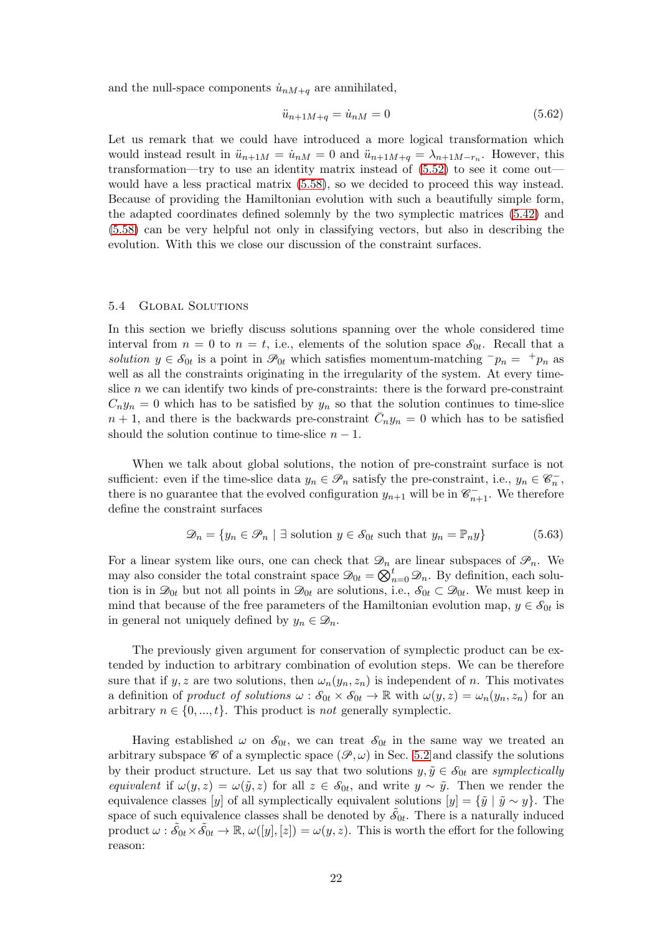and the null-space components  $\dot{u}_{nM+q}$  are annihilated,

<span id="page-21-0"></span>
$$
\ddot{u}_{n+1M+q} = \dot{u}_{nM} = 0 \tag{5.62}
$$

Let us remark that we could have introduced a more logical transformation which would instead result in  $\ddot{u}_{n+1M} = \dot{u}_{nM} = 0$  and  $\ddot{u}_{n+1M+q} = \lambda_{n+1M-r_n}$ . However, this transformation—try to use an identity matrix instead of [\(5.52\)](#page-19-1) to see it come out would have a less practical matrix [\(5.58\)](#page-19-4), so we decided to proceed this way instead. Because of providing the Hamiltonian evolution with such a beautifully simple form, the adapted coordinates defined solemnly by the two symplectic matrices [\(5.42\)](#page-17-3) and [\(5.58\)](#page-19-4) can be very helpful not only in classifying vectors, but also in describing the evolution. With this we close our discussion of the constraint surfaces.

### 5.4 Global Solutions

In this section we briefly discuss solutions spanning over the whole considered time interval from  $n = 0$  to  $n = t$ , i.e., elements of the solution space  $S_{0t}$ . Recall that a solution  $y \in \mathcal{S}_{0t}$  is a point in  $\mathcal{P}_{0t}$  which satisfies momentum-matching  $^-p_n = \pm p_n$  as well as all the constraints originating in the irregularity of the system. At every timeslice  $n$  we can identify two kinds of pre-constraints: there is the forward pre-constraint  $C_n y_n = 0$  which has to be satisfied by  $y_n$  so that the solution continues to time-slice  $n+1$ , and there is the backwards pre-constraint  $\bar{C}_n y_n = 0$  which has to be satisfied should the solution continue to time-slice  $n - 1$ .

When we talk about global solutions, the notion of pre-constraint surface is not sufficient: even if the time-slice data  $y_n \in \mathcal{P}_n$  satisfy the pre-constraint, i.e.,  $y_n \in \mathcal{C}_n^-$ , there is no guarantee that the evolved configuration  $y_{n+1}$  will be in  $\mathcal{C}_{n+1}^-$ . We therefore define the constraint surfaces

$$
\mathcal{D}_n = \{ y_n \in \mathcal{P}_n \mid \exists \text{ solution } y \in \mathcal{S}_{0t} \text{ such that } y_n = \mathbb{P}_n y \}
$$
(5.63)

For a linear system like ours, one can check that  $\mathcal{D}_n$  are linear subspaces of  $\mathcal{P}_n$ . We may also consider the total constraint space  $\mathcal{D}_{0t} = \bigotimes_{n=0}^{t} \mathcal{D}_n$ . By definition, each solution is in  $\mathcal{D}_{0t}$  but not all points in  $\mathcal{D}_{0t}$  are solutions, i.e.,  $\mathcal{S}_{0t} \subset \mathcal{D}_{0t}$ . We must keep in mind that because of the free parameters of the Hamiltonian evolution map,  $y \in \mathcal{S}_{0t}$  is in general not uniquely defined by  $y_n \in \mathcal{D}_n$ .

The previously given argument for conservation of symplectic product can be extended by induction to arbitrary combination of evolution steps. We can be therefore sure that if y, z are two solutions, then  $\omega_n(y_n, z_n)$  is independent of n. This motivates a definition of product of solutions  $\omega : \mathcal{S}_{0t} \times \mathcal{S}_{0t} \to \mathbb{R}$  with  $\omega(y, z) = \omega_n(y_n, z_n)$  for an arbitrary  $n \in \{0, ..., t\}$ . This product is not generally symplectic.

Having established  $\omega$  on  $\mathcal{S}_{0t}$ , we can treat  $\mathcal{S}_{0t}$  in the same way we treated an arbitrary subspace  $\mathscr C$  of a symplectic space  $(\mathscr P,\omega)$  in Sec. [5.2](#page-13-1) and classify the solutions by their product structure. Let us say that two solutions  $y, \tilde{y} \in \mathcal{S}_{0t}$  are symplectically equivalent if  $\omega(y, z) = \omega(\tilde{y}, z)$  for all  $z \in \mathcal{S}_{0t}$ , and write  $y \sim \tilde{y}$ . Then we render the equivalence classes [y] of all symplectically equivalent solutions  $[y] = {\tilde{y} \mid \tilde{y} \sim y}$ . The space of such equivalence classes shall be denoted by  $\tilde{\delta}_{0t}$ . There is a naturally induced product  $\omega : \tilde{\delta}_{0t} \times \tilde{\delta}_{0t} \to \mathbb{R}, \omega([y],[z]) = \omega(y,z)$ . This is worth the effort for the following reason: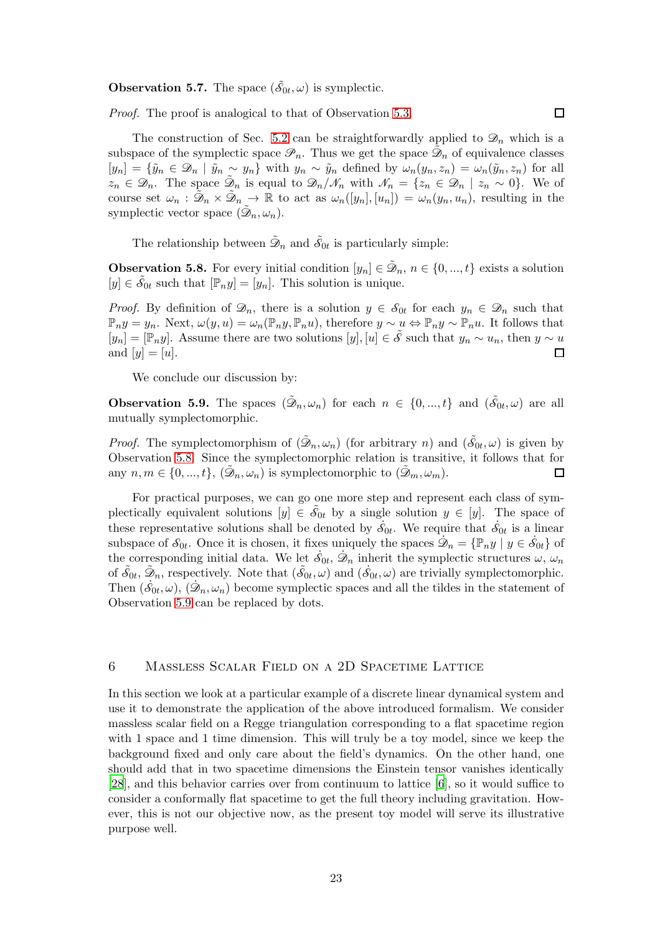**Observation 5.7.** The space  $(\tilde{\delta}_{0t}, \omega)$  is symplectic.

Proof. The proof is analogical to that of Observation [5.3.](#page-14-1)

The construction of Sec. [5.2](#page-13-1) can be straightforwardly applied to  $\mathcal{D}_n$  which is a subspace of the symplectic space  $\mathscr{P}_n$ . Thus we get the space  $\tilde{\mathscr{D}}_n$  of equivalence classes  $[y_n] = {\tilde{y}_n \in \mathcal{D}_n \mid \tilde{y}_n \sim y_n}$  with  $y_n \sim \tilde{y}_n$  defined by  $\omega_n(y_n, z_n) = \omega_n(\tilde{y}_n, z_n)$  for all  $z_n \in \mathscr{D}_n$ . The space  $\tilde{\mathscr{D}}_n$  is equal to  $\mathscr{D}_n/\mathscr{N}_n$  with  $\mathscr{N}_n = \{z_n \in \mathscr{D}_n \mid z_n \sim 0\}$ . We of course set  $\omega_n$ :  $\tilde{\mathcal{D}}_n \times \tilde{\mathcal{D}}_n \to \mathbb{R}$  to act as  $\omega_n([y_n],[u_n]) = \omega_n(y_n,u_n)$ , resulting in the symplectic vector space  $(\tilde{\mathcal{D}}_n, \omega_n)$ .

 $\Box$ 

The relationship between  $\tilde{\mathcal{D}}_n$  and  $\tilde{\mathcal{S}}_{0t}$  is particularly simple:

<span id="page-22-1"></span>**Observation 5.8.** For every initial condition  $[y_n] \in \tilde{\mathcal{D}}_n$ ,  $n \in \{0, ..., t\}$  exists a solution  $[y] \in \widetilde{\mathcal{S}}_{0t}$  such that  $[\mathbb{P}_n y] = [y_n]$ . This solution is unique.

*Proof.* By definition of  $\mathcal{D}_n$ , there is a solution  $y \in \mathcal{S}_{0t}$  for each  $y_n \in \mathcal{D}_n$  such that  $\mathbb{P}_ny = y_n$ . Next,  $\omega(y, u) = \omega_n(\mathbb{P}_ny, \mathbb{P}_n u)$ , therefore  $y \sim u \Leftrightarrow \mathbb{P}_ny \sim \mathbb{P}_n u$ . It follows that  $[y_n] = [\mathbb{P}_n y]$ . Assume there are two solutions  $[y], [u] \in \mathcal{S}$  such that  $y_n \sim u_n$ , then  $y \sim u$  and  $[y] = [u]$ . and  $[y] = [u]$ .

We conclude our discussion by:

<span id="page-22-2"></span>**Observation 5.9.** The spaces  $(\tilde{\mathcal{D}}_n, \omega_n)$  for each  $n \in \{0, ..., t\}$  and  $(\tilde{\mathcal{S}}_{0t}, \omega)$  are all mutually symplectomorphic.

*Proof.* The symplectomorphism of  $(\tilde{\mathcal{D}}_n, \omega_n)$  (for arbitrary n) and  $(\tilde{\mathcal{S}}_{0t}, \omega)$  is given by Observation [5.8.](#page-22-1) Since the symplectomorphic relation is transitive, it follows that for any  $n, m \in \{0, ..., t\}, (\tilde{\mathcal{D}}_n, \omega_n)$  is symplectomorphic to  $(\tilde{\mathcal{D}}_m, \omega_m)$ . 口

For practical purposes, we can go one more step and represent each class of symplectically equivalent solutions  $[y] \in \tilde{\mathcal{S}}_{0t}$  by a single solution  $y \in [y]$ . The space of these representative solutions shall be denoted by  $\dot{\mathcal{S}}_{0t}$ . We require that  $\dot{\mathcal{S}}_{0t}$  is a linear subspace of  $S_{0t}$ . Once it is chosen, it fixes uniquely the spaces  $\mathcal{D}_n = \{ \mathbb{P}_n y \mid y \in \dot{S}_{0t} \}$  of the corresponding initial data. We let  $\dot{s}_{0t}$ ,  $\dot{\mathcal{D}}_n$  inherit the symplectic structures  $\omega$ ,  $\omega_n$ of  $\tilde{\mathcal{S}}_{0t}$ ,  $\tilde{\mathcal{D}}_n$ , respectively. Note that  $(\tilde{\mathcal{S}}_{0t}, \omega)$  and  $(\dot{\mathcal{S}}_{0t}, \omega)$  are trivially symplectomorphic. Then  $(\dot{\mathcal{S}}_{0t}, \omega), (\dot{\mathcal{D}}_n, \omega_n)$  become symplectic spaces and all the tildes in the statement of Observation [5.9](#page-22-2) can be replaced by dots.

# <span id="page-22-0"></span>6 Massless Scalar Field on a 2D Spacetime Lattice

In this section we look at a particular example of a discrete linear dynamical system and use it to demonstrate the application of the above introduced formalism. We consider massless scalar field on a Regge triangulation corresponding to a flat spacetime region with 1 space and 1 time dimension. This will truly be a toy model, since we keep the background fixed and only care about the field's dynamics. On the other hand, one should add that in two spacetime dimensions the Einstein tensor vanishes identically [\[28](#page-37-6)], and this behavior carries over from continuum to lattice [\[6](#page-36-2)], so it would suffice to consider a conformally flat spacetime to get the full theory including gravitation. However, this is not our objective now, as the present toy model will serve its illustrative purpose well.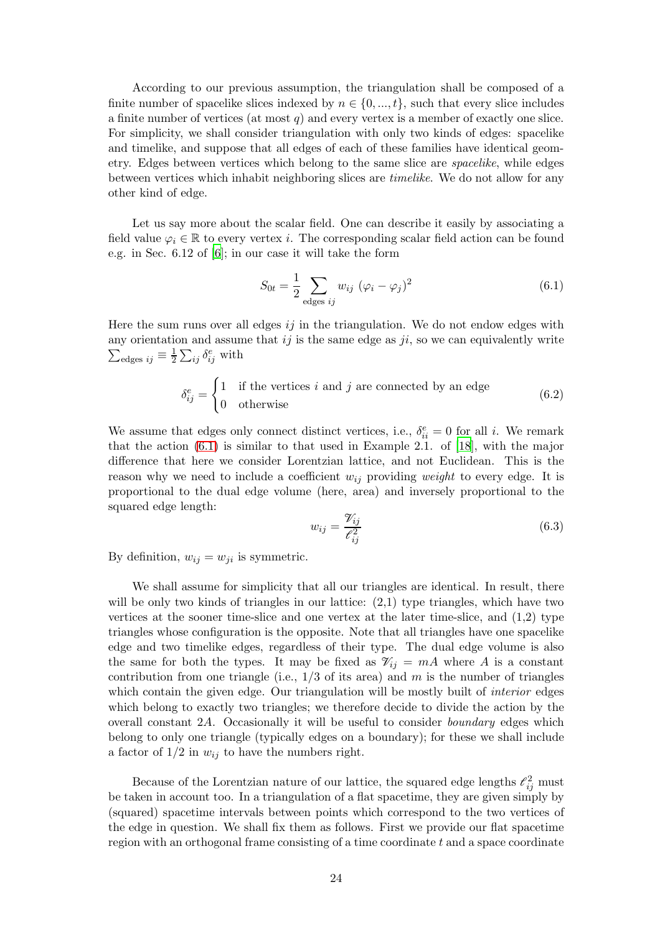According to our previous assumption, the triangulation shall be composed of a finite number of spacelike slices indexed by  $n \in \{0, ..., t\}$ , such that every slice includes a finite number of vertices (at most  $q$ ) and every vertex is a member of exactly one slice. For simplicity, we shall consider triangulation with only two kinds of edges: spacelike and timelike, and suppose that all edges of each of these families have identical geometry. Edges between vertices which belong to the same slice are spacelike, while edges between vertices which inhabit neighboring slices are timelike. We do not allow for any other kind of edge.

Let us say more about the scalar field. One can describe it easily by associating a field value  $\varphi_i \in \mathbb{R}$  to every vertex *i*. The corresponding scalar field action can be found e.g. in Sec. 6.12 of [\[6](#page-36-2)]; in our case it will take the form

<span id="page-23-0"></span>
$$
S_{0t} = \frac{1}{2} \sum_{\text{edges }ij} w_{ij} \ (\varphi_i - \varphi_j)^2 \tag{6.1}
$$

Here the sum runs over all edges  $i\dot{\jmath}$  in the triangulation. We do not endow edges with any orientation and assume that  $ij$  is the same edge as  $ji$ , so we can equivalently write  $\sum_{\rm edges} i_j \equiv \frac{1}{2}$  $\frac{1}{2}\sum_{ij}\delta_{ij}^e$  with

$$
\delta_{ij}^e = \begin{cases} 1 & \text{if the vertices } i \text{ and } j \text{ are connected by an edge} \\ 0 & \text{otherwise} \end{cases}
$$
 (6.2)

We assume that edges only connect distinct vertices, i.e.,  $\delta_{ii}^e = 0$  for all i. We remark that the action [\(6.1\)](#page-23-0) is similar to that used in Example 2.1. of [\[18](#page-36-14)], with the major difference that here we consider Lorentzian lattice, and not Euclidean. This is the reason why we need to include a coefficient  $w_{ij}$  providing weight to every edge. It is proportional to the dual edge volume (here, area) and inversely proportional to the squared edge length:

$$
w_{ij} = \frac{\mathcal{V}_{ij}}{\mathcal{E}_{ij}^2} \tag{6.3}
$$

By definition,  $w_{ij} = w_{ji}$  is symmetric.

We shall assume for simplicity that all our triangles are identical. In result, there will be only two kinds of triangles in our lattice:  $(2,1)$  type triangles, which have two vertices at the sooner time-slice and one vertex at the later time-slice, and (1,2) type triangles whose configuration is the opposite. Note that all triangles have one spacelike edge and two timelike edges, regardless of their type. The dual edge volume is also the same for both the types. It may be fixed as  $\mathcal{V}_{ij} = mA$  where A is a constant contribution from one triangle (i.e.,  $1/3$  of its area) and m is the number of triangles which contain the given edge. Our triangulation will be mostly built of *interior* edges which belong to exactly two triangles; we therefore decide to divide the action by the overall constant 2A. Occasionally it will be useful to consider boundary edges which belong to only one triangle (typically edges on a boundary); for these we shall include a factor of  $1/2$  in  $w_{ij}$  to have the numbers right.

Because of the Lorentzian nature of our lattice, the squared edge lengths  $\ell_{ij}^2$  must be taken in account too. In a triangulation of a flat spacetime, they are given simply by (squared) spacetime intervals between points which correspond to the two vertices of the edge in question. We shall fix them as follows. First we provide our flat spacetime region with an orthogonal frame consisting of a time coordinate  $t$  and a space coordinate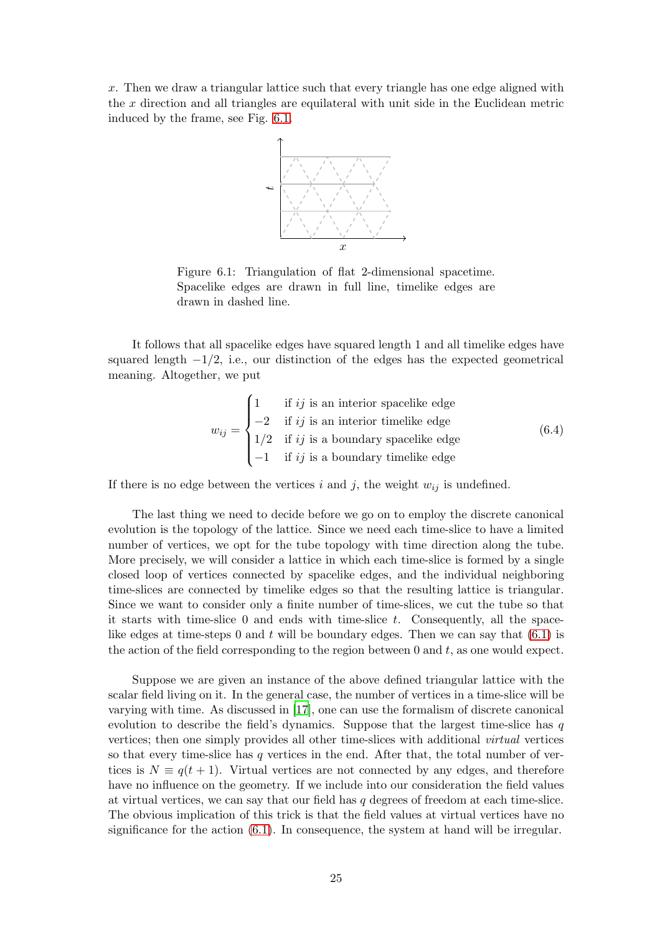<span id="page-24-0"></span>x. Then we draw a triangular lattice such that every triangle has one edge aligned with the  $x$  direction and all triangles are equilateral with unit side in the Euclidean metric induced by the frame, see Fig. [6.1.](#page-24-0)



Figure 6.1: Triangulation of flat 2-dimensional spacetime. Spacelike edges are drawn in full line, timelike edges are drawn in dashed line.

It follows that all spacelike edges have squared length 1 and all timelike edges have squared length  $-1/2$ , i.e., our distinction of the edges has the expected geometrical meaning. Altogether, we put

<span id="page-24-1"></span>
$$
w_{ij} = \begin{cases} 1 & \text{if } ij \text{ is an interior spacelike edge} \\ -2 & \text{if } ij \text{ is an interior timelike edge} \\ 1/2 & \text{if } ij \text{ is a boundary spacelike edge} \\ -1 & \text{if } ij \text{ is a boundary timelike edge} \end{cases}
$$
(6.4)

If there is no edge between the vertices i and j, the weight  $w_{ij}$  is undefined.

The last thing we need to decide before we go on to employ the discrete canonical evolution is the topology of the lattice. Since we need each time-slice to have a limited number of vertices, we opt for the tube topology with time direction along the tube. More precisely, we will consider a lattice in which each time-slice is formed by a single closed loop of vertices connected by spacelike edges, and the individual neighboring time-slices are connected by timelike edges so that the resulting lattice is triangular. Since we want to consider only a finite number of time-slices, we cut the tube so that it starts with time-slice  $\theta$  and ends with time-slice  $t$ . Consequently, all the spacelike edges at time-steps 0 and  $t$  will be boundary edges. Then we can say that  $(6.1)$  is the action of the field corresponding to the region between  $0$  and  $t$ , as one would expect.

Suppose we are given an instance of the above defined triangular lattice with the scalar field living on it. In the general case, the number of vertices in a time-slice will be varying with time. As discussed in [\[17\]](#page-36-13), one can use the formalism of discrete canonical evolution to describe the field's dynamics. Suppose that the largest time-slice has  $q$ vertices; then one simply provides all other time-slices with additional virtual vertices so that every time-slice has q vertices in the end. After that, the total number of vertices is  $N \equiv q(t+1)$ . Virtual vertices are not connected by any edges, and therefore have no influence on the geometry. If we include into our consideration the field values at virtual vertices, we can say that our field has  $q$  degrees of freedom at each time-slice. The obvious implication of this trick is that the field values at virtual vertices have no significance for the action  $(6.1)$ . In consequence, the system at hand will be irregular.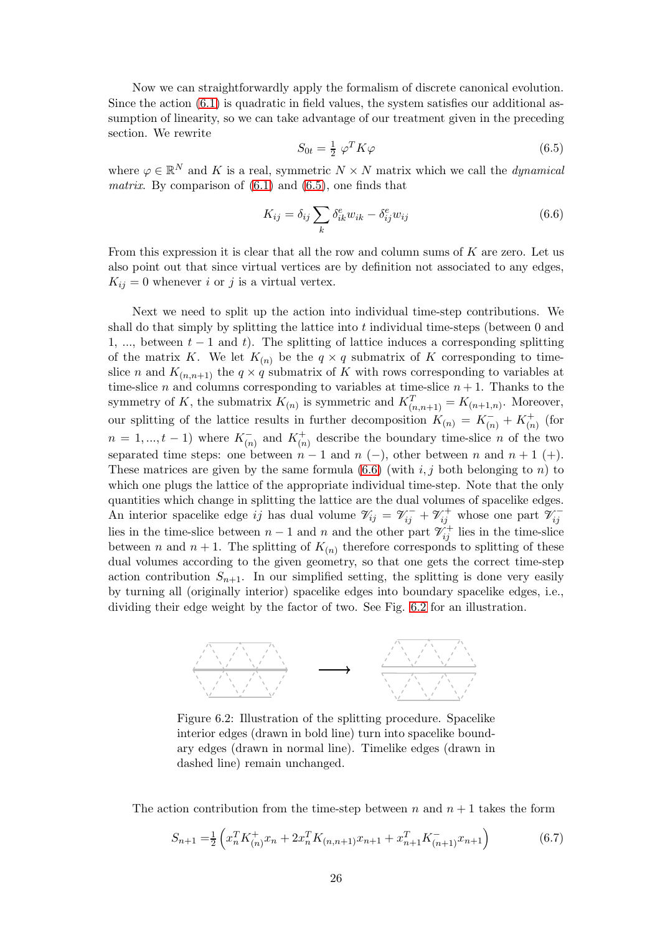Now we can straightforwardly apply the formalism of discrete canonical evolution. Since the action  $(6.1)$  is quadratic in field values, the system satisfies our additional assumption of linearity, so we can take advantage of our treatment given in the preceding section. We rewrite

<span id="page-25-0"></span>
$$
S_{0t} = \frac{1}{2} \varphi^T K \varphi \tag{6.5}
$$

where  $\varphi \in \mathbb{R}^N$  and K is a real, symmetric  $N \times N$  matrix which we call the *dynamical* matrix. By comparison of  $(6.1)$  and  $(6.5)$ , one finds that

<span id="page-25-1"></span>
$$
K_{ij} = \delta_{ij} \sum_{k} \delta_{ik}^{e} w_{ik} - \delta_{ij}^{e} w_{ij}
$$
\n(6.6)

From this expression it is clear that all the row and column sums of  $K$  are zero. Let us also point out that since virtual vertices are by definition not associated to any edges,  $K_{ij} = 0$  whenever i or j is a virtual vertex.

Next we need to split up the action into individual time-step contributions. We shall do that simply by splitting the lattice into  $t$  individual time-steps (between  $0$  and 1, ..., between  $t - 1$  and t). The splitting of lattice induces a corresponding splitting of the matrix K. We let  $K_{(n)}$  be the  $q \times q$  submatrix of K corresponding to timeslice n and  $K_{(n,n+1)}$  the  $q \times q$  submatrix of K with rows corresponding to variables at time-slice *n* and columns corresponding to variables at time-slice  $n + 1$ . Thanks to the symmetry of K, the submatrix  $K_{(n)}$  is symmetric and  $K_{(n,n+1)}^T = K_{(n+1,n)}$ . Moreover, our splitting of the lattice results in further decomposition  $K_{(n)} = K_{(n)}^- + K_{(n)}^+$  (for  $n = 1, ..., t - 1$  where  $K_{(n)}^-$  and  $K_{(n)}^+$  $\binom{+}{n}$  describe the boundary time-slice *n* of the two separated time steps: one between  $n-1$  and  $n(-)$ , other between n and  $n+1$  (+). These matrices are given by the same formula  $(6.6)$  (with  $i, j$  both belonging to n) to which one plugs the lattice of the appropriate individual time-step. Note that the only quantities which change in splitting the lattice are the dual volumes of spacelike edges. An interior spacelike edge ij has dual volume  $\mathcal{V}_{ij} = \mathcal{V}_{ij}^- + \mathcal{V}_{ij}^+$  whose one part  $\mathcal{V}_{ij}^-$  lies in the time-slice between  $n-1$  and n and the other part  $\mathcal{V}_{ij}^+$  lies in the time-slice between *n* and  $n + 1$ . The splitting of  $K_{(n)}$  therefore corresponds to splitting of these dual volumes according to the given geometry, so that one gets the correct time-step action contribution  $S_{n+1}$ . In our simplified setting, the splitting is done very easily by turning all (originally interior) spacelike edges into boundary spacelike edges, i.e., dividing their edge weight by the factor of two. See Fig. [6.2](#page-25-2) for an illustration.

<span id="page-25-2"></span>

Figure 6.2: Illustration of the splitting procedure. Spacelike interior edges (drawn in bold line) turn into spacelike boundary edges (drawn in normal line). Timelike edges (drawn in dashed line) remain unchanged.

The action contribution from the time-step between n and  $n + 1$  takes the form

<span id="page-25-3"></span>
$$
S_{n+1} = \frac{1}{2} \left( x_n^T K_{(n)}^+ x_n + 2x_n^T K_{(n,n+1)} x_{n+1} + x_{n+1}^T K_{(n+1)}^- x_{n+1} \right) \tag{6.7}
$$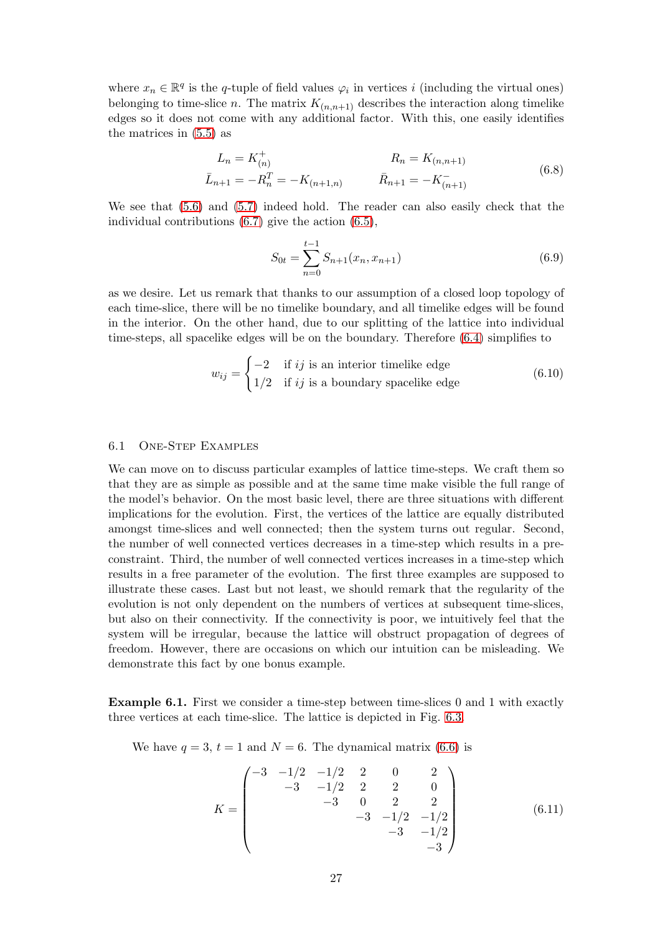where  $x_n \in \mathbb{R}^q$  is the q-tuple of field values  $\varphi_i$  in vertices i (including the virtual ones) belonging to time-slice n. The matrix  $K_{(n,n+1)}$  describes the interaction along timelike edges so it does not come with any additional factor. With this, one easily identifies the matrices in [\(5.5\)](#page-10-0) as

<span id="page-26-1"></span>
$$
L_n = K_{(n)}^+ \t R_n = K_{(n,n+1)}
$$
  
\n
$$
\bar{L}_{n+1} = -R_n^T = -K_{(n+1,n)} \t \bar{R}_{n+1} = -K_{(n+1)}^- \t (6.8)
$$

We see that [\(5.6\)](#page-10-1) and [\(5.7\)](#page-11-4) indeed hold. The reader can also easily check that the individual contributions [\(6.7\)](#page-25-3) give the action [\(6.5\)](#page-25-0),

$$
S_{0t} = \sum_{n=0}^{t-1} S_{n+1}(x_n, x_{n+1})
$$
\n(6.9)

as we desire. Let us remark that thanks to our assumption of a closed loop topology of each time-slice, there will be no timelike boundary, and all timelike edges will be found in the interior. On the other hand, due to our splitting of the lattice into individual time-steps, all spacelike edges will be on the boundary. Therefore [\(6.4\)](#page-24-1) simplifies to

$$
w_{ij} = \begin{cases} -2 & \text{if } ij \text{ is an interior timelike edge} \\ 1/2 & \text{if } ij \text{ is a boundary spacelike edge} \end{cases}
$$
 (6.10)

### 6.1 One-Step Examples

We can move on to discuss particular examples of lattice time-steps. We craft them so that they are as simple as possible and at the same time make visible the full range of the model's behavior. On the most basic level, there are three situations with different implications for the evolution. First, the vertices of the lattice are equally distributed amongst time-slices and well connected; then the system turns out regular. Second, the number of well connected vertices decreases in a time-step which results in a preconstraint. Third, the number of well connected vertices increases in a time-step which results in a free parameter of the evolution. The first three examples are supposed to illustrate these cases. Last but not least, we should remark that the regularity of the evolution is not only dependent on the numbers of vertices at subsequent time-slices, but also on their connectivity. If the connectivity is poor, we intuitively feel that the system will be irregular, because the lattice will obstruct propagation of degrees of freedom. However, there are occasions on which our intuition can be misleading. We demonstrate this fact by one bonus example.

<span id="page-26-0"></span>Example 6.1. First we consider a time-step between time-slices 0 and 1 with exactly three vertices at each time-slice. The lattice is depicted in Fig. [6.3.](#page-27-0)

We have  $q = 3$ ,  $t = 1$  and  $N = 6$ . The dynamical matrix [\(6.6\)](#page-25-1) is

$$
K = \begin{pmatrix}\n-3 & -1/2 & -1/2 & 2 & 0 & 2 \\
& -3 & -1/2 & 2 & 2 & 0 \\
& & -3 & 0 & 2 & 2 \\
& & & -3 & -1/2 & -1/2 \\
& & & & -3 & -1/2 \\
& & & & & -3\n\end{pmatrix}
$$
\n(6.11)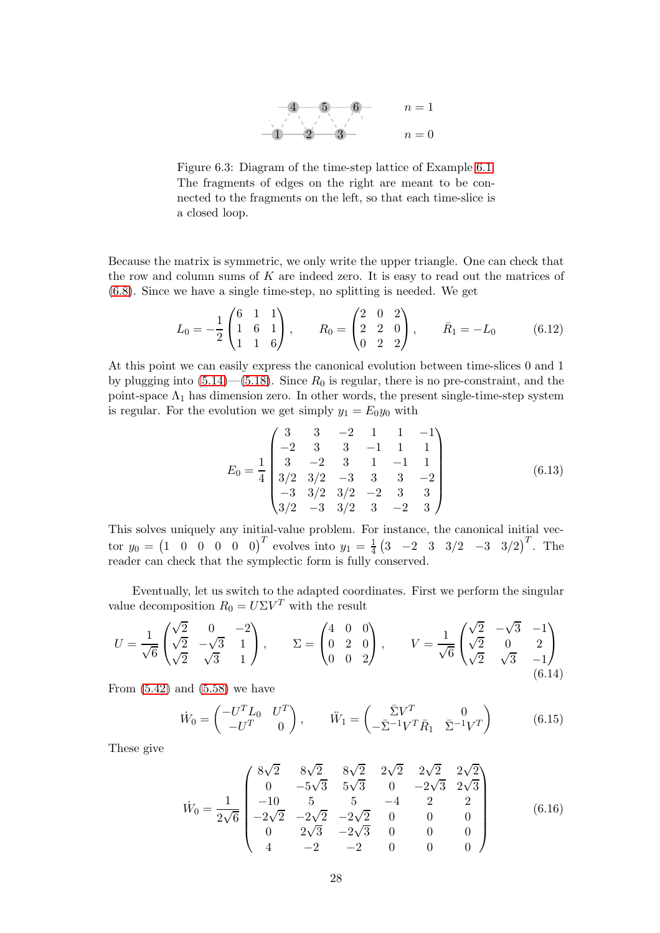

<span id="page-27-0"></span>Figure 6.3: Diagram of the time-step lattice of Example [6.1.](#page-26-0) The fragments of edges on the right are meant to be connected to the fragments on the left, so that each time-slice is a closed loop.

Because the matrix is symmetric, we only write the upper triangle. One can check that the row and column sums of  $K$  are indeed zero. It is easy to read out the matrices of [\(6.8\)](#page-26-1). Since we have a single time-step, no splitting is needed. We get

$$
L_0 = -\frac{1}{2} \begin{pmatrix} 6 & 1 & 1 \\ 1 & 6 & 1 \\ 1 & 1 & 6 \end{pmatrix}, \qquad R_0 = \begin{pmatrix} 2 & 0 & 2 \\ 2 & 2 & 0 \\ 0 & 2 & 2 \end{pmatrix}, \qquad \bar{R}_1 = -L_0 \tag{6.12}
$$

At this point we can easily express the canonical evolution between time-slices 0 and 1 by plugging into  $(5.14)$ — $(5.18)$ . Since  $R_0$  is regular, there is no pre-constraint, and the point-space  $\Lambda_1$  has dimension zero. In other words, the present single-time-step system is regular. For the evolution we get simply  $y_1 = E_0 y_0$  with

$$
E_0 = \frac{1}{4} \begin{pmatrix} 3 & 3 & -2 & 1 & 1 & -1 \\ -2 & 3 & 3 & -1 & 1 & 1 \\ 3 & -2 & 3 & 1 & -1 & 1 \\ 3/2 & 3/2 & -3 & 3 & 3 & -2 \\ -3 & 3/2 & 3/2 & -2 & 3 & 3 \\ 3/2 & -3 & 3/2 & 3 & -2 & 3 \end{pmatrix}
$$
(6.13)

This solves uniquely any initial-value problem. For instance, the canonical initial vector  $y_0 = \begin{pmatrix} 1 & 0 & 0 & 0 & 0 & 0 \end{pmatrix}^T$  evolves into  $y_1 = \frac{1}{4}$  $\frac{1}{4}$  (3 -2 3 3/2 -3 3/2)<sup>T</sup>. The reader can check that the symplectic form is fully conserved.

Eventually, let us switch to the adapted coordinates. First we perform the singular value decomposition  $R_0 = U\Sigma V^T$  with the result

$$
U = \frac{1}{\sqrt{6}} \begin{pmatrix} \sqrt{2} & 0 & -2 \\ \sqrt{2} & -\sqrt{3} & 1 \\ \sqrt{2} & \sqrt{3} & 1 \end{pmatrix}, \qquad \Sigma = \begin{pmatrix} 4 & 0 & 0 \\ 0 & 2 & 0 \\ 0 & 0 & 2 \end{pmatrix}, \qquad V = \frac{1}{\sqrt{6}} \begin{pmatrix} \sqrt{2} & -\sqrt{3} & -1 \\ \sqrt{2} & 0 & 2 \\ \sqrt{2} & \sqrt{3} & -1 \end{pmatrix}
$$
(6.14)

From  $(5.42)$  and  $(5.58)$  we have

<span id="page-27-2"></span>
$$
\dot{W}_0 = \begin{pmatrix} -U^T L_0 & U^T \\ -U^T & 0 \end{pmatrix}, \qquad \ddot{W}_1 = \begin{pmatrix} \bar{\Sigma} V^T & 0 \\ -\bar{\Sigma}^{-1} V^T \bar{R}_1 & \bar{\Sigma}^{-1} V^T \end{pmatrix} \tag{6.15}
$$

These give

<span id="page-27-1"></span>
$$
\dot{W}_0 = \frac{1}{2\sqrt{6}} \begin{pmatrix} 8\sqrt{2} & 8\sqrt{2} & 8\sqrt{2} & 2\sqrt{2} & 2\sqrt{2} & 2\sqrt{2} \\ 0 & -5\sqrt{3} & 5\sqrt{3} & 0 & -2\sqrt{3} & 2\sqrt{3} \\ -10 & 5 & 5 & -4 & 2 & 2 \\ -2\sqrt{2} & -2\sqrt{2} & -2\sqrt{2} & 0 & 0 & 0 \\ 0 & 2\sqrt{3} & -2\sqrt{3} & 0 & 0 & 0 \\ 4 & -2 & -2 & 0 & 0 & 0 \end{pmatrix}
$$
(6.16)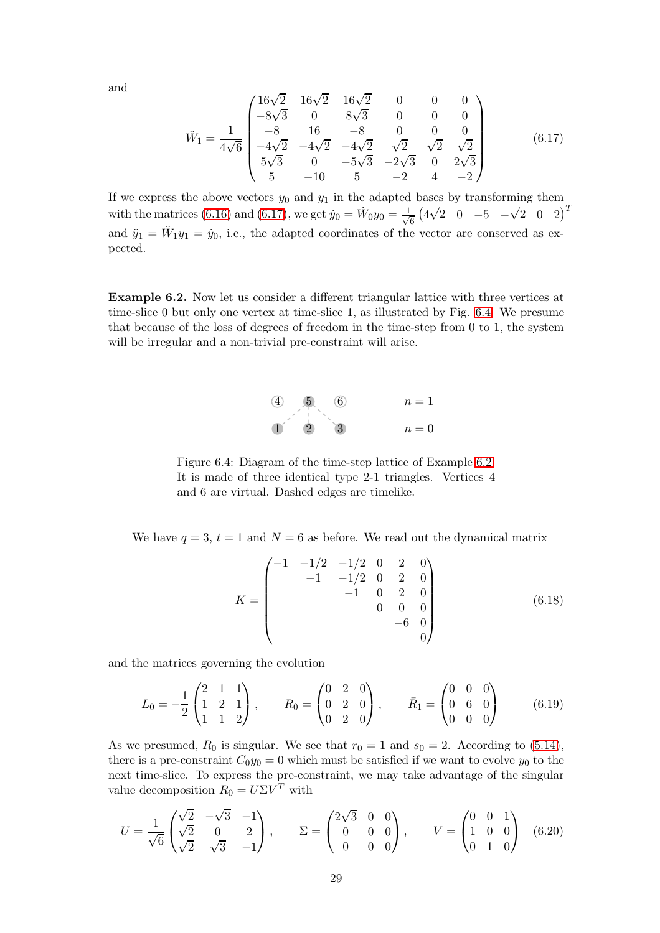and

<span id="page-28-0"></span>
$$
\ddot{W}_1 = \frac{1}{4\sqrt{6}} \begin{pmatrix}\n16\sqrt{2} & 16\sqrt{2} & 16\sqrt{2} & 0 & 0 & 0 \\
-8\sqrt{3} & 0 & 8\sqrt{3} & 0 & 0 & 0 \\
-8 & 16 & -8 & 0 & 0 & 0 \\
-4\sqrt{2} & -4\sqrt{2} & -4\sqrt{2} & \sqrt{2} & \sqrt{2} & \sqrt{2} \\
5\sqrt{3} & 0 & -5\sqrt{3} & -2\sqrt{3} & 0 & 2\sqrt{3} \\
5 & -10 & 5 & -2 & 4 & -2\n\end{pmatrix}
$$
\n(6.17)

If we express the above vectors  $y_0$  and  $y_1$  in the adapted bases by transforming them with the matrices [\(6.16\)](#page-27-1) and [\(6.17\)](#page-28-0), we get  $\dot{y}_0 = \dot{W}_0 y_0 = \frac{1}{\sqrt{2}}$  $\frac{1}{6}$   $(4\sqrt{2} \quad 0 \quad -5 \quad -\sqrt{2} \quad 0 \quad 2)^T$ and  $\ddot{y}_1 = \ddot{W}_1 y_1 = \dot{y}_0$ , i.e., the adapted coordinates of the vector are conserved as expected.

<span id="page-28-2"></span><span id="page-28-1"></span>Example 6.2. Now let us consider a different triangular lattice with three vertices at time-slice 0 but only one vertex at time-slice 1, as illustrated by Fig. [6.4.](#page-28-1) We presume that because of the loss of degrees of freedom in the time-step from 0 to 1, the system will be irregular and a non-trivial pre-constraint will arise.



Figure 6.4: Diagram of the time-step lattice of Example [6.2.](#page-28-2) It is made of three identical type 2-1 triangles. Vertices 4 and 6 are virtual. Dashed edges are timelike.

We have  $q = 3$ ,  $t = 1$  and  $N = 6$  as before. We read out the dynamical matrix

$$
K = \begin{pmatrix} -1 & -1/2 & -1/2 & 0 & 2 & 0 \\ & -1 & -1/2 & 0 & 2 & 0 \\ & & -1 & 0 & 2 & 0 \\ & & & 0 & 0 & 0 \\ & & & & -6 & 0 \\ & & & & & 0 \end{pmatrix}
$$
(6.18)

and the matrices governing the evolution

$$
L_0 = -\frac{1}{2} \begin{pmatrix} 2 & 1 & 1 \\ 1 & 2 & 1 \\ 1 & 1 & 2 \end{pmatrix}, \qquad R_0 = \begin{pmatrix} 0 & 2 & 0 \\ 0 & 2 & 0 \\ 0 & 2 & 0 \end{pmatrix}, \qquad \bar{R}_1 = \begin{pmatrix} 0 & 0 & 0 \\ 0 & 6 & 0 \\ 0 & 0 & 0 \end{pmatrix}
$$
(6.19)

As we presumed,  $R_0$  is singular. We see that  $r_0 = 1$  and  $s_0 = 2$ . According to [\(5.14\)](#page-11-3), there is a pre-constraint  $C_0y_0 = 0$  which must be satisfied if we want to evolve  $y_0$  to the next time-slice. To express the pre-constraint, we may take advantage of the singular value decomposition  $R_0 = U\Sigma V^T$  with

$$
U = \frac{1}{\sqrt{6}} \begin{pmatrix} \sqrt{2} & -\sqrt{3} & -1 \\ \sqrt{2} & 0 & 2 \\ \sqrt{2} & \sqrt{3} & -1 \end{pmatrix}, \qquad \Sigma = \begin{pmatrix} 2\sqrt{3} & 0 & 0 \\ 0 & 0 & 0 \\ 0 & 0 & 0 \end{pmatrix}, \qquad V = \begin{pmatrix} 0 & 0 & 1 \\ 1 & 0 & 0 \\ 0 & 1 & 0 \end{pmatrix}
$$
(6.20)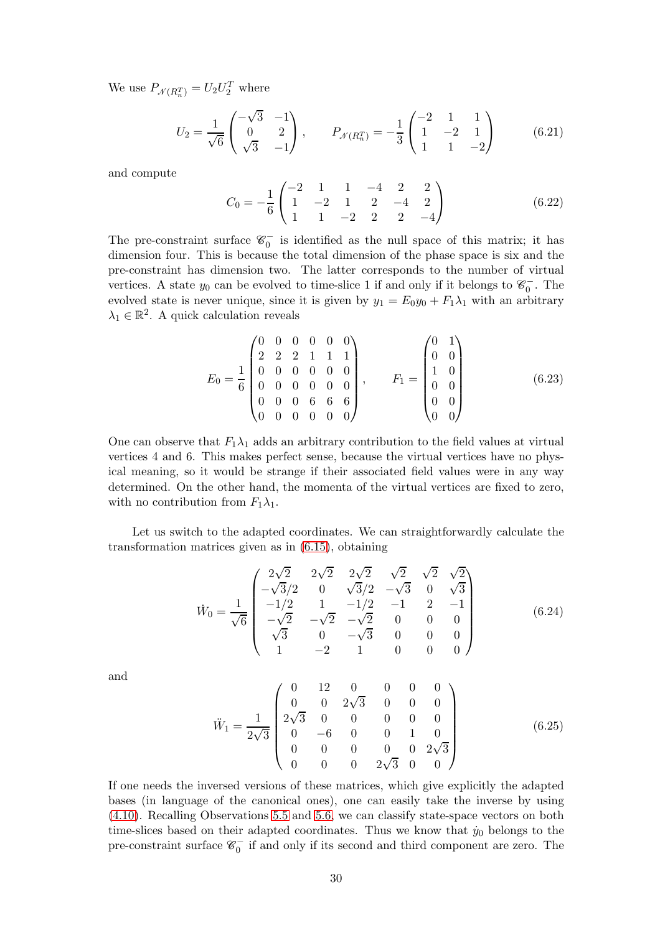We use  $P_{\mathcal{N}(R_n^T)} = U_2 U_2^T$  where

$$
U_2 = \frac{1}{\sqrt{6}} \begin{pmatrix} -\sqrt{3} & -1 \\ 0 & 2 \\ \sqrt{3} & -1 \end{pmatrix}, \qquad P_{\mathcal{N}(R_n^T)} = -\frac{1}{3} \begin{pmatrix} -2 & 1 & 1 \\ 1 & -2 & 1 \\ 1 & 1 & -2 \end{pmatrix}
$$
(6.21)

and compute

$$
C_0 = -\frac{1}{6} \begin{pmatrix} -2 & 1 & 1 & -4 & 2 & 2 \\ 1 & -2 & 1 & 2 & -4 & 2 \\ 1 & 1 & -2 & 2 & 2 & -4 \end{pmatrix}
$$
 (6.22)

The pre-constraint surface  $\mathscr{C}_0^-$  is identified as the null space of this matrix; it has dimension four. This is because the total dimension of the phase space is six and the pre-constraint has dimension two. The latter corresponds to the number of virtual vertices. A state  $y_0$  can be evolved to time-slice 1 if and only if it belongs to  $\mathscr{C}_0^-$ . The evolved state is never unique, since it is given by  $y_1 = E_0 y_0 + F_1 \lambda_1$  with an arbitrary  $\lambda_1 \in \mathbb{R}^2$ . A quick calculation reveals

<span id="page-29-0"></span>
$$
E_0 = \frac{1}{6} \begin{pmatrix} 0 & 0 & 0 & 0 & 0 & 0 \\ 2 & 2 & 2 & 1 & 1 & 1 \\ 0 & 0 & 0 & 0 & 0 & 0 \\ 0 & 0 & 0 & 0 & 0 & 0 \\ 0 & 0 & 0 & 6 & 6 & 6 \\ 0 & 0 & 0 & 0 & 0 & 0 \end{pmatrix}, \qquad F_1 = \begin{pmatrix} 0 & 1 \\ 0 & 0 \\ 1 & 0 \\ 0 & 0 \\ 0 & 0 \\ 0 & 0 \end{pmatrix}
$$
(6.23)

One can observe that  $F_1\lambda_1$  adds an arbitrary contribution to the field values at virtual vertices 4 and 6. This makes perfect sense, because the virtual vertices have no physical meaning, so it would be strange if their associated field values were in any way determined. On the other hand, the momenta of the virtual vertices are fixed to zero, with no contribution from  $F_1\lambda_1$ .

Let us switch to the adapted coordinates. We can straightforwardly calculate the transformation matrices given as in [\(6.15\)](#page-27-2), obtaining

$$
\dot{W}_0 = \frac{1}{\sqrt{6}} \begin{pmatrix}\n2\sqrt{2} & 2\sqrt{2} & 2\sqrt{2} & \sqrt{2} & \sqrt{2} & \sqrt{2} \\
-\sqrt{3}/2 & 0 & \sqrt{3}/2 & -\sqrt{3} & 0 & \sqrt{3} \\
-1/2 & 1 & -1/2 & -1 & 2 & -1 \\
-\sqrt{2} & -\sqrt{2} & -\sqrt{2} & 0 & 0 & 0 \\
\sqrt{3} & 0 & -\sqrt{3} & 0 & 0 & 0 \\
1 & -2 & 1 & 0 & 0 & 0\n\end{pmatrix}
$$
\n(6.24)

and

$$
\ddot{W}_1 = \frac{1}{2\sqrt{3}} \begin{pmatrix} 0 & 12 & 0 & 0 & 0 & 0 \\ 0 & 0 & 2\sqrt{3} & 0 & 0 & 0 \\ 2\sqrt{3} & 0 & 0 & 0 & 0 & 0 \\ 0 & -6 & 0 & 0 & 1 & 0 \\ 0 & 0 & 0 & 0 & 2\sqrt{3} \\ 0 & 0 & 0 & 2\sqrt{3} & 0 & 0 \end{pmatrix}
$$
(6.25)

If one needs the inversed versions of these matrices, which give explicitly the adapted bases (in language of the canonical ones), one can easily take the inverse by using [\(4.10\)](#page-9-2). Recalling Observations [5.5](#page-20-0) and [5.6,](#page-20-1) we can classify state-space vectors on both time-slices based on their adapted coordinates. Thus we know that  $\dot{y}_0$  belongs to the pre-constraint surface  $\mathscr{C}_0^-$  if and only if its second and third component are zero. The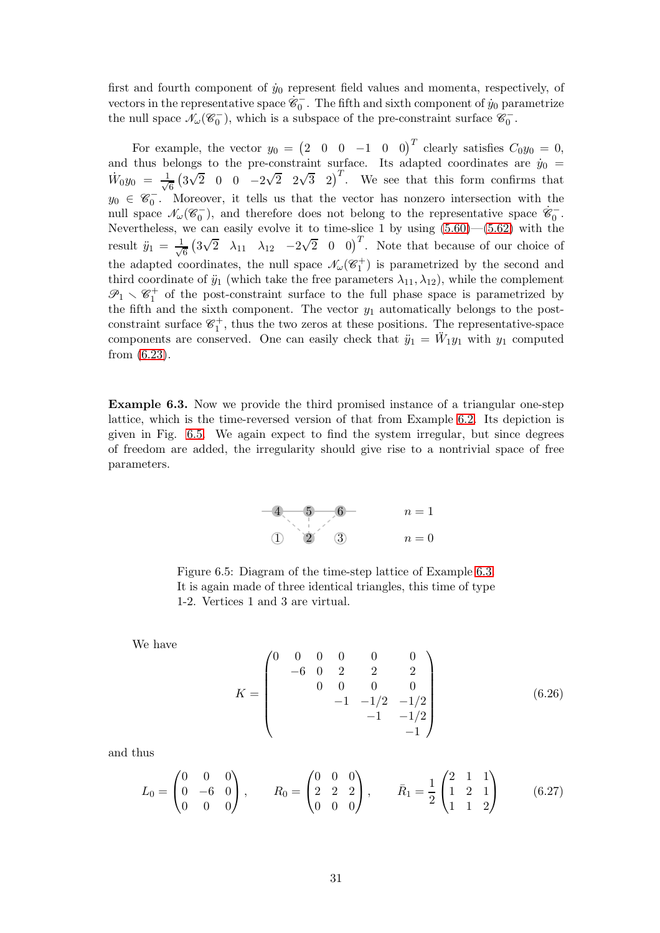first and fourth component of  $\dot{y}_0$  represent field values and momenta, respectively, of vectors in the representative space  $\dot{\mathscr{C}}_0^-$ . The fifth and sixth component of  $\dot{y}_0$  parametrize the null space  $\mathcal{N}_{\omega}(\mathcal{C}_0^-)$ , which is a subspace of the pre-constraint surface  $\mathcal{C}_0^-$ .

For example, the vector  $y_0 = \begin{pmatrix} 2 & 0 & 0 & -1 & 0 & 0 \end{pmatrix}^T$  clearly satisfies  $C_0 y_0 = 0$ , and thus belongs to the pre-constraint surface. Its adapted coordinates are  $\dot{y}_0$  =  $\dot{W}_0 y_0 = \frac{1}{\sqrt{2}}$  $\frac{1}{6}$  (3 $\sqrt{2}$  0 0  $-2\sqrt{2}$  2 $\sqrt{3}$  2)<sup>T</sup>. We see that this form confirms that  $y_0 \in \mathscr{C}_0^-$ . Moreover, it tells us that the vector has nonzero intersection with the null space  $\mathcal{N}_{\omega}(\mathscr{C}_{0}^{-})$ , and therefore does not belong to the representative space  $\dot{\mathscr{C}}_{0}^{-}$ . Nevertheless, we can easily evolve it to time-slice 1 by using  $(5.60)$ — $(5.62)$  with the result  $\ddot{y}_1 = \frac{1}{\sqrt{2}}$  $\frac{1}{6}$   $\left(3\sqrt{2} \quad \lambda_{11} \quad \lambda_{12} \quad -2\sqrt{2} \quad 0 \quad 0\right)^T$ . Note that because of our choice of the adapted coordinates, the null space  $\mathcal{N}_{\omega}(\mathscr{C}_1^+)$  is parametrized by the second and third coordinate of  $\ddot{y}_1$  (which take the free parameters  $\lambda_{11}, \lambda_{12}$ ), while the complement  $\mathscr{P}_1 \setminus \mathscr{C}_1^+$  of the post-constraint surface to the full phase space is parametrized by the fifth and the sixth component. The vector  $y_1$  automatically belongs to the postconstraint surface  $\mathscr{C}_1^+$ , thus the two zeros at these positions. The representative-space components are conserved. One can easily check that  $\ddot{y}_1 = \ddot{W}_1 y_1$  with  $y_1$  computed from [\(6.23\)](#page-29-0).

<span id="page-30-1"></span><span id="page-30-0"></span>Example 6.3. Now we provide the third promised instance of a triangular one-step lattice, which is the time-reversed version of that from Example [6.2.](#page-28-2) Its depiction is given in Fig. [6.5.](#page-30-0) We again expect to find the system irregular, but since degrees of freedom are added, the irregularity should give rise to a nontrivial space of free parameters.

> 1 2 3  $4 - 5 - 6$  $n=0$  $n=1$

Figure 6.5: Diagram of the time-step lattice of Example [6.3.](#page-30-1) It is again made of three identical triangles, this time of type 1-2. Vertices 1 and 3 are virtual.

We have

$$
K = \begin{pmatrix} 0 & 0 & 0 & 0 & 0 & 0 \\ -6 & 0 & 2 & 2 & 2 \\ 0 & 0 & 0 & 0 & 0 \\ -1 & -1/2 & -1/2 & -1/2 \\ -1 & -1 & -1/2 & -1 \end{pmatrix}
$$
(6.26)

and thus

$$
L_0 = \begin{pmatrix} 0 & 0 & 0 \\ 0 & -6 & 0 \\ 0 & 0 & 0 \end{pmatrix}, \qquad R_0 = \begin{pmatrix} 0 & 0 & 0 \\ 2 & 2 & 2 \\ 0 & 0 & 0 \end{pmatrix}, \qquad \bar{R}_1 = \frac{1}{2} \begin{pmatrix} 2 & 1 & 1 \\ 1 & 2 & 1 \\ 1 & 1 & 2 \end{pmatrix}
$$
(6.27)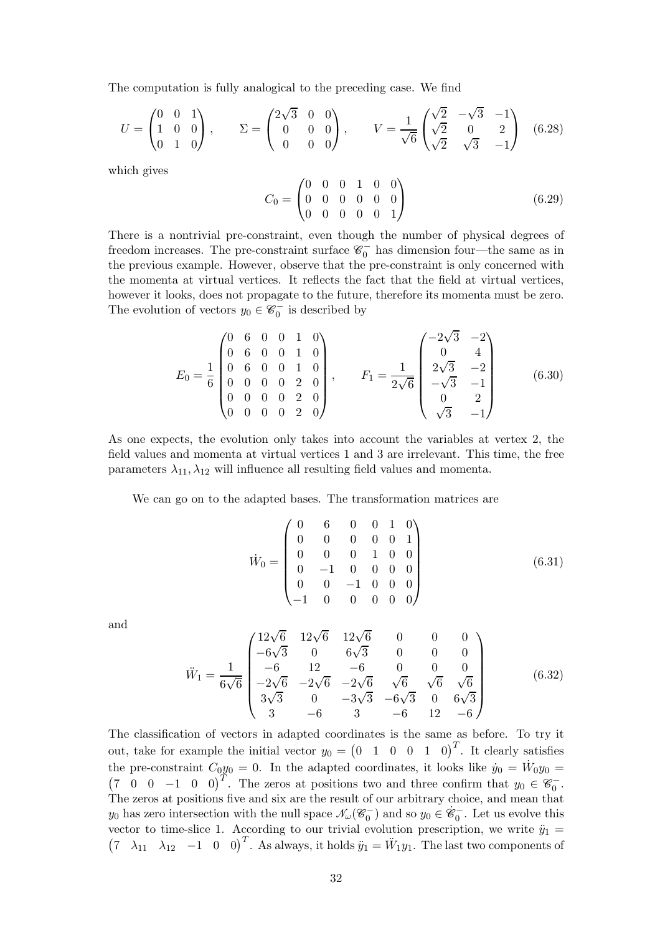The computation is fully analogical to the preceding case. We find

$$
U = \begin{pmatrix} 0 & 0 & 1 \\ 1 & 0 & 0 \\ 0 & 1 & 0 \end{pmatrix}, \qquad \Sigma = \begin{pmatrix} 2\sqrt{3} & 0 & 0 \\ 0 & 0 & 0 \\ 0 & 0 & 0 \end{pmatrix}, \qquad V = \frac{1}{\sqrt{6}} \begin{pmatrix} \sqrt{2} & -\sqrt{3} & -1 \\ \sqrt{2} & 0 & 2 \\ \sqrt{2} & \sqrt{3} & -1 \end{pmatrix}
$$
 (6.28)

which gives

$$
C_0 = \begin{pmatrix} 0 & 0 & 0 & 1 & 0 & 0 \\ 0 & 0 & 0 & 0 & 0 & 0 \\ 0 & 0 & 0 & 0 & 0 & 1 \end{pmatrix}
$$
 (6.29)

There is a nontrivial pre-constraint, even though the number of physical degrees of freedom increases. The pre-constraint surface  $\mathscr{C}_0^-$  has dimension four—the same as in the previous example. However, observe that the pre-constraint is only concerned with the momenta at virtual vertices. It reflects the fact that the field at virtual vertices, however it looks, does not propagate to the future, therefore its momenta must be zero. The evolution of vectors  $y_0 \in \mathscr{C}_0^-$  is described by

$$
E_0 = \frac{1}{6} \begin{pmatrix} 0 & 6 & 0 & 0 & 1 & 0 \\ 0 & 6 & 0 & 0 & 1 & 0 \\ 0 & 6 & 0 & 0 & 1 & 0 \\ 0 & 0 & 0 & 0 & 2 & 0 \\ 0 & 0 & 0 & 0 & 2 & 0 \\ 0 & 0 & 0 & 0 & 2 & 0 \end{pmatrix}, \qquad F_1 = \frac{1}{2\sqrt{6}} \begin{pmatrix} -2\sqrt{3} & -2 \\ 0 & 4 \\ 2\sqrt{3} & -2 \\ -\sqrt{3} & -1 \\ 0 & 2 \\ \sqrt{3} & -1 \end{pmatrix}
$$
(6.30)

As one expects, the evolution only takes into account the variables at vertex 2, the field values and momenta at virtual vertices 1 and 3 are irrelevant. This time, the free parameters  $\lambda_{11}, \lambda_{12}$  will influence all resulting field values and momenta.

We can go on to the adapted bases. The transformation matrices are

$$
\dot{W}_0 = \begin{pmatrix}\n0 & 6 & 0 & 0 & 1 & 0 \\
0 & 0 & 0 & 0 & 0 & 1 \\
0 & 0 & 0 & 1 & 0 & 0 \\
0 & -1 & 0 & 0 & 0 & 0 \\
0 & 0 & -1 & 0 & 0 & 0 \\
-1 & 0 & 0 & 0 & 0 & 0\n\end{pmatrix}
$$
\n(6.31)

and

$$
\ddot{W}_1 = \frac{1}{6\sqrt{6}} \begin{pmatrix}\n12\sqrt{6} & 12\sqrt{6} & 0 & 0 & 0 \\
-6\sqrt{3} & 0 & 6\sqrt{3} & 0 & 0 & 0 \\
-6 & 12 & -6 & 0 & 0 & 0 \\
-2\sqrt{6} & -2\sqrt{6} & -2\sqrt{6} & \sqrt{6} & \sqrt{6} & \sqrt{6} \\
3\sqrt{3} & 0 & -3\sqrt{3} & -6\sqrt{3} & 0 & 6\sqrt{3} \\
3 & -6 & 3 & -6 & 12 & -6\n\end{pmatrix}
$$
\n(6.32)

The classification of vectors in adapted coordinates is the same as before. To try it out, take for example the initial vector  $y_0 = \begin{pmatrix} 0 & 1 & 0 & 0 & 1 & 0 \end{pmatrix}^T$ . It clearly satisfies the pre-constraint  $C_0y_0 = 0$ . In the adapted coordinates, it looks like  $\dot{y}_0 = \dot{W}_0y_0 =$  $(7 \ 0 \ 0 \ -1 \ 0 \ 0)^T$ . The zeros at positions two and three confirm that  $y_0 \in \mathscr{C}_0^-$ . The zeros at positions five and six are the result of our arbitrary choice, and mean that  $y_0$  has zero intersection with the null space  $\mathcal{N}_{\omega}(\mathscr{C}_0^-)$  and so  $y_0 \in \dot{\mathscr{C}}_0^-$ . Let us evolve this vector to time-slice 1. According to our trivial evolution prescription, we write  $\ddot{y}_1 =$  $(7 \lambda_{11} \lambda_{12} -1 \ 0 \ 0)^T$ . As always, it holds  $\ddot{y}_1 = \ddot{W}_1 y_1$ . The last two components of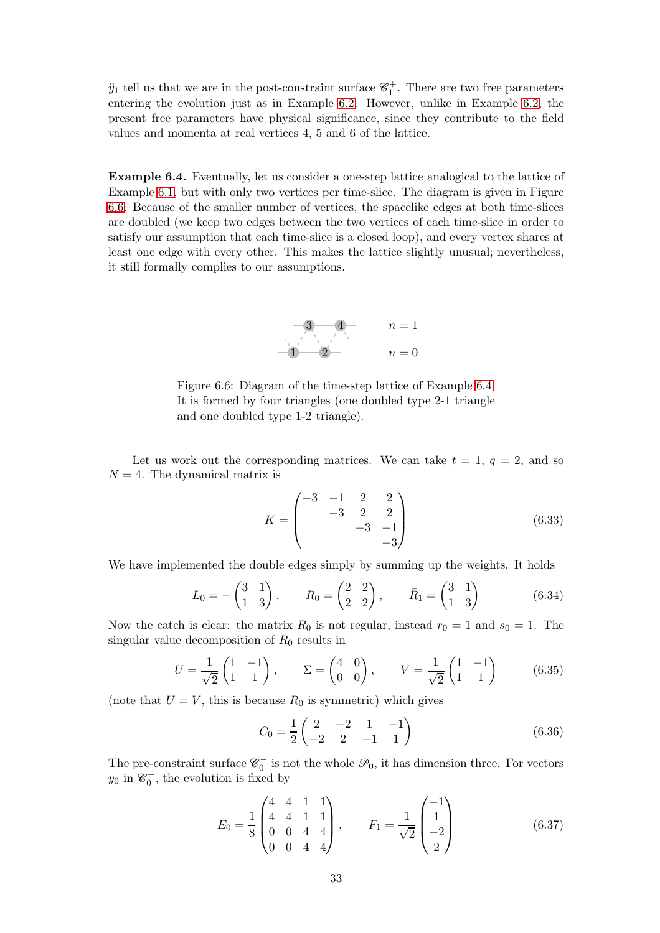$\ddot{y}_1$  tell us that we are in the post-constraint surface  $\mathscr{C}_1^+$ . There are two free parameters entering the evolution just as in Example [6.2.](#page-28-2) However, unlike in Example [6.2,](#page-28-2) the present free parameters have physical significance, since they contribute to the field values and momenta at real vertices 4, 5 and 6 of the lattice.

<span id="page-32-1"></span><span id="page-32-0"></span>Example 6.4. Eventually, let us consider a one-step lattice analogical to the lattice of Example [6.1,](#page-26-0) but with only two vertices per time-slice. The diagram is given in Figure [6.6.](#page-32-0) Because of the smaller number of vertices, the spacelike edges at both time-slices are doubled (we keep two edges between the two vertices of each time-slice in order to satisfy our assumption that each time-slice is a closed loop), and every vertex shares at least one edge with every other. This makes the lattice slightly unusual; nevertheless, it still formally complies to our assumptions.



Figure 6.6: Diagram of the time-step lattice of Example [6.4.](#page-32-1) It is formed by four triangles (one doubled type 2-1 triangle and one doubled type 1-2 triangle).

Let us work out the corresponding matrices. We can take  $t = 1, q = 2$ , and so  $N = 4$ . The dynamical matrix is

$$
K = \begin{pmatrix} -3 & -1 & 2 & 2 \\ & -3 & 2 & 2 \\ & & -3 & -1 \\ & & & -3 \end{pmatrix}
$$
 (6.33)

We have implemented the double edges simply by summing up the weights. It holds

$$
L_0 = -\begin{pmatrix} 3 & 1 \\ 1 & 3 \end{pmatrix}, \qquad R_0 = \begin{pmatrix} 2 & 2 \\ 2 & 2 \end{pmatrix}, \qquad \bar{R}_1 = \begin{pmatrix} 3 & 1 \\ 1 & 3 \end{pmatrix} \tag{6.34}
$$

Now the catch is clear: the matrix  $R_0$  is not regular, instead  $r_0 = 1$  and  $s_0 = 1$ . The singular value decomposition of  $R_0$  results in

$$
U = \frac{1}{\sqrt{2}} \begin{pmatrix} 1 & -1 \\ 1 & 1 \end{pmatrix}, \qquad \Sigma = \begin{pmatrix} 4 & 0 \\ 0 & 0 \end{pmatrix}, \qquad V = \frac{1}{\sqrt{2}} \begin{pmatrix} 1 & -1 \\ 1 & 1 \end{pmatrix} \tag{6.35}
$$

(note that  $U = V$ , this is because  $R_0$  is symmetric) which gives

$$
C_0 = \frac{1}{2} \begin{pmatrix} 2 & -2 & 1 & -1 \\ -2 & 2 & -1 & 1 \end{pmatrix}
$$
 (6.36)

The pre-constraint surface  $\mathscr{C}_0^-$  is not the whole  $\mathscr{P}_0$ , it has dimension three. For vectors  $y_0$  in  $\mathscr{C}_0^-$ , the evolution is fixed by

$$
E_0 = \frac{1}{8} \begin{pmatrix} 4 & 4 & 1 & 1 \\ 4 & 4 & 1 & 1 \\ 0 & 0 & 4 & 4 \\ 0 & 0 & 4 & 4 \end{pmatrix}, \qquad F_1 = \frac{1}{\sqrt{2}} \begin{pmatrix} -1 \\ 1 \\ -2 \\ 2 \end{pmatrix}
$$
(6.37)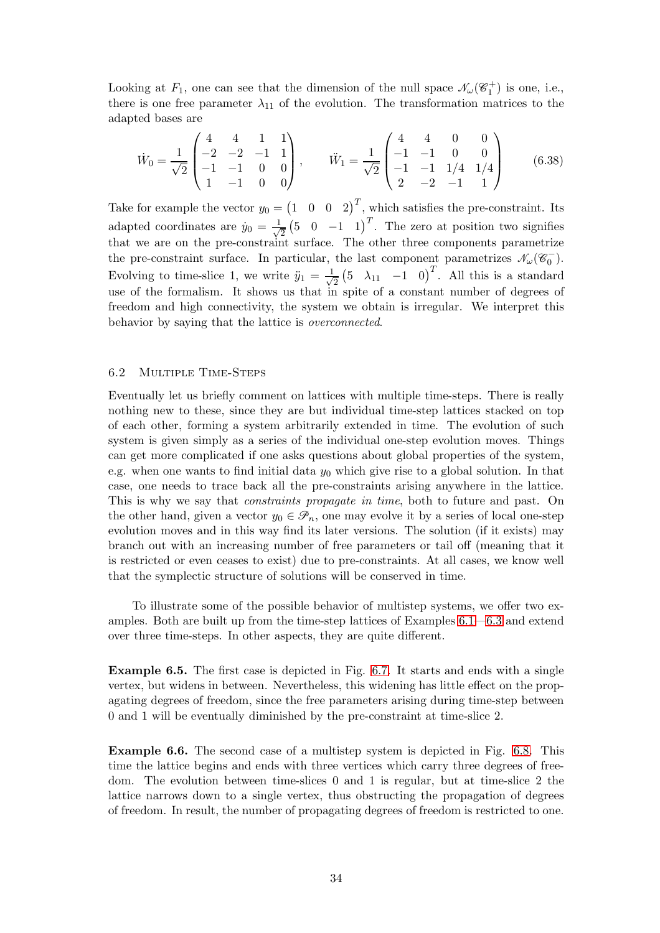Looking at  $F_1$ , one can see that the dimension of the null space  $\mathcal{N}_{\omega}(\mathcal{C}_1^+)$  is one, i.e., there is one free parameter  $\lambda_{11}$  of the evolution. The transformation matrices to the adapted bases are

$$
\dot{W}_0 = \frac{1}{\sqrt{2}} \begin{pmatrix} 4 & 4 & 1 & 1 \\ -2 & -2 & -1 & 1 \\ -1 & -1 & 0 & 0 \\ 1 & -1 & 0 & 0 \end{pmatrix}, \qquad \ddot{W}_1 = \frac{1}{\sqrt{2}} \begin{pmatrix} 4 & 4 & 0 & 0 \\ -1 & -1 & 0 & 0 \\ -1 & -1 & 1/4 & 1/4 \\ 2 & -2 & -1 & 1 \end{pmatrix}
$$
(6.38)

Take for example the vector  $y_0 = \begin{pmatrix} 1 & 0 & 0 & 2 \end{pmatrix}^T$ , which satisfies the pre-constraint. Its adapted coordinates are  $\dot{y}_0 = \frac{1}{\sqrt{2}}$  $\frac{1}{2}$  (5 0 −1 1)<sup>T</sup>. The zero at position two signifies that we are on the pre-constraint surface. The other three components parametrize the pre-constraint surface. In particular, the last component parametrizes  $\mathcal{N}_{\omega}(\mathscr{C}_0^-)$ . Evolving to time-slice 1, we write  $\ddot{y}_1 = \frac{1}{\sqrt{2}}$  $\frac{1}{2}$  (5  $\lambda_{11}$  -1 0)<sup>T</sup>. All this is a standard use of the formalism. It shows us that in spite of a constant number of degrees of freedom and high connectivity, the system we obtain is irregular. We interpret this behavior by saying that the lattice is overconnected.

# 6.2 Multiple Time-Steps

Eventually let us briefly comment on lattices with multiple time-steps. There is really nothing new to these, since they are but individual time-step lattices stacked on top of each other, forming a system arbitrarily extended in time. The evolution of such system is given simply as a series of the individual one-step evolution moves. Things can get more complicated if one asks questions about global properties of the system, e.g. when one wants to find initial data  $y_0$  which give rise to a global solution. In that case, one needs to trace back all the pre-constraints arising anywhere in the lattice. This is why we say that *constraints propagate in time*, both to future and past. On the other hand, given a vector  $y_0 \in \mathcal{P}_n$ , one may evolve it by a series of local one-step evolution moves and in this way find its later versions. The solution (if it exists) may branch out with an increasing number of free parameters or tail off (meaning that it is restricted or even ceases to exist) due to pre-constraints. At all cases, we know well that the symplectic structure of solutions will be conserved in time.

To illustrate some of the possible behavior of multistep systems, we offer two examples. Both are built up from the time-step lattices of Examples [6.1—](#page-26-0)[6.3](#page-30-1) and extend over three time-steps. In other aspects, they are quite different.

Example 6.5. The first case is depicted in Fig. [6.7.](#page-34-1) It starts and ends with a single vertex, but widens in between. Nevertheless, this widening has little effect on the propagating degrees of freedom, since the free parameters arising during time-step between 0 and 1 will be eventually diminished by the pre-constraint at time-slice 2.

Example 6.6. The second case of a multistep system is depicted in Fig. [6.8.](#page-34-2) This time the lattice begins and ends with three vertices which carry three degrees of freedom. The evolution between time-slices 0 and 1 is regular, but at time-slice 2 the lattice narrows down to a single vertex, thus obstructing the propagation of degrees of freedom. In result, the number of propagating degrees of freedom is restricted to one.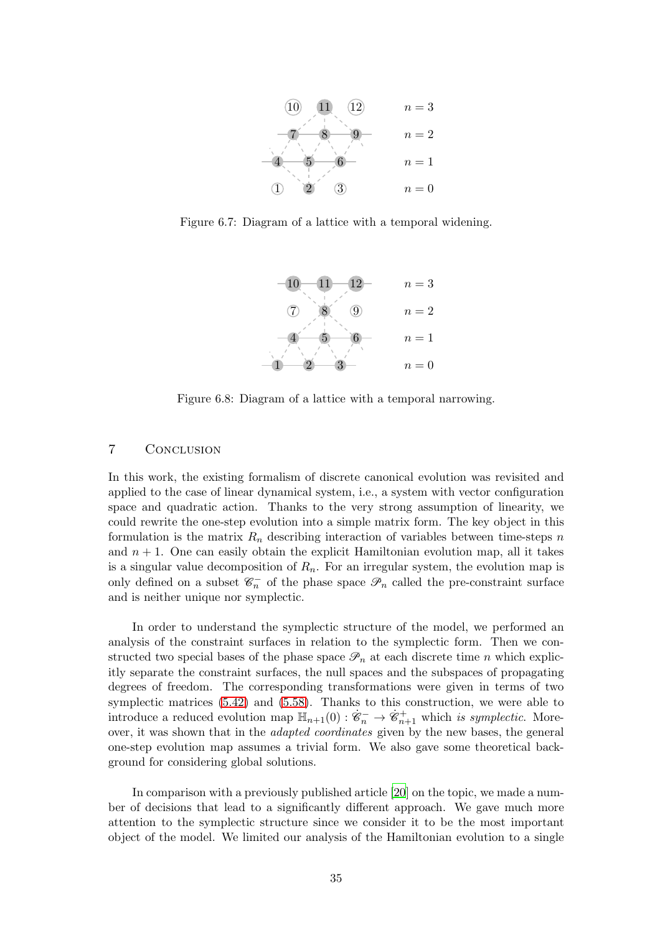<span id="page-34-1"></span>

<span id="page-34-2"></span>Figure 6.7: Diagram of a lattice with a temporal widening.



Figure 6.8: Diagram of a lattice with a temporal narrowing.

# <span id="page-34-0"></span>7 Conclusion

In this work, the existing formalism of discrete canonical evolution was revisited and applied to the case of linear dynamical system, i.e., a system with vector configuration space and quadratic action. Thanks to the very strong assumption of linearity, we could rewrite the one-step evolution into a simple matrix form. The key object in this formulation is the matrix  $R_n$  describing interaction of variables between time-steps n and  $n + 1$ . One can easily obtain the explicit Hamiltonian evolution map, all it takes is a singular value decomposition of  $R_n$ . For an irregular system, the evolution map is only defined on a subset  $\mathcal{C}_n^-$  of the phase space  $\mathcal{P}_n$  called the pre-constraint surface and is neither unique nor symplectic.

In order to understand the symplectic structure of the model, we performed an analysis of the constraint surfaces in relation to the symplectic form. Then we constructed two special bases of the phase space  $\mathcal{P}_n$  at each discrete time n which explicitly separate the constraint surfaces, the null spaces and the subspaces of propagating degrees of freedom. The corresponding transformations were given in terms of two symplectic matrices [\(5.42\)](#page-17-3) and [\(5.58\)](#page-19-4). Thanks to this construction, we were able to introduce a reduced evolution map  $\mathbb{H}_{n+1}(0) : \dot{\mathscr{C}}_n^- \to \dot{\mathscr{C}}_{n+1}^+$  which is symplectic. Moreover, it was shown that in the adapted coordinates given by the new bases, the general one-step evolution map assumes a trivial form. We also gave some theoretical background for considering global solutions.

In comparison with a previously published article [\[20\]](#page-36-16) on the topic, we made a number of decisions that lead to a significantly different approach. We gave much more attention to the symplectic structure since we consider it to be the most important object of the model. We limited our analysis of the Hamiltonian evolution to a single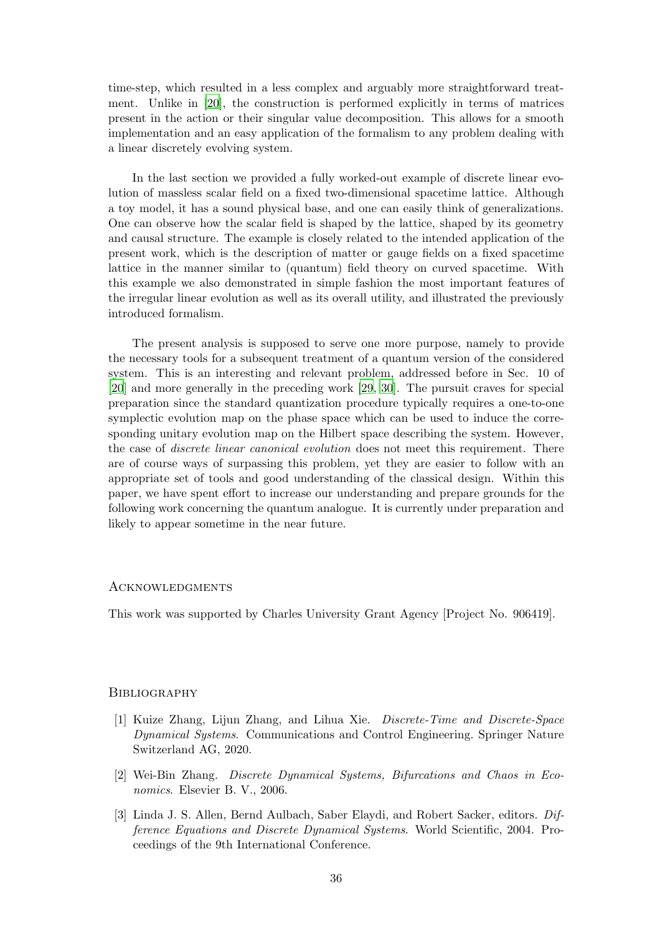time-step, which resulted in a less complex and arguably more straightforward treatment. Unlike in [\[20\]](#page-36-16), the construction is performed explicitly in terms of matrices present in the action or their singular value decomposition. This allows for a smooth implementation and an easy application of the formalism to any problem dealing with a linear discretely evolving system.

In the last section we provided a fully worked-out example of discrete linear evolution of massless scalar field on a fixed two-dimensional spacetime lattice. Although a toy model, it has a sound physical base, and one can easily think of generalizations. One can observe how the scalar field is shaped by the lattice, shaped by its geometry and causal structure. The example is closely related to the intended application of the present work, which is the description of matter or gauge fields on a fixed spacetime lattice in the manner similar to (quantum) field theory on curved spacetime. With this example we also demonstrated in simple fashion the most important features of the irregular linear evolution as well as its overall utility, and illustrated the previously introduced formalism.

The present analysis is supposed to serve one more purpose, namely to provide the necessary tools for a subsequent treatment of a quantum version of the considered system. This is an interesting and relevant problem, addressed before in Sec. 10 of [\[20](#page-36-16)] and more generally in the preceding work [\[29](#page-37-7), [30](#page-37-8)]. The pursuit craves for special preparation since the standard quantization procedure typically requires a one-to-one symplectic evolution map on the phase space which can be used to induce the corresponding unitary evolution map on the Hilbert space describing the system. However, the case of *discrete linear canonical evolution* does not meet this requirement. There are of course ways of surpassing this problem, yet they are easier to follow with an appropriate set of tools and good understanding of the classical design. Within this paper, we have spent effort to increase our understanding and prepare grounds for the following work concerning the quantum analogue. It is currently under preparation and likely to appear sometime in the near future.

# **ACKNOWLEDGMENTS**

This work was supported by Charles University Grant Agency [Project No. 906419].

### **BIBLIOGRAPHY**

- <span id="page-35-0"></span>[1] Kuize Zhang, Lijun Zhang, and Lihua Xie. Discrete-Time and Discrete-Space Dynamical Systems. Communications and Control Engineering. Springer Nature Switzerland AG, 2020.
- <span id="page-35-1"></span>[2] Wei-Bin Zhang. Discrete Dynamical Systems, Bifurcations and Chaos in Economics. Elsevier B. V., 2006.
- <span id="page-35-2"></span>[3] Linda J. S. Allen, Bernd Aulbach, Saber Elaydi, and Robert Sacker, editors. Difference Equations and Discrete Dynamical Systems. World Scientific, 2004. Proceedings of the 9th International Conference.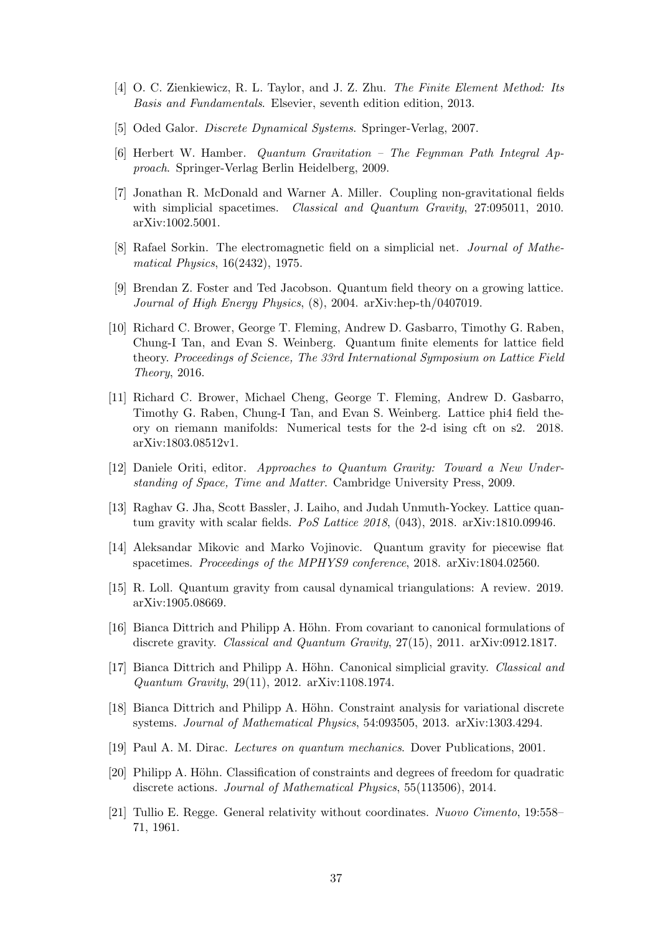- <span id="page-36-0"></span>[4] O. C. Zienkiewicz, R. L. Taylor, and J. Z. Zhu. The Finite Element Method: Its Basis and Fundamentals. Elsevier, seventh edition edition, 2013.
- <span id="page-36-1"></span>[5] Oded Galor. Discrete Dynamical Systems. Springer-Verlag, 2007.
- <span id="page-36-2"></span>[6] Herbert W. Hamber. Quantum Gravitation – The Feynman Path Integral Approach. Springer-Verlag Berlin Heidelberg, 2009.
- <span id="page-36-3"></span>[7] Jonathan R. McDonald and Warner A. Miller. Coupling non-gravitational fields with simplicial spacetimes. *Classical and Quantum Gravity*, 27:095011, 2010. arXiv:1002.5001.
- <span id="page-36-4"></span>[8] Rafael Sorkin. The electromagnetic field on a simplicial net. Journal of Mathematical Physics, 16(2432), 1975.
- <span id="page-36-5"></span>[9] Brendan Z. Foster and Ted Jacobson. Quantum field theory on a growing lattice. Journal of High Energy Physics, (8), 2004. arXiv:hep-th/0407019.
- <span id="page-36-6"></span>[10] Richard C. Brower, George T. Fleming, Andrew D. Gasbarro, Timothy G. Raben, Chung-I Tan, and Evan S. Weinberg. Quantum finite elements for lattice field theory. Proceedings of Science, The 33rd International Symposium on Lattice Field Theory, 2016.
- <span id="page-36-7"></span>[11] Richard C. Brower, Michael Cheng, George T. Fleming, Andrew D. Gasbarro, Timothy G. Raben, Chung-I Tan, and Evan S. Weinberg. Lattice phi4 field theory on riemann manifolds: Numerical tests for the 2-d ising cft on s2. 2018. arXiv:1803.08512v1.
- <span id="page-36-8"></span>[12] Daniele Oriti, editor. Approaches to Quantum Gravity: Toward a New Understanding of Space, Time and Matter. Cambridge University Press, 2009.
- <span id="page-36-9"></span>[13] Raghav G. Jha, Scott Bassler, J. Laiho, and Judah Unmuth-Yockey. Lattice quantum gravity with scalar fields. PoS Lattice 2018, (043), 2018. arXiv:1810.09946.
- <span id="page-36-10"></span>[14] Aleksandar Mikovic and Marko Vojinovic. Quantum gravity for piecewise flat spacetimes. Proceedings of the MPHYS9 conference, 2018. arXiv:1804.02560.
- <span id="page-36-11"></span>[15] R. Loll. Quantum gravity from causal dynamical triangulations: A review. 2019. arXiv:1905.08669.
- <span id="page-36-12"></span>[16] Bianca Dittrich and Philipp A. Höhn. From covariant to canonical formulations of discrete gravity. Classical and Quantum Gravity, 27(15), 2011. arXiv:0912.1817.
- <span id="page-36-13"></span>[17] Bianca Dittrich and Philipp A. Höhn. Canonical simplicial gravity. *Classical and* Quantum Gravity, 29(11), 2012. arXiv:1108.1974.
- <span id="page-36-14"></span>[18] Bianca Dittrich and Philipp A. Höhn. Constraint analysis for variational discrete systems. Journal of Mathematical Physics, 54:093505, 2013. arXiv:1303.4294.
- <span id="page-36-15"></span>[19] Paul A. M. Dirac. Lectures on quantum mechanics. Dover Publications, 2001.
- <span id="page-36-16"></span>[20] Philipp A. Höhn. Classification of constraints and degrees of freedom for quadratic discrete actions. Journal of Mathematical Physics, 55(113506), 2014.
- <span id="page-36-17"></span>[21] Tullio E. Regge. General relativity without coordinates. Nuovo Cimento, 19:558– 71, 1961.